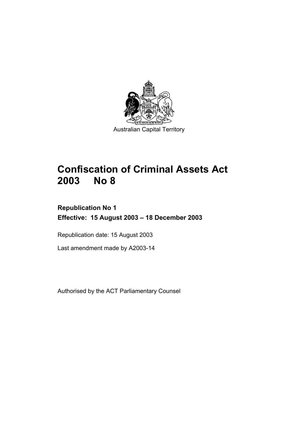

# **Confiscation of Criminal Assets Act 2003 No 8**

# **Republication No 1 Effective: 15 August 2003 – 18 December 2003**

Republication date: 15 August 2003

Last amendment made by A2003-14

Authorised by the ACT Parliamentary Counsel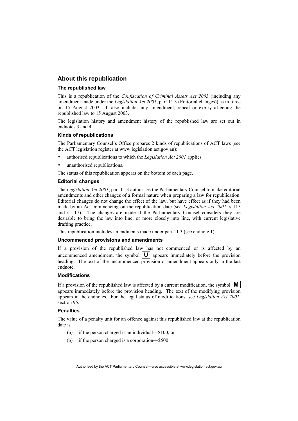# **About this republication**

### **The republished law**

This is a republication of the *Confiscation of Criminal Assets Act 2003* (including any amendment made under the *Legislation Act 2001*, part 11.3 (Editorial changes)) as in force on 15 August 2003*.* It also includes any amendment, repeal or expiry affecting the republished law to 15 August 2003.

The legislation history and amendment history of the republished law are set out in endnotes 3 and 4.

#### **Kinds of republications**

The Parliamentary Counsel's Office prepares 2 kinds of republications of ACT laws (see the ACT legislation register at www.legislation.act.gov.au):

- authorised republications to which the *Legislation Act 2001* applies
- unauthorised republications.

The status of this republication appears on the bottom of each page.

#### **Editorial changes**

The *Legislation Act 2001*, part 11.3 authorises the Parliamentary Counsel to make editorial amendments and other changes of a formal nature when preparing a law for republication. Editorial changes do not change the effect of the law, but have effect as if they had been made by an Act commencing on the republication date (see *Legislation Act 2001*, s 115 and s 117). The changes are made if the Parliamentary Counsel considers they are desirable to bring the law into line, or more closely into line, with current legislative drafting practice.

This republication includes amendments made under part 11.3 (see endnote 1).

#### **Uncommenced provisions and amendments**

If a provision of the republished law has not commenced or is affected by an uncommenced amendment, the symbol  $\|\mathbf{U}\|$  appears immediately before the provision heading. The text of the uncommenced provision or amendment appears only in the last endnote.

#### **Modifications**

If a provision of the republished law is affected by a current modification, the symbol  $\mathbf{M}$ appears immediately before the provision heading. The text of the modifying provision appears in the endnotes. For the legal status of modifications, see *Legislation Act 2001*, section 95.

#### **Penalties**

The value of a penalty unit for an offence against this republished law at the republication date is—

- (a) if the person charged is an individual—\$100; or
- (b) if the person charged is a corporation—\$500.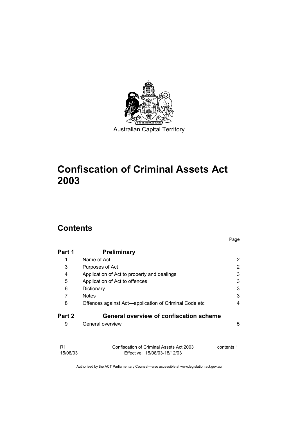

# **Confiscation of Criminal Assets Act 2003**

# **Contents**

|                            |                                                                          | Page       |
|----------------------------|--------------------------------------------------------------------------|------------|
| Part 1                     | <b>Preliminary</b>                                                       |            |
| 1                          | Name of Act                                                              | 2          |
| 3                          | Purposes of Act                                                          | 2          |
| 4                          | Application of Act to property and dealings                              | 3          |
| 5                          | Application of Act to offences                                           | 3          |
| 6                          | Dictionary                                                               | 3          |
| 7                          | <b>Notes</b>                                                             | 3          |
| 8                          | Offences against Act—application of Criminal Code etc                    | 4          |
| Part 2                     | General overview of confiscation scheme                                  |            |
| 9                          | General overview                                                         | 5          |
| R <sub>1</sub><br>15/08/03 | Confiscation of Criminal Assets Act 2003<br>Effective: 15/08/03-18/12/03 | contents 1 |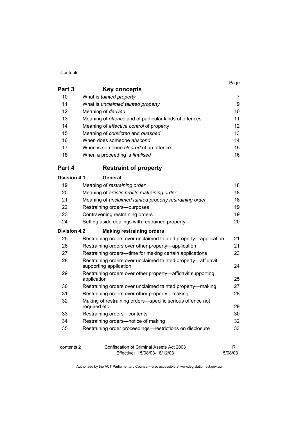#### **Contents**

|                     |                                                                                        | Page           |
|---------------------|----------------------------------------------------------------------------------------|----------------|
| Part 3              | Key concepts                                                                           |                |
| 10                  | What is tainted property                                                               | 7              |
| 11                  | What is unclaimed tainted property                                                     | 9              |
| 12                  | Meaning of derived                                                                     | 10             |
| 13                  | Meaning of offence and of particular kinds of offences                                 | 11             |
| 14                  | Meaning of effective control of property                                               | 12             |
| 15                  | Meaning of convicted and quashed                                                       | 13             |
| 16                  | When does someone abscond                                                              | 14             |
| 17                  | When is someone <i>cleared</i> of an offence                                           | 15             |
| 18                  | When a proceeding is <i>finalised</i>                                                  | 16             |
| Part 4              | <b>Restraint of property</b>                                                           |                |
| <b>Division 4.1</b> | <b>General</b>                                                                         |                |
| 19                  | Meaning of restraining order                                                           | 18             |
| 20                  | Meaning of artistic profits restraining order                                          | 18             |
| 21                  | Meaning of unclaimed tainted property restraining order                                | 18             |
| 22                  | Restraining orders-purposes                                                            | 19             |
| 23                  | Contravening restraining orders                                                        | 19             |
| 24                  | Setting aside dealings with restrained property                                        | 20             |
| <b>Division 4.2</b> | <b>Making restraining orders</b>                                                       |                |
| 25                  | Restraining orders over unclaimed tainted property—application                         | 21             |
| 26                  | Restraining orders over other property-application                                     | 21             |
| 27                  | Restraining orders—time for making certain applications                                | 23             |
| 28                  | Restraining orders over unclaimed tainted property-affidavit<br>supporting application | 24             |
| 29                  | Restraining orders over other property-affidavit supporting                            |                |
|                     | application                                                                            | 25             |
| 30                  | Restraining orders over unclaimed tainted property-making                              | 27             |
| 31                  | Restraining orders over other property-making                                          | 28             |
| 32                  | Making of restraining orders-specific serious offence not<br>required etc              | 29             |
| 33                  | Restraining orders-contents                                                            | 30             |
| 34                  | Restraining orders-notice of making                                                    | 32             |
| 35                  | Restraining order proceedings—restrictions on disclosure                               | 33             |
| contents 2          | Confiscation of Criminal Assets Act 2003                                               | R <sub>1</sub> |
|                     | Effective: 15/08/03-18/12/03                                                           | 15/08/03       |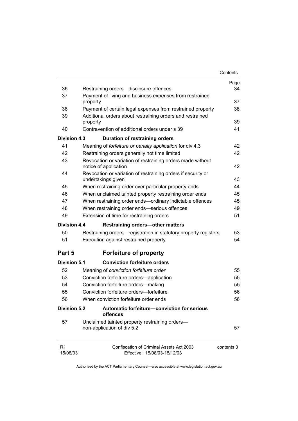|                            |                                                                                     | Contents   |
|----------------------------|-------------------------------------------------------------------------------------|------------|
|                            |                                                                                     | Page       |
| 36                         | Restraining orders-disclosure offences                                              | 34         |
| 37                         | Payment of living and business expenses from restrained<br>property                 | 37         |
| 38                         | Payment of certain legal expenses from restrained property                          | 38         |
| 39                         | Additional orders about restraining orders and restrained                           | 39         |
| 40                         | property<br>Contravention of additional orders under s 39                           | 41         |
|                            |                                                                                     |            |
| <b>Division 4.3</b>        | Duration of restraining orders                                                      |            |
| 41                         | Meaning of forfeiture or penalty application for div 4.3                            | 42         |
| 42                         | Restraining orders generally not time limited                                       | 42         |
| 43                         | Revocation or variation of restraining orders made without<br>notice of application | 42         |
| 44                         | Revocation or variation of restraining orders if security or<br>undertakings given  | 43         |
| 45                         | When restraining order over particular property ends                                | 44         |
| 46                         | When unclaimed tainted property restraining order ends                              | 45         |
| 47                         | When restraining order ends-ordinary indictable offences                            | 45         |
| 48                         | When restraining order ends-serious offences                                        | 49         |
| 49                         | Extension of time for restraining orders                                            | 51         |
| <b>Division 4.4</b>        | <b>Restraining orders-other matters</b>                                             |            |
| 50                         | Restraining orders—registration in statutory property registers                     | 53         |
| 51                         | Execution against restrained property                                               | 54         |
| Part 5                     | <b>Forfeiture of property</b>                                                       |            |
| <b>Division 5.1</b>        | <b>Conviction forfeiture orders</b>                                                 |            |
| 52                         | Meaning of conviction forfeiture order                                              | 55         |
| 53                         | Conviction forfeiture orders-application                                            | 55         |
| 54                         | Conviction forfeiture orders-making                                                 | 55         |
| 55                         | Conviction forfeiture orders—forfeiture                                             | 56         |
| 56                         | When conviction forfeiture order ends                                               | 56         |
| <b>Division 5.2</b>        | Automatic forfeiture-conviction for serious<br>offences                             |            |
| 57                         | Unclaimed tainted property restraining orders-<br>non-application of div 5.2        | 57         |
| R <sub>1</sub><br>15/08/03 | Confiscation of Criminal Assets Act 2003<br>Effective: 15/08/03-18/12/03            | contents 3 |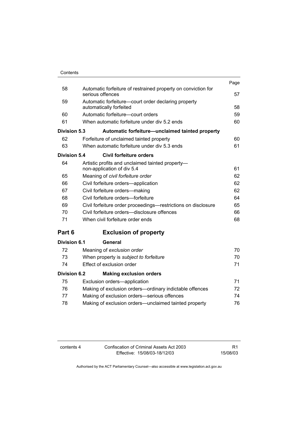|                     |                                                                                   | Page |
|---------------------|-----------------------------------------------------------------------------------|------|
| 58                  | Automatic forfeiture of restrained property on conviction for<br>serious offences | 57   |
| 59                  | Automatic forfeiture-court order declaring property<br>automatically forfeited    | 58   |
| 60                  | Automatic forfeiture-court orders                                                 | 59   |
| 61                  | When automatic forfeiture under div 5.2 ends                                      | 60   |
| Division 5.3        | Automatic forfeiture-unclaimed tainted property                                   |      |
| 62                  | Forfeiture of unclaimed tainted property                                          | 60   |
| 63                  | When automatic forfeiture under div 5.3 ends                                      | 61   |
| <b>Division 5.4</b> | <b>Civil forfeiture orders</b>                                                    |      |
| 64                  | Artistic profits and unclaimed tainted property-<br>non-application of div 5.4    | 61   |
| 65                  | Meaning of civil forfeiture order                                                 | 62   |
| 66                  | Civil forfeiture orders-application                                               | 62   |
| 67                  | Civil forfeiture orders-making                                                    | 62   |
| 68                  | Civil forfeiture orders—forfeiture                                                | 64   |
| 69                  | Civil forfeiture order proceedings—restrictions on disclosure                     | 65   |
| 70                  | Civil forfeiture orders—disclosure offences                                       | 66   |
| 71                  | When civil forfeiture order ends                                                  | 68   |
| Part 6              | <b>Exclusion of property</b>                                                      |      |
| Division 6.1        | General                                                                           |      |
| 72                  | Meaning of exclusion order                                                        | 70   |
| 73                  | When property is subject to forfeiture                                            | 70   |
| 74                  | Effect of exclusion order                                                         | 71   |
| <b>Division 6.2</b> | <b>Making exclusion orders</b>                                                    |      |
| 75                  | Exclusion orders-application                                                      | 71   |

| . . | LAGROPH ORGEO application                               | . . |
|-----|---------------------------------------------------------|-----|
| 76  | Making of exclusion orders—ordinary indictable offences | 72  |
| 77  | Making of exclusion orders—serious offences             | 74  |
| 78  | Making of exclusion orders—unclaimed tainted property   | 76  |
|     |                                                         |     |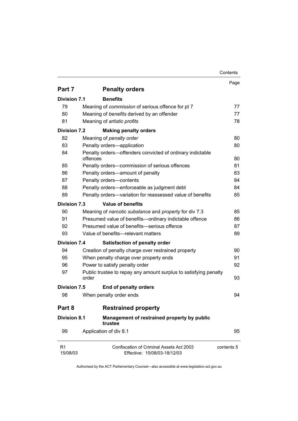|                     |                                                                           | Contents   |
|---------------------|---------------------------------------------------------------------------|------------|
|                     |                                                                           | Page       |
| Part 7              | <b>Penalty orders</b>                                                     |            |
| <b>Division 7.1</b> | <b>Benefits</b>                                                           |            |
| 79                  | Meaning of commission of serious offence for pt 7                         | 77         |
| 80                  | Meaning of benefits derived by an offender                                | 77         |
| 81                  | Meaning of artistic profits                                               | 78         |
| <b>Division 7.2</b> | <b>Making penalty orders</b>                                              |            |
| 82                  | Meaning of penalty order                                                  | 80         |
| 83                  | Penalty orders-application                                                | 80         |
| 84                  | Penalty orders-offenders convicted of ordinary indictable                 |            |
|                     | offences                                                                  | 80         |
| 85                  | Penalty orders-commission of serious offences                             | 81         |
| 86                  | Penalty orders-amount of penalty                                          | 83         |
| 87                  | Penalty orders-contents                                                   | 84         |
| 88                  | Penalty orders—enforceable as judgment debt                               | 84         |
| 89                  | Penalty orders-variation for reassessed value of benefits                 | 85         |
| <b>Division 7.3</b> | <b>Value of benefits</b>                                                  |            |
| 90                  | Meaning of narcotic substance and property for div 7.3                    | 85         |
| 91                  | Presumed value of benefits-ordinary indictable offence                    | 86         |
| 92                  | Presumed value of benefits-serious offence                                | 87         |
| 93                  | Value of benefits-relevant matters                                        | 89         |
| <b>Division 7.4</b> | <b>Satisfaction of penalty order</b>                                      |            |
| 94                  | Creation of penalty charge over restrained property                       | 90         |
| 95                  | When penalty charge over property ends                                    | 91         |
| 96                  | Power to satisfy penalty order                                            | 92         |
| 97                  | Public trustee to repay any amount surplus to satisfying penalty<br>order | 93         |
| <b>Division 7.5</b> | <b>End of penalty orders</b>                                              |            |
| 98                  | When penalty order ends                                                   | 94         |
| Part 8              | <b>Restrained property</b>                                                |            |
| <b>Division 8.1</b> | Management of restrained property by public<br>trustee                    |            |
| 99                  | Application of div 8.1                                                    | 95         |
| R1<br>15/08/03      | Confiscation of Criminal Assets Act 2003<br>Effective: 15/08/03-18/12/03  | contents 5 |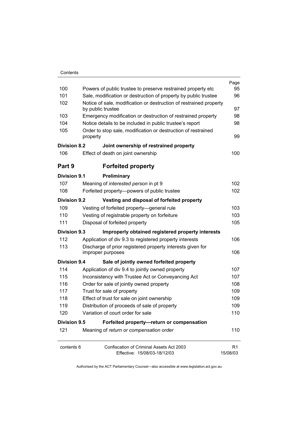| Contents |
|----------|
|----------|

|                     |                                                                                         | Page           |
|---------------------|-----------------------------------------------------------------------------------------|----------------|
| 100                 | Powers of public trustee to preserve restrained property etc                            | 95             |
| 101                 | Sale, modification or destruction of property by public trustee                         | 96             |
| 102                 | Notice of sale, modification or destruction of restrained property<br>by public trustee | 97             |
| 103                 | Emergency modification or destruction of restrained property                            | 98             |
| 104                 | Notice details to be included in public trustee's report                                | 98             |
| 105                 | Order to stop sale, modification or destruction of restrained<br>property               | 99             |
| <b>Division 8.2</b> | Joint ownership of restrained property                                                  |                |
| 106                 | Effect of death on joint ownership                                                      | 100            |
| Part 9              | <b>Forfeited property</b>                                                               |                |
| Division 9.1        | Preliminary                                                                             |                |
| 107                 | Meaning of interested person in pt 9                                                    | 102            |
| 108                 | Forfeited property--powers of public trustee                                            | 102            |
| <b>Division 9.2</b> | Vesting and disposal of forfeited property                                              |                |
| 109                 | Vesting of forfeited property-general rule                                              | 103            |
| 110                 | Vesting of registrable property on forfeiture                                           | 103            |
| 111                 | Disposal of forfeited property                                                          | 105            |
| Division 9.3        | Improperly obtained registered property interests                                       |                |
| 112                 | Application of div 9.3 to registered property interests                                 | 106            |
| 113                 | Discharge of prior registered property interests given for                              |                |
|                     | improper purposes                                                                       | 106            |
| <b>Division 9.4</b> | Sale of jointly owned forfeited property                                                |                |
| 114                 | Application of div 9.4 to jointly owned property                                        | 107            |
| 115                 | Inconsistency with Trustee Act or Conveyancing Act                                      | 107            |
| 116                 | Order for sale of jointly owned property                                                | 108            |
| 117                 | Trust for sale of property                                                              | 109            |
| 118                 | Effect of trust for sale on joint ownership                                             | 109            |
| 119                 | Distribution of proceeds of sale of property                                            | 109            |
| 120                 | Variation of court order for sale                                                       | 110            |
| <b>Division 9.5</b> | Forfeited property-return or compensation                                               |                |
| 121                 | Meaning of return or compensation order                                                 | 110            |
| contents 6          | Confiscation of Criminal Assets Act 2003<br>Effective: 15/08/03-18/12/03                | R1<br>15/08/03 |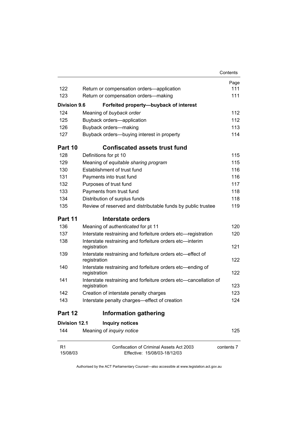|                      |                                                                                  | Contents   |
|----------------------|----------------------------------------------------------------------------------|------------|
|                      |                                                                                  | Page       |
| 122                  | Return or compensation orders—application                                        | 111        |
| 123                  | Return or compensation orders-making                                             | 111        |
| <b>Division 9.6</b>  | Forfeited property-buyback of interest                                           |            |
| 124                  | Meaning of buyback order                                                         | 112        |
| 125                  | Buyback orders-application                                                       | 112        |
| 126                  | Buyback orders-making                                                            | 113        |
| 127                  | Buyback orders-buying interest in property                                       | 114        |
| Part 10              | <b>Confiscated assets trust fund</b>                                             |            |
| 128                  | Definitions for pt 10                                                            | 115        |
| 129                  | Meaning of equitable sharing program                                             | 115        |
| 130                  | Establishment of trust fund                                                      | 116        |
| 131                  | Payments into trust fund                                                         | 116        |
| 132                  | Purposes of trust fund                                                           | 117        |
| 133                  | Payments from trust fund                                                         | 118        |
| 134                  | Distribution of surplus funds                                                    | 118        |
| 135                  | Review of reserved and distributable funds by public trustee                     | 119        |
| Part 11              | Interstate orders                                                                |            |
| 136                  | Meaning of authenticated for pt 11                                               | 120        |
| 137                  | Interstate restraining and forfeiture orders etc-registration                    | 120        |
| 138                  | Interstate restraining and forfeiture orders etc-interim<br>registration         | 121        |
| 139                  | Interstate restraining and forfeiture orders etc-effect of<br>registration       | 122        |
| 140                  | Interstate restraining and forfeiture orders etc-ending of<br>registration       | 122        |
| 141                  | Interstate restraining and forfeiture orders etc-cancellation of<br>registration | 123        |
| 142                  | Creation of interstate penalty charges                                           | 123        |
| 143                  | Interstate penalty charges—effect of creation                                    | 124        |
| Part 12              | <b>Information gathering</b>                                                     |            |
| <b>Division 12.1</b> | <b>Inquiry notices</b>                                                           |            |
| 144                  | Meaning of inquiry notice                                                        | 125        |
| R <sub>1</sub>       | Confiscation of Criminal Assets Act 2003                                         | contents 7 |

Effective: 15/08/03-18/12/03

15/08/03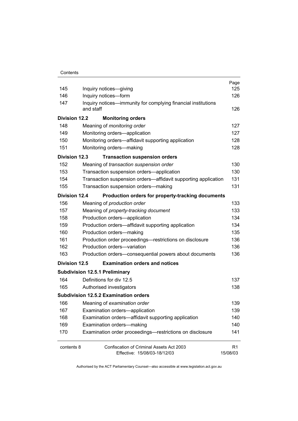| 145                  |                                                                            | Page<br>125 |
|----------------------|----------------------------------------------------------------------------|-------------|
| 146                  | Inquiry notices-giving                                                     | 126         |
|                      | Inquiry notices-form                                                       |             |
| 147                  | Inquiry notices—immunity for complying financial institutions<br>and staff | 126         |
| <b>Division 12.2</b> | <b>Monitoring orders</b>                                                   |             |
| 148                  | Meaning of <i>monitoring</i> order                                         | 127         |
| 149                  | Monitoring orders-application                                              | 127         |
| 150                  | Monitoring orders-affidavit supporting application                         | 128         |
| 151                  | Monitoring orders-making                                                   | 128         |
| <b>Division 12.3</b> | <b>Transaction suspension orders</b>                                       |             |
| 152                  | Meaning of transaction suspension order                                    | 130         |
| 153                  | Transaction suspension orders-application                                  | 130         |
| 154                  | Transaction suspension orders—affidavit supporting application             | 131         |
| 155                  | Transaction suspension orders-making                                       | 131         |
| <b>Division 12.4</b> | Production orders for property-tracking documents                          |             |
| 156                  | Meaning of production order                                                | 133         |
| 157                  | Meaning of property-tracking document                                      | 133         |
| 158                  | Production orders-application                                              | 134         |
| 159                  | Production orders-affidavit supporting application                         | 134         |
| 160                  | Production orders-making                                                   | 135         |
| 161                  | Production order proceedings-restrictions on disclosure                    | 136         |
| 162                  | Production orders-variation                                                | 136         |
| 163                  | Production orders-consequential powers about documents                     | 136         |
| Division 12.5        | <b>Examination orders and notices</b>                                      |             |
|                      | <b>Subdivision 12.5.1 Preliminary</b>                                      |             |
| 164                  | Definitions for div 12.5                                                   | 137         |
| 165                  | Authorised investigators                                                   | 138         |
|                      | <b>Subdivision 12.5.2 Examination orders</b>                               |             |
| 166                  | Meaning of examination order                                               | 139         |
| 167                  | Examination orders-application                                             | 139         |
| 168                  | Examination orders-affidavit supporting application                        | 140         |
| 169                  | Examination orders-making                                                  | 140         |
| 170                  | Examination order proceedings-restrictions on disclosure                   | 141         |
| contents 8           | <b>Confiscation of Criminal Assets Act 2003</b>                            | R1          |
|                      | Effective: 15/08/03-18/12/03                                               | 15/08/03    |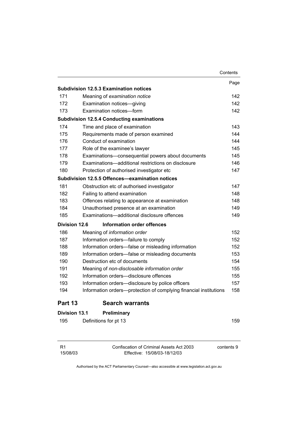|                      |                                                                   | Contents |
|----------------------|-------------------------------------------------------------------|----------|
|                      |                                                                   | Page     |
|                      | Subdivision 12.5.3 Examination notices                            |          |
| 171                  | Meaning of examination notice                                     | 142      |
| 172                  | Examination notices-giving                                        | 142      |
| 173                  | Examination notices-form                                          | 142      |
|                      | <b>Subdivision 12.5.4 Conducting examinations</b>                 |          |
| 174                  | Time and place of examination                                     | 143      |
| 175                  | Requirements made of person examined                              | 144      |
| 176                  | Conduct of examination                                            | 144      |
| 177                  | Role of the examinee's lawyer                                     | 145      |
| 178                  | Examinations-consequential powers about documents                 | 145      |
| 179                  | Examinations-additional restrictions on disclosure                | 146      |
| 180                  | Protection of authorised investigator etc                         | 147      |
|                      | Subdivision 12.5.5 Offences—examination notices                   |          |
| 181                  | Obstruction etc of authorised investigator                        | 147      |
| 182                  | Failing to attend examination                                     | 148      |
| 183                  | Offences relating to appearance at examination                    | 148      |
| 184                  | Unauthorised presence at an examination                           | 149      |
| 185                  | Examinations-additional disclosure offences                       | 149      |
| Division 12.6        | <b>Information order offences</b>                                 |          |
| 186                  | Meaning of information order                                      | 152      |
| 187                  | Information orders-failure to comply                              | 152      |
| 188                  | Information orders-false or misleading information                | 152      |
| 189                  | Information orders-false or misleading documents                  | 153      |
| 190                  | Destruction etc of documents                                      | 154      |
| 191                  | Meaning of non-disclosable information order                      | 155      |
| 192                  | Information orders-disclosure offences                            | 155      |
| 193                  | Information orders-disclosure by police officers                  | 157      |
| 194                  | Information orders-protection of complying financial institutions | 158      |
| Part 13              | <b>Search warrants</b>                                            |          |
| <b>Division 13.1</b> | Preliminary                                                       |          |
| 195                  | Definitions for pt 13                                             | 159      |

| R1       |  |
|----------|--|
| 15/08/03 |  |

Confiscation of Criminal Assets Act 2003 Effective: 15/08/03-18/12/03

contents 9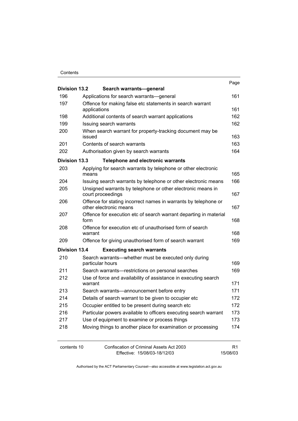#### **Contents**

| <b>Division 13.2</b> |                   | Search warrants-general                                                                   | Page           |
|----------------------|-------------------|-------------------------------------------------------------------------------------------|----------------|
| 196                  |                   | Applications for search warrants—general                                                  | 161            |
| 197                  |                   | Offence for making false etc statements in search warrant                                 |                |
|                      | applications      |                                                                                           | 161            |
| 198                  |                   | Additional contents of search warrant applications                                        | 162            |
| 199                  |                   | Issuing search warrants                                                                   | 162            |
| 200                  | issued            | When search warrant for property-tracking document may be                                 | 163            |
| 201                  |                   | Contents of search warrants                                                               | 163            |
| 202                  |                   | Authorisation given by search warrants                                                    | 164            |
| <b>Division 13.3</b> |                   | <b>Telephone and electronic warrants</b>                                                  |                |
| 203                  | means             | Applying for search warrants by telephone or other electronic                             | 165            |
| 204                  |                   | Issuing search warrants by telephone or other electronic means                            | 166            |
| 205                  | court proceedings | Unsigned warrants by telephone or other electronic means in                               | 167            |
| 206                  |                   | Offence for stating incorrect names in warrants by telephone or<br>other electronic means | 167            |
| 207                  | form              | Offence for execution etc of search warrant departing in material                         | 168            |
| 208                  | warrant           | Offence for execution etc of unauthorised form of search                                  | 168            |
| 209                  |                   | Offence for giving unauthorised form of search warrant                                    | 169            |
| <b>Division 13.4</b> |                   | <b>Executing search warrants</b>                                                          |                |
| 210                  | particular hours  | Search warrants—whether must be executed only during                                      | 169            |
| 211                  |                   | Search warrants-restrictions on personal searches                                         | 169            |
| 212                  | warrant           | Use of force and availability of assistance in executing search                           | 171            |
| 213                  |                   | Search warrants—announcement before entry                                                 | 171            |
| 214                  |                   | Details of search warrant to be given to occupier etc                                     | 172            |
| 215                  |                   | Occupier entitled to be present during search etc                                         | 172            |
| 216                  |                   | Particular powers available to officers executing search warrant                          | 173            |
| 217                  |                   | Use of equipment to examine or process things                                             | 173            |
| 218                  |                   | Moving things to another place for examination or processing                              | 174            |
| contents 10          |                   | <b>Confiscation of Criminal Assets Act 2003</b><br>Effective: 15/08/03-18/12/03           | R1<br>15/08/03 |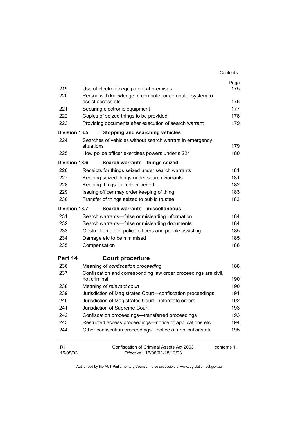|                            |                                                                              | Contents    |
|----------------------------|------------------------------------------------------------------------------|-------------|
|                            |                                                                              | Page        |
| 219                        | Use of electronic equipment at premises                                      | 175         |
| 220                        | Person with knowledge of computer or computer system to<br>assist access etc | 176         |
| 221                        | Securing electronic equipment                                                | 177         |
| 222                        | Copies of seized things to be provided                                       | 178         |
| 223                        | Providing documents after execution of search warrant                        | 179         |
| Division 13.5              | <b>Stopping and searching vehicles</b>                                       |             |
| 224                        | Searches of vehicles without search warrant in emergency<br>situations       | 179         |
| 225                        | How police officer exercises powers under s 224                              | 180         |
| <b>Division 13.6</b>       | Search warrants-things seized                                                |             |
| 226                        | Receipts for things seized under search warrants                             | 181         |
| 227                        | Keeping seized things under search warrants                                  | 181         |
| 228                        | Keeping things for further period                                            | 182         |
| 229                        | Issuing officer may order keeping of thing                                   | 183         |
| 230                        | Transfer of things seized to public trustee                                  | 183         |
| Division 13.7              | Search warrants-miscellaneous                                                |             |
| 231                        | Search warrants—false or misleading information                              | 184         |
| 232                        | Search warrants—false or misleading documents                                | 184         |
| 233                        | Obstruction etc of police officers and people assisting                      | 185         |
| 234                        | Damage etc to be minimised                                                   | 185         |
| 235                        | Compensation                                                                 | 186         |
| Part 14                    | <b>Court procedure</b>                                                       |             |
| 236                        | Meaning of confiscation proceeding                                           | 188         |
| 237                        | Confiscation and corresponding law order proceedings are civil,              |             |
|                            | not criminal                                                                 | 190         |
| 238                        | Meaning of relevant court                                                    | 190         |
| 239                        | Jurisdiction of Magistrates Court-confiscation proceedings                   | 191         |
| 240                        | Jurisdiction of Magistrates Court-interstate orders                          | 192         |
| 241                        | Jurisdiction of Supreme Court                                                | 193         |
| 242                        | Confiscation proceedings—transferred proceedings                             | 193         |
| 243                        | Restricted access proceedings—notice of applications etc                     | 194         |
| 244                        | Other confiscation proceedings—notice of applications etc                    | 195         |
| R <sub>1</sub><br>15/08/03 | Confiscation of Criminal Assets Act 2003<br>Effective: 15/08/03-18/12/03     | contents 11 |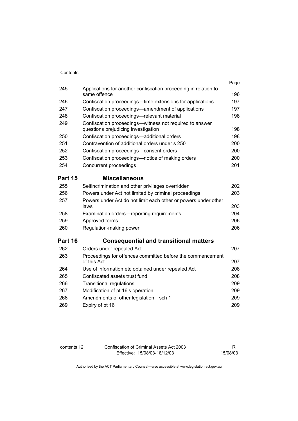| Contents       |                                                                                                |      |
|----------------|------------------------------------------------------------------------------------------------|------|
|                |                                                                                                | Page |
| 245            | Applications for another confiscation proceeding in relation to<br>same offence                | 196  |
| 246            | Confiscation proceedings—time extensions for applications                                      | 197  |
| 247            | Confiscation proceedings-amendment of applications                                             | 197  |
| 248            | Confiscation proceedings-relevant material                                                     | 198  |
| 249            | Confiscation proceedings—witness not required to answer<br>questions prejudicing investigation | 198  |
| 250            | Confiscation proceedings-additional orders                                                     | 198  |
| 251            | Contravention of additional orders under s 250                                                 | 200  |
| 252            | Confiscation proceedings-consent orders                                                        | 200  |
| 253            | Confiscation proceedings-notice of making orders                                               | 200  |
| 254            | Concurrent proceedings                                                                         | 201  |
| <b>Part 15</b> | <b>Miscellaneous</b>                                                                           |      |
| 255            | Selfincrimination and other privileges overridden                                              | 202  |
| 256            | Powers under Act not limited by criminal proceedings                                           | 203  |
| 257            | Powers under Act do not limit each other or powers under other<br>laws                         | 203  |
| 258            | Examination orders—reporting requirements                                                      | 204  |
| 259            | Approved forms                                                                                 | 206  |
| 260            | Regulation-making power                                                                        | 206  |
| Part 16        | <b>Consequential and transitional matters</b>                                                  |      |
| 262            | Orders under repealed Act                                                                      | 207  |
| 263            | Proceedings for offences committed before the commencement<br>of this Act                      | 207  |
| 264            | Use of information etc obtained under repealed Act                                             | 208  |
| 265            | Confiscated assets trust fund                                                                  | 208  |
| 266            | <b>Transitional regulations</b>                                                                | 209  |
| 267            | Modification of pt 16's operation                                                              | 209  |
| 268            | Amendments of other legislation-sch 1                                                          | 209  |
| 269            | Expiry of pt 16                                                                                | 209  |

contents 12 Confiscation of Criminal Assets Act 2003 Effective: 15/08/03-18/12/03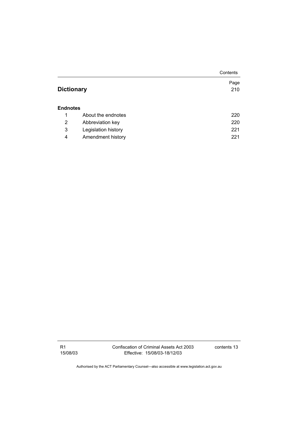|                     | Contents                             |
|---------------------|--------------------------------------|
|                     | Page                                 |
|                     | 210                                  |
|                     |                                      |
| About the endnotes  | 220                                  |
| Abbreviation key    | 220                                  |
| Legislation history | 221                                  |
| Amendment history   | 221                                  |
|                     | <b>Dictionary</b><br><b>Endnotes</b> |

R1 15/08/03 Confiscation of Criminal Assets Act 2003 Effective: 15/08/03-18/12/03

contents 13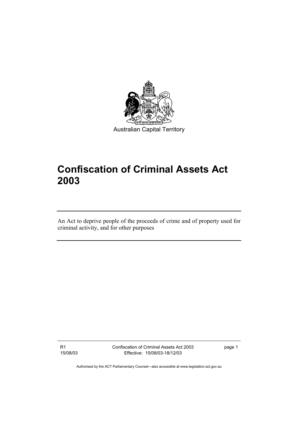

# **Confiscation of Criminal Assets Act 2003**

An Act to deprive people of the proceeds of crime and of property used for criminal activity, and for other purposes

R1 15/08/03 Confiscation of Criminal Assets Act 2003 Effective: 15/08/03-18/12/03

page 1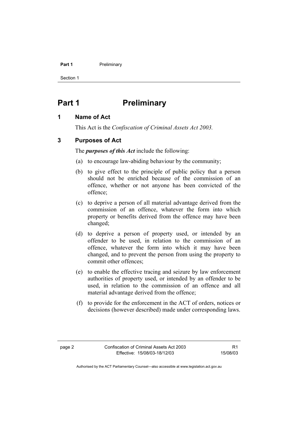#### **Part 1** Preliminary

Section 1

# **Part 1** Preliminary

# **1 Name of Act**

This Act is the *Confiscation of Criminal Assets Act 2003.*

# **3 Purposes of Act**

The *purposes of this Act* include the following:

- (a) to encourage law-abiding behaviour by the community;
- (b) to give effect to the principle of public policy that a person should not be enriched because of the commission of an offence, whether or not anyone has been convicted of the offence;
- (c) to deprive a person of all material advantage derived from the commission of an offence, whatever the form into which property or benefits derived from the offence may have been changed;
- (d) to deprive a person of property used, or intended by an offender to be used, in relation to the commission of an offence, whatever the form into which it may have been changed, and to prevent the person from using the property to commit other offences;
- (e) to enable the effective tracing and seizure by law enforcement authorities of property used, or intended by an offender to be used, in relation to the commission of an offence and all material advantage derived from the offence;
- (f) to provide for the enforcement in the ACT of orders, notices or decisions (however described) made under corresponding laws.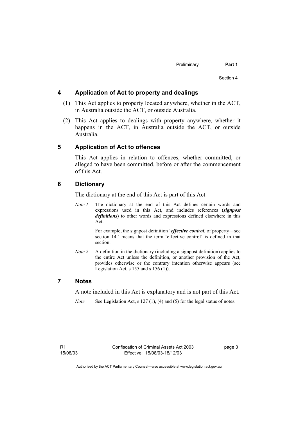# **4 Application of Act to property and dealings**

- (1) This Act applies to property located anywhere, whether in the ACT, in Australia outside the ACT, or outside Australia.
- (2) This Act applies to dealings with property anywhere, whether it happens in the ACT, in Australia outside the ACT, or outside Australia.

### **5 Application of Act to offences**

This Act applies in relation to offences, whether committed, or alleged to have been committed, before or after the commencement of this Act.

# **6 Dictionary**

The dictionary at the end of this Act is part of this Act.

*Note 1* The dictionary at the end of this Act defines certain words and expressions used in this Act, and includes references (*signpost definitions*) to other words and expressions defined elsewhere in this Act.

> For example, the signpost definition '*effective control*, of property—see section 14.' means that the term 'effective control' is defined in that section.

*Note 2* A definition in the dictionary (including a signpost definition) applies to the entire Act unless the definition, or another provision of the Act, provides otherwise or the contrary intention otherwise appears (see Legislation Act,  $s$  155 and  $s$  156 (1)).

## **7 Notes**

A note included in this Act is explanatory and is not part of this Act.

*Note* See Legislation Act, s 127 (1), (4) and (5) for the legal status of notes.

page 3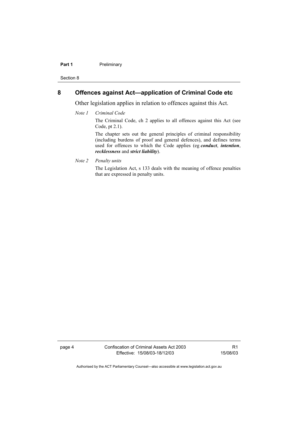#### **Part 1** Preliminary

Section 8

# **8 Offences against Act—application of Criminal Code etc**

Other legislation applies in relation to offences against this Act.

#### *Note 1 Criminal Code*

The Criminal Code, ch 2 applies to all offences against this Act (see Code, pt 2.1).

The chapter sets out the general principles of criminal responsibility (including burdens of proof and general defences), and defines terms used for offences to which the Code applies (eg *conduct*, *intention*, *recklessness* and *strict liability*).

*Note 2 Penalty units* 

The Legislation Act, s 133 deals with the meaning of offence penalties that are expressed in penalty units.

page 4 Confiscation of Criminal Assets Act 2003 Effective: 15/08/03-18/12/03

R1 15/08/03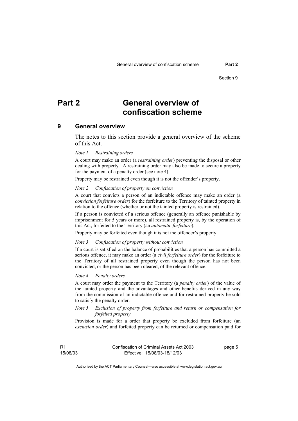# **Part 2 General overview of confiscation scheme**

### **9 General overview**

The notes to this section provide a general overview of the scheme of this Act.

#### *Note 1 Restraining orders*

A court may make an order (a *restraining order*) preventing the disposal or other dealing with property. A restraining order may also be made to secure a property for the payment of a penalty order (see note 4).

Property may be restrained even though it is not the offender's property.

#### *Note 2 Confiscation of property on conviction*

A court that convicts a person of an indictable offence may make an order (a *conviction forfeiture order*) for the forfeiture to the Territory of tainted property in relation to the offence (whether or not the tainted property is restrained).

If a person is convicted of a serious offence (generally an offence punishable by imprisonment for 5 years or more), all restrained property is, by the operation of this Act, forfeited to the Territory (an *automatic forfeiture*).

Property may be forfeited even though it is not the offender's property.

#### *Note 3 Confiscation of property without conviction*

If a court is satisfied on the balance of probabilities that a person has committed a serious offence, it may make an order (a *civil forfeiture order*) for the forfeiture to the Territory of all restrained property even though the person has not been convicted, or the person has been cleared, of the relevant offence.

#### *Note 4 Penalty orders*

A court may order the payment to the Territory (a *penalty order*) of the value of the tainted property and the advantages and other benefits derived in any way from the commission of an indictable offence and for restrained property be sold to satisfy the penalty order.

#### *Note 5 Exclusion of property from forfeiture and return or compensation for forfeited property*

Provision is made for a order that property be excluded from forfeiture (an *exclusion order*) and forfeited property can be returned or compensation paid for

R1 15/08/03 page 5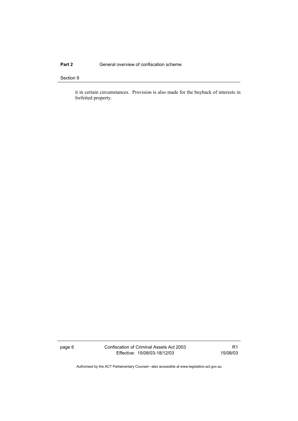### **Part 2 General overview of confiscation scheme**

#### Section 9

it in certain circumstances. Provision is also made for the buyback of interests in forfeited property.

page 6 Confiscation of Criminal Assets Act 2003 Effective: 15/08/03-18/12/03

R1 15/08/03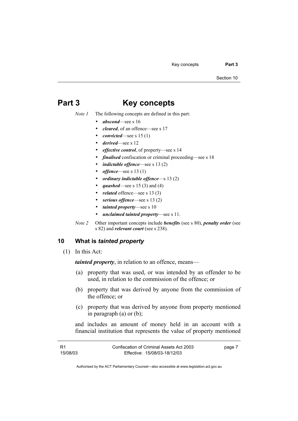Key concepts **Part 3** 

Section 10

# **Part 3 Key concepts**

- *Note 1* The following concepts are defined in this part:
	- *abscond*—see s 16
	- *cleared*, of an offence—see s 17
	- *convicted*—see s 15 (1)
	- *derived*—see s 12
	- *effective control*, of property—see s 14
	- *finalised* confiscation or criminal proceeding—see s 18
	- *indictable offence*—see s 13 (2)
	- *offence*—see s 13 (1)
	- *ordinary indictable offence*—s 13 (2)
	- *quashed*—see s 15 (3) and (4)
	- *related* offence—see s 13 (3)
	- *serious offence*—see s 13 (2)
	- *tainted property*—see s 10
	- *unclaimed tainted property*—see s 11.
- *Note 2* Other important concepts include *benefits* (see s 80), *penalty order* (see s 82) and *relevant court* (see s 238).

# **10 What is** *tainted property*

(1) In this Act:

*tainted property*, in relation to an offence, means—

- (a) property that was used, or was intended by an offender to be used, in relation to the commission of the offence; or
- (b) property that was derived by anyone from the commission of the offence; or
- (c) property that was derived by anyone from property mentioned in paragraph (a) or (b);

and includes an amount of money held in an account with a financial institution that represents the value of property mentioned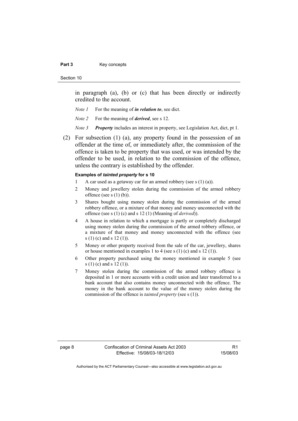#### Part 3 **Key concepts**

Section 10

in paragraph (a), (b) or (c) that has been directly or indirectly credited to the account.

- *Note 1* For the meaning of *in relation to*, see dict.
- *Note 2* For the meaning of *derived*, see s 12.
- *Note 3 Property* includes an interest in property, see Legislation Act, dict, pt 1.
- (2) For subsection (1) (a), any property found in the possession of an offender at the time of, or immediately after, the commission of the offence is taken to be property that was used, or was intended by the offender to be used, in relation to the commission of the offence, unless the contrary is established by the offender.

#### **Examples of** *tainted property* **for s 10**

- 1 A car used as a getaway car for an armed robbery (see s  $(1)$  (a)).
- 2 Money and jewellery stolen during the commission of the armed robbery offence (see s  $(1)$  (b)).
- 3 Shares bought using money stolen during the commission of the armed robbery offence, or a mixture of that money and money unconnected with the offence (see s (1) (c) and s 12 (1) (Meaning of *derived*)).
- 4 A house in relation to which a mortgage is partly or completely discharged using money stolen during the commission of the armed robbery offence, or a mixture of that money and money unconnected with the offence (see s (1) (c) and s 12 (1)).
- 5 Money or other property received from the sale of the car, jewellery, shares or house mentioned in examples 1 to 4 (see s (1) (c) and s 12 (1)).
- 6 Other property purchased using the money mentioned in example 5 (see s (1) (c) and s 12 (1)).
- 7 Money stolen during the commission of the armed robbery offence is deposited in 1 or more accounts with a credit union and later transferred to a bank account that also contains money unconnected with the offence. The money in the bank account to the value of the money stolen during the commission of the offence is *tainted property* (see s (1)).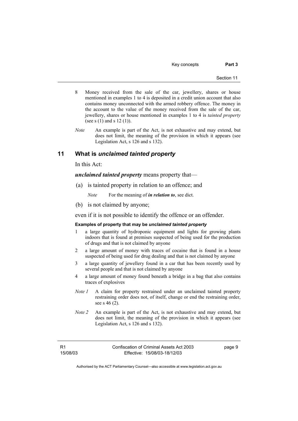Key concepts **Part 3** 

- 8 Money received from the sale of the car, jewellery, shares or house mentioned in examples 1 to 4 is deposited in a credit union account that also contains money unconnected with the armed robbery offence. The money in the account to the value of the money received from the sale of the car, jewellery, shares or house mentioned in examples 1 to 4 is *tainted property* (see s  $(1)$  and s  $12 (1)$ ).
- *Note* An example is part of the Act, is not exhaustive and may extend, but does not limit, the meaning of the provision in which it appears (see Legislation Act, s 126 and s 132).

# **11 What is** *unclaimed tainted property*

In this Act:

*unclaimed tainted property* means property that—

(a) is tainted property in relation to an offence; and

*Note* For the meaning of *in relation to*, see dict.

(b) is not claimed by anyone;

even if it is not possible to identify the offence or an offender.

#### **Examples of property that may be** *unclaimed tainted property*

- a large quantity of hydroponic equipment and lights for growing plants indoors that is found at premises suspected of being used for the production of drugs and that is not claimed by anyone
- 2 a large amount of money with traces of cocaine that is found in a house suspected of being used for drug dealing and that is not claimed by anyone
- 3 a large quantity of jewellery found in a car that has been recently used by several people and that is not claimed by anyone
- 4 a large amount of money found beneath a bridge in a bag that also contains traces of explosives
- *Note 1* A claim for property restrained under an unclaimed tainted property restraining order does not, of itself, change or end the restraining order, see s 46 (2).
- *Note 2* An example is part of the Act, is not exhaustive and may extend, but does not limit, the meaning of the provision in which it appears (see Legislation Act, s 126 and s 132).

R1 15/08/03 page 9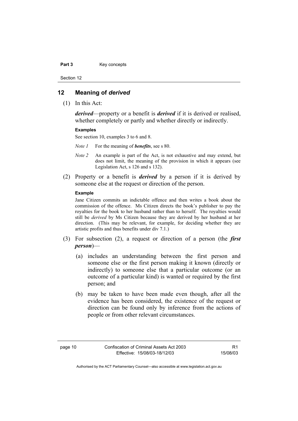Part 3 **Key concepts** 

Section 12

## **12 Meaning of** *derived*

(1) In this Act:

*derived*—property or a benefit is *derived* if it is derived or realised, whether completely or partly and whether directly or indirectly.

### **Examples**

See section 10, examples 3 to 6 and 8.

- *Note 1* For the meaning of *benefits*, see s 80.
- *Note 2* An example is part of the Act, is not exhaustive and may extend, but does not limit, the meaning of the provision in which it appears (see Legislation Act, s 126 and s 132).
- (2) Property or a benefit is *derived* by a person if it is derived by someone else at the request or direction of the person.

#### **Example**

Jane Citizen commits an indictable offence and then writes a book about the commission of the offence. Ms Citizen directs the book's publisher to pay the royalties for the book to her husband rather than to herself. The royalties would still be *derived* by Ms Citizen because they are derived by her husband at her direction. (This may be relevant, for example, for deciding whether they are artistic profits and thus benefits under div 7.1.)

- (3) For subsection (2), a request or direction of a person (the *first person*)—
	- (a) includes an understanding between the first person and someone else or the first person making it known (directly or indirectly) to someone else that a particular outcome (or an outcome of a particular kind) is wanted or required by the first person; and
	- (b) may be taken to have been made even though, after all the evidence has been considered, the existence of the request or direction can be found only by inference from the actions of people or from other relevant circumstances.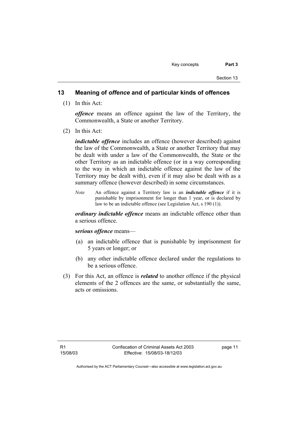## **13 Meaning of** *offence* **and of particular kinds of offences**

(1) In this Act:

*offence* means an offence against the law of the Territory, the Commonwealth, a State or another Territory.

(2) In this Act:

*indictable offence* includes an offence (however described) against the law of the Commonwealth, a State or another Territory that may be dealt with under a law of the Commonwealth, the State or the other Territory as an indictable offence (or in a way corresponding to the way in which an indictable offence against the law of the Territory may be dealt with), even if it may also be dealt with as a summary offence (however described) in some circumstances.

*Note* An offence against a Territory law is an *indictable offence* if it is punishable by imprisonment for longer than 1 year, or is declared by law to be an indictable offence (see Legislation Act, s 190 (1)).

*ordinary indictable offence* means an indictable offence other than a serious offence.

*serious offence* means—

- (a) an indictable offence that is punishable by imprisonment for 5 years or longer; or
- (b) any other indictable offence declared under the regulations to be a serious offence.
- (3) For this Act, an offence is *related* to another offence if the physical elements of the 2 offences are the same, or substantially the same, acts or omissions.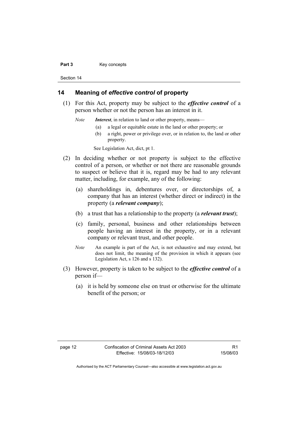#### Part 3 **Key concepts**

Section 14

# **14 Meaning of** *effective control* **of property**

- (1) For this Act, property may be subject to the *effective control* of a person whether or not the person has an interest in it.
	- *Note Interest*, in relation to land or other property, means—
		- (a) a legal or equitable estate in the land or other property; or
		- (b) a right, power or privilege over, or in relation to, the land or other property.

See Legislation Act, dict, pt 1.

- (2) In deciding whether or not property is subject to the effective control of a person, or whether or not there are reasonable grounds to suspect or believe that it is, regard may be had to any relevant matter, including, for example, any of the following:
	- (a) shareholdings in, debentures over, or directorships of, a company that has an interest (whether direct or indirect) in the property (a *relevant company*);
	- (b) a trust that has a relationship to the property (a *relevant trust*);
	- (c) family, personal, business and other relationships between people having an interest in the property, or in a relevant company or relevant trust, and other people.
	- *Note* An example is part of the Act, is not exhaustive and may extend, but does not limit, the meaning of the provision in which it appears (see Legislation Act, s 126 and s 132).
- (3) However, property is taken to be subject to the *effective control* of a person if—
	- (a) it is held by someone else on trust or otherwise for the ultimate benefit of the person; or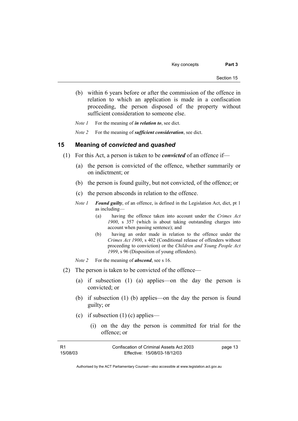- (b) within 6 years before or after the commission of the offence in relation to which an application is made in a confiscation proceeding, the person disposed of the property without sufficient consideration to someone else.
- *Note 1* For the meaning of *in relation to*, see dict.
- *Note 2* For the meaning of *sufficient consideration*, see dict.

### **15 Meaning of** *convicted* **and** *quashed*

- (1) For this Act, a person is taken to be *convicted* of an offence if—
	- (a) the person is convicted of the offence, whether summarily or on indictment; or
	- (b) the person is found guilty, but not convicted, of the offence; or
	- (c) the person absconds in relation to the offence.
	- *Note 1 Found guilty*, of an offence, is defined in the Legislation Act, dict, pt 1 as including—
		- (a) having the offence taken into account under the *Crimes Act 1900*, s 357 (which is about taking outstanding charges into account when passing sentence); and
		- (b) having an order made in relation to the offence under the *Crimes Act 1900*, s 402 (Conditional release of offenders without proceeding to conviction) or the *Children and Young People Act 1999*, s 96 (Disposition of young offenders).
	- *Note 2* For the meaning of *abscond*, see s 16.
- (2) The person is taken to be convicted of the offence—
	- (a) if subsection (1) (a) applies—on the day the person is convicted; or
	- (b) if subsection (1) (b) applies—on the day the person is found guilty; or
	- (c) if subsection  $(1)$  (c) applies—
		- (i) on the day the person is committed for trial for the offence; or

| - R1     | Confiscation of Criminal Assets Act 2003 | page 13 |
|----------|------------------------------------------|---------|
| 15/08/03 | Effective: 15/08/03-18/12/03             |         |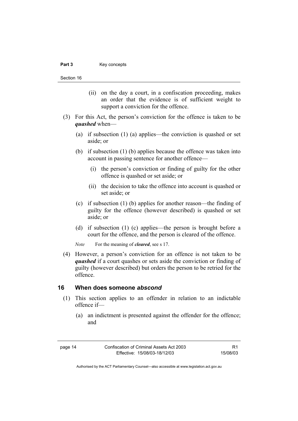#### Part 3 **Key concepts**

Section 16

- (ii) on the day a court, in a confiscation proceeding, makes an order that the evidence is of sufficient weight to support a conviction for the offence.
- (3) For this Act, the person's conviction for the offence is taken to be *quashed* when—
	- (a) if subsection (1) (a) applies—the conviction is quashed or set aside; or
	- (b) if subsection (1) (b) applies because the offence was taken into account in passing sentence for another offence—
		- (i) the person's conviction or finding of guilty for the other offence is quashed or set aside; or
		- (ii) the decision to take the offence into account is quashed or set aside; or
	- (c) if subsection (1) (b) applies for another reason—the finding of guilty for the offence (however described) is quashed or set aside; or
	- (d) if subsection (1) (c) applies—the person is brought before a court for the offence, and the person is cleared of the offence.
	- *Note* For the meaning of *cleared*, see s 17.
- (4) However, a person's conviction for an offence is not taken to be *quashed* if a court quashes or sets aside the conviction or finding of guilty (however described) but orders the person to be retried for the offence.

# **16 When does someone** *abscond*

- (1) This section applies to an offender in relation to an indictable offence if—
	- (a) an indictment is presented against the offender for the offence; and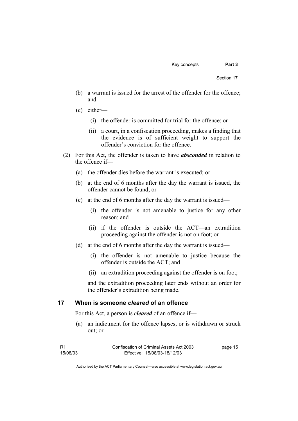- (b) a warrant is issued for the arrest of the offender for the offence; and
- (c) either—
	- (i) the offender is committed for trial for the offence; or
	- (ii) a court, in a confiscation proceeding, makes a finding that the evidence is of sufficient weight to support the offender's conviction for the offence.
- (2) For this Act, the offender is taken to have *absconded* in relation to the offence if—
	- (a) the offender dies before the warrant is executed; or
	- (b) at the end of 6 months after the day the warrant is issued, the offender cannot be found; or
	- (c) at the end of 6 months after the day the warrant is issued—
		- (i) the offender is not amenable to justice for any other reason; and
		- (ii) if the offender is outside the ACT—an extradition proceeding against the offender is not on foot; or
	- (d) at the end of 6 months after the day the warrant is issued—
		- (i) the offender is not amenable to justice because the offender is outside the ACT; and
		- (ii) an extradition proceeding against the offender is on foot;

and the extradition proceeding later ends without an order for the offender's extradition being made.

## **17 When is someone** *cleared* **of an offence**

For this Act, a person is *cleared* of an offence if—

 (a) an indictment for the offence lapses, or is withdrawn or struck out; or

| - R1     | Confiscation of Criminal Assets Act 2003 | page 15 |
|----------|------------------------------------------|---------|
| 15/08/03 | Effective: 15/08/03-18/12/03             |         |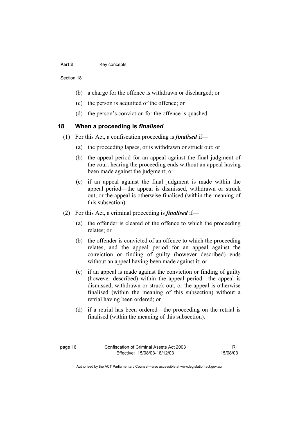#### Part 3 **Key concepts**

Section 18

- (b) a charge for the offence is withdrawn or discharged; or
- (c) the person is acquitted of the offence; or
- (d) the person's conviction for the offence is quashed.

# **18 When a proceeding is** *finalised*

- (1) For this Act, a confiscation proceeding is *finalised* if—
	- (a) the proceeding lapses, or is withdrawn or struck out; or
	- (b) the appeal period for an appeal against the final judgment of the court hearing the proceeding ends without an appeal having been made against the judgment; or
	- (c) if an appeal against the final judgment is made within the appeal period—the appeal is dismissed, withdrawn or struck out, or the appeal is otherwise finalised (within the meaning of this subsection).
- (2) For this Act, a criminal proceeding is *finalised* if—
	- (a) the offender is cleared of the offence to which the proceeding relates; or
	- (b) the offender is convicted of an offence to which the proceeding relates, and the appeal period for an appeal against the conviction or finding of guilty (however described) ends without an appeal having been made against it; or
	- (c) if an appeal is made against the conviction or finding of guilty (however described) within the appeal period—the appeal is dismissed, withdrawn or struck out, or the appeal is otherwise finalised (within the meaning of this subsection) without a retrial having been ordered; or
	- (d) if a retrial has been ordered—the proceeding on the retrial is finalised (within the meaning of this subsection).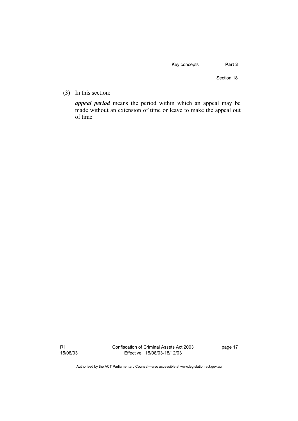| Key concepts | Part 3 |
|--------------|--------|
|--------------|--------|

Section 18

(3) In this section:

*appeal period* means the period within which an appeal may be made without an extension of time or leave to make the appeal out of time.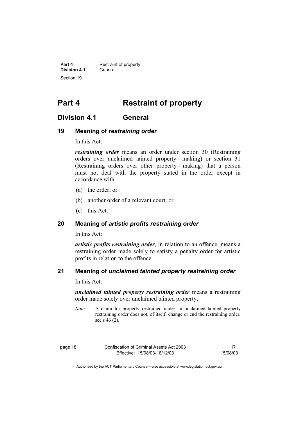**Part 4 Restraint of property Division 4.1** General Section 19

# **Part 4 Restraint of property**

# **Division 4.1 General**

# **19 Meaning of** *restraining order*

In this Act:

*restraining order* means an order under section 30 (Restraining orders over unclaimed tainted property—making) or section 31 (Restraining orders over other property—making) that a person must not deal with the property stated in the order except in accordance with—

- (a) the order; or
- (b) another order of a relevant court; or
- (c) this Act.

# **20 Meaning of** *artistic profits restraining order*

In this Act:

*artistic profits restraining order*, in relation to an offence, means a restraining order made solely to satisfy a penalty order for artistic profits in relation to the offence.

# **21 Meaning of** *unclaimed tainted property restraining order*

In this Act:

*unclaimed tainted property restraining order* means a restraining order made solely over unclaimed tainted property.

*Note* A claim for property restrained under an unclaimed tainted property restraining order does not, of itself, change or end the restraining order, see s  $46(2)$ .

| ю<br>∽<br>œ |  |
|-------------|--|
|-------------|--|

R1 15/08/03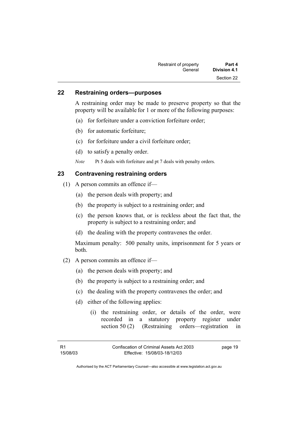| Restraint of property | Part 4       |
|-----------------------|--------------|
| General               | Division 4.1 |
|                       | Section 22   |

# **22 Restraining orders—purposes**

A restraining order may be made to preserve property so that the property will be available for 1 or more of the following purposes:

- (a) for forfeiture under a conviction forfeiture order;
- (b) for automatic forfeiture;
- (c) for forfeiture under a civil forfeiture order;
- (d) to satisfy a penalty order.

*Note* Pt 5 deals with forfeiture and pt 7 deals with penalty orders.

# **23 Contravening restraining orders**

- (1) A person commits an offence if—
	- (a) the person deals with property; and
	- (b) the property is subject to a restraining order; and
	- (c) the person knows that, or is reckless about the fact that, the property is subject to a restraining order; and
	- (d) the dealing with the property contravenes the order.

Maximum penalty: 500 penalty units, imprisonment for 5 years or both.

- (2) A person commits an offence if—
	- (a) the person deals with property; and
	- (b) the property is subject to a restraining order; and
	- (c) the dealing with the property contravenes the order; and
	- (d) either of the following applies:
		- (i) the restraining order, or details of the order, were recorded in a statutory property register under section 50 (2) (Restraining orders—registration in

page 19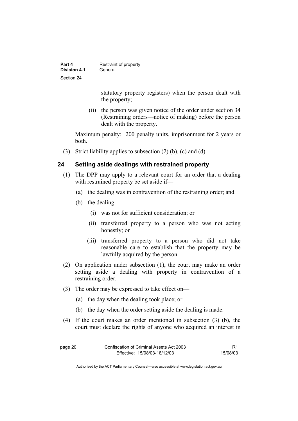| Part 4              | Restraint of property |
|---------------------|-----------------------|
| <b>Division 4.1</b> | General               |
| Section 24          |                       |

statutory property registers) when the person dealt with the property;

 (ii) the person was given notice of the order under section 34 (Restraining orders—notice of making) before the person dealt with the property.

Maximum penalty: 200 penalty units, imprisonment for 2 years or both.

(3) Strict liability applies to subsection (2) (b), (c) and (d).

# **24 Setting aside dealings with restrained property**

- (1) The DPP may apply to a relevant court for an order that a dealing with restrained property be set aside if—
	- (a) the dealing was in contravention of the restraining order; and
	- (b) the dealing—
		- (i) was not for sufficient consideration; or
		- (ii) transferred property to a person who was not acting honestly; or
		- (iii) transferred property to a person who did not take reasonable care to establish that the property may be lawfully acquired by the person
- (2) On application under subsection (1), the court may make an order setting aside a dealing with property in contravention of a restraining order.
- (3) The order may be expressed to take effect on—
	- (a) the day when the dealing took place; or
	- (b) the day when the order setting aside the dealing is made.
- (4) If the court makes an order mentioned in subsection (3) (b), the court must declare the rights of anyone who acquired an interest in

| page 20 | Confiscation of Criminal Assets Act 2003 | R1       |
|---------|------------------------------------------|----------|
|         | Effective: 15/08/03-18/12/03             | 15/08/03 |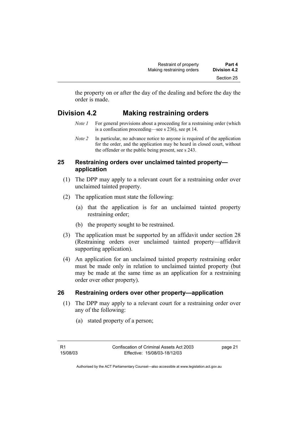the property on or after the day of the dealing and before the day the order is made.

# **Division 4.2 Making restraining orders**

- *Note 1* For general provisions about a proceeding for a restraining order (which is a confiscation proceeding—see s 236), see pt 14.
- *Note 2* In particular, no advance notice to anyone is required of the application for the order, and the application may be heard in closed court, without the offender or the public being present, see s 243.

## **25 Restraining orders over unclaimed tainted property application**

- (1) The DPP may apply to a relevant court for a restraining order over unclaimed tainted property.
- (2) The application must state the following:
	- (a) that the application is for an unclaimed tainted property restraining order;
	- (b) the property sought to be restrained.
- (3) The application must be supported by an affidavit under section 28 (Restraining orders over unclaimed tainted property—affidavit supporting application).
- (4) An application for an unclaimed tainted property restraining order must be made only in relation to unclaimed tainted property (but may be made at the same time as an application for a restraining order over other property).

# **26 Restraining orders over other property—application**

- (1) The DPP may apply to a relevant court for a restraining order over any of the following:
	- (a) stated property of a person;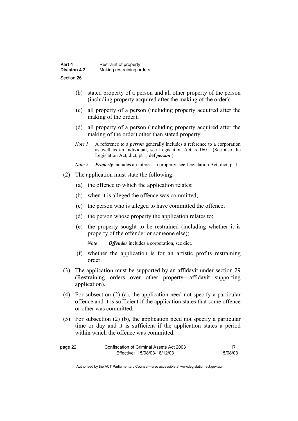| Part 4              | Restraint of property     |
|---------------------|---------------------------|
| <b>Division 4.2</b> | Making restraining orders |
| Section 26          |                           |

- (b) stated property of a person and all other property of the person (including property acquired after the making of the order);
- (c) all property of a person (including property acquired after the making of the order);
- (d) all property of a person (including property acquired after the making of the order) other than stated property.
- *Note 1* A reference to a *person* generally includes a reference to a corporation as well as an individual, see Legislation Act, s 160. (See also the Legislation Act, dict, pt 1, def *person*.)
- *Note 2 Property* includes an interest in property, see Legislation Act, dict, pt 1.
- (2) The application must state the following:
	- (a) the offence to which the application relates;
	- (b) when it is alleged the offence was committed;
	- (c) the person who is alleged to have committed the offence;
	- (d) the person whose property the application relates to;
	- (e) the property sought to be restrained (including whether it is property of the offender or someone else);

*Note Offender* includes a corporation, see dict.

- (f) whether the application is for an artistic profits restraining order.
- (3) The application must be supported by an affidavit under section 29 (Restraining orders over other property—affidavit supporting application).
- (4) For subsection (2) (a), the application need not specify a particular offence and it is sufficient if the application states that some offence or other was committed.
- (5) For subsection (2) (b), the application need not specify a particular time or day and it is sufficient if the application states a period within which the offence was committed.

| page 22 | Confiscation of Criminal Assets Act 2003 |          |
|---------|------------------------------------------|----------|
|         | Effective: 15/08/03-18/12/03             | 15/08/03 |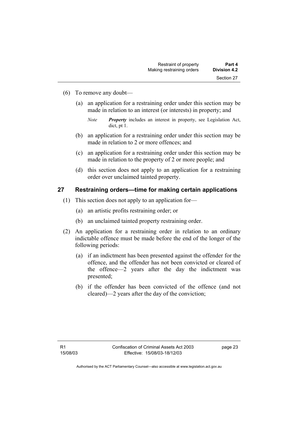- (6) To remove any doubt—
	- (a) an application for a restraining order under this section may be made in relation to an interest (or interests) in property; and

- (b) an application for a restraining order under this section may be made in relation to 2 or more offences; and
- (c) an application for a restraining order under this section may be made in relation to the property of 2 or more people; and
- (d) this section does not apply to an application for a restraining order over unclaimed tainted property.

#### **27 Restraining orders—time for making certain applications**

- (1) This section does not apply to an application for—
	- (a) an artistic profits restraining order; or
	- (b) an unclaimed tainted property restraining order.
- (2) An application for a restraining order in relation to an ordinary indictable offence must be made before the end of the longer of the following periods:
	- (a) if an indictment has been presented against the offender for the offence, and the offender has not been convicted or cleared of the offence—2 years after the day the indictment was presented;
	- (b) if the offender has been convicted of the offence (and not cleared)—2 years after the day of the conviction;

*Note Property* includes an interest in property, see Legislation Act, dict, pt 1.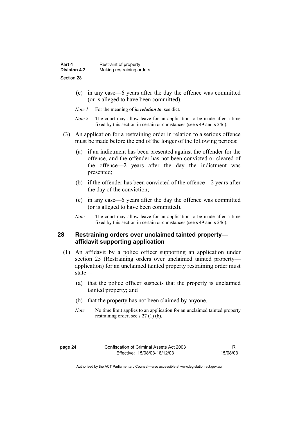- (c) in any case—6 years after the day the offence was committed (or is alleged to have been committed).
- *Note 1* For the meaning of *in relation to*, see dict.
- *Note 2* The court may allow leave for an application to be made after a time fixed by this section in certain circumstances (see s 49 and s 246).
- (3) An application for a restraining order in relation to a serious offence must be made before the end of the longer of the following periods:
	- (a) if an indictment has been presented against the offender for the offence, and the offender has not been convicted or cleared of the offence—2 years after the day the indictment was presented;
	- (b) if the offender has been convicted of the offence—2 years after the day of the conviction;
	- (c) in any case—6 years after the day the offence was committed (or is alleged to have been committed).
	- *Note* The court may allow leave for an application to be made after a time fixed by this section in certain circumstances (see s 49 and s 246).

#### **28 Restraining orders over unclaimed tainted property affidavit supporting application**

- (1) An affidavit by a police officer supporting an application under section 25 (Restraining orders over unclaimed tainted property application) for an unclaimed tainted property restraining order must state—
	- (a) that the police officer suspects that the property is unclaimed tainted property; and
	- (b) that the property has not been claimed by anyone.
	- *Note* No time limit applies to an application for an unclaimed tainted property restraining order, see s 27 (1) (b).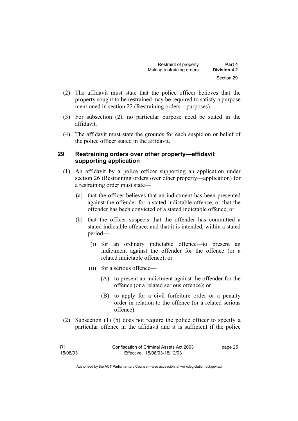- (2) The affidavit must state that the police officer believes that the property sought to be restrained may be required to satisfy a purpose mentioned in section 22 (Restraining orders—purposes).
- (3) For subsection (2), no particular purpose need be stated in the affidavit.
- (4) The affidavit must state the grounds for each suspicion or belief of the police officer stated in the affidavit.

## **29 Restraining orders over other property—affidavit supporting application**

- (1) An affidavit by a police officer supporting an application under section 26 (Restraining orders over other property—application) for a restraining order must state—
	- (a) that the officer believes that an indictment has been presented against the offender for a stated indictable offence, or that the offender has been convicted of a stated indictable offence; or
	- (b) that the officer suspects that the offender has committed a stated indictable offence, and that it is intended, within a stated period—
		- (i) for an ordinary indictable offence—to present an indictment against the offender for the offence (or a related indictable offence); or
		- (ii) for a serious offence—
			- (A) to present an indictment against the offender for the offence (or a related serious offence); or
			- (B) to apply for a civil forfeiture order or a penalty order in relation to the offence (or a related serious offence).
- (2) Subsection (1) (b) does not require the police officer to specify a particular offence in the affidavit and it is sufficient if the police

| - R1     | Confiscation of Criminal Assets Act 2003 | page 25 |
|----------|------------------------------------------|---------|
| 15/08/03 | Effective: 15/08/03-18/12/03             |         |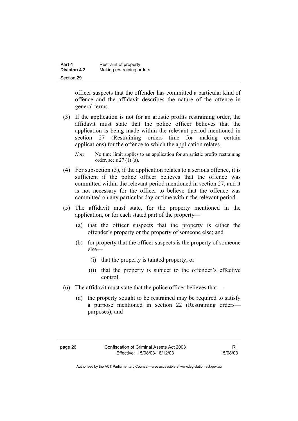| Part 4              | Restraint of property     |
|---------------------|---------------------------|
| <b>Division 4.2</b> | Making restraining orders |
| Section 29          |                           |

officer suspects that the offender has committed a particular kind of offence and the affidavit describes the nature of the offence in general terms.

- (3) If the application is not for an artistic profits restraining order, the affidavit must state that the police officer believes that the application is being made within the relevant period mentioned in section 27 (Restraining orders—time for making certain applications) for the offence to which the application relates.
	- *Note* No time limit applies to an application for an artistic profits restraining order, see s 27 (1) (a).
- (4) For subsection (3), if the application relates to a serious offence, it is sufficient if the police officer believes that the offence was committed within the relevant period mentioned in section 27, and it is not necessary for the officer to believe that the offence was committed on any particular day or time within the relevant period.
- (5) The affidavit must state, for the property mentioned in the application, or for each stated part of the property—
	- (a) that the officer suspects that the property is either the offender's property or the property of someone else; and
	- (b) for property that the officer suspects is the property of someone else—
		- (i) that the property is tainted property; or
		- (ii) that the property is subject to the offender's effective control.
- (6) The affidavit must state that the police officer believes that—
	- (a) the property sought to be restrained may be required to satisfy a purpose mentioned in section 22 (Restraining orders purposes); and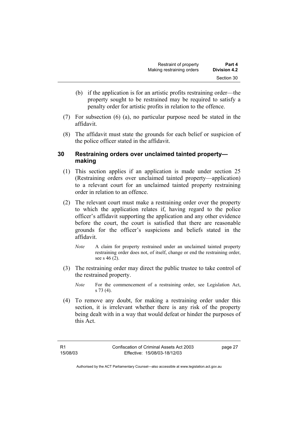- (b) if the application is for an artistic profits restraining order—the property sought to be restrained may be required to satisfy a penalty order for artistic profits in relation to the offence.
- (7) For subsection (6) (a), no particular purpose need be stated in the affidavit.
- (8) The affidavit must state the grounds for each belief or suspicion of the police officer stated in the affidavit.

## **30 Restraining orders over unclaimed tainted property making**

- (1) This section applies if an application is made under section 25 (Restraining orders over unclaimed tainted property—application) to a relevant court for an unclaimed tainted property restraining order in relation to an offence.
- (2) The relevant court must make a restraining order over the property to which the application relates if, having regard to the police officer's affidavit supporting the application and any other evidence before the court, the court is satisfied that there are reasonable grounds for the officer's suspicions and beliefs stated in the affidavit.
	- *Note* A claim for property restrained under an unclaimed tainted property restraining order does not, of itself, change or end the restraining order, see s 46 (2).
- (3) The restraining order may direct the public trustee to take control of the restrained property.
	- *Note* For the commencement of a restraining order, see Legislation Act, s 73 (4).
- (4) To remove any doubt, for making a restraining order under this section, it is irrelevant whether there is any risk of the property being dealt with in a way that would defeat or hinder the purposes of this Act.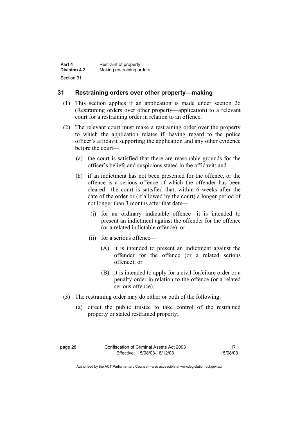| Part 4              | Restraint of property     |
|---------------------|---------------------------|
| <b>Division 4.2</b> | Making restraining orders |
| Section 31          |                           |

#### **31 Restraining orders over other property—making**

- (1) This section applies if an application is made under section 26 (Restraining orders over other property—application) to a relevant court for a restraining order in relation to an offence.
- (2) The relevant court must make a restraining order over the property to which the application relates if, having regard to the police officer's affidavit supporting the application and any other evidence before the court—
	- (a) the court is satisfied that there are reasonable grounds for the officer's beliefs and suspicions stated in the affidavit; and
	- (b) if an indictment has not been presented for the offence, or the offence is a serious offence of which the offender has been cleared—the court is satisfied that, within 6 weeks after the date of the order or (if allowed by the court) a longer period of not longer than 3 months after that date—
		- (i) for an ordinary indictable offence—it is intended to present an indictment against the offender for the offence (or a related indictable offence); or
		- (ii) for a serious offence—
			- (A) it is intended to present an indictment against the offender for the offence (or a related serious offence); or
			- (B) it is intended to apply for a civil forfeiture order or a penalty order in relation to the offence (or a related serious offence).
- (3) The restraining order may do either or both of the following:
	- (a) direct the public trustee to take control of the restrained property or stated restrained property;

R1 15/08/03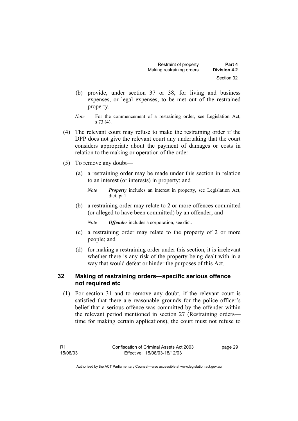- (b) provide, under section 37 or 38, for living and business expenses, or legal expenses, to be met out of the restrained property.
- *Note* For the commencement of a restraining order, see Legislation Act, s 73 (4).
- (4) The relevant court may refuse to make the restraining order if the DPP does not give the relevant court any undertaking that the court considers appropriate about the payment of damages or costs in relation to the making or operation of the order.
- (5) To remove any doubt—
	- (a) a restraining order may be made under this section in relation to an interest (or interests) in property; and
		- *Note Property* includes an interest in property, see Legislation Act, dict, pt 1.
	- (b) a restraining order may relate to 2 or more offences committed (or alleged to have been committed) by an offender; and

*Note Offender* includes a corporation, see dict.

- (c) a restraining order may relate to the property of 2 or more people; and
- (d) for making a restraining order under this section, it is irrelevant whether there is any risk of the property being dealt with in a way that would defeat or hinder the purposes of this Act.

## **32 Making of restraining orders—specific serious offence not required etc**

 (1) For section 31 and to remove any doubt, if the relevant court is satisfied that there are reasonable grounds for the police officer's belief that a serious offence was committed by the offender within the relevant period mentioned in section 27 (Restraining orders time for making certain applications), the court must not refuse to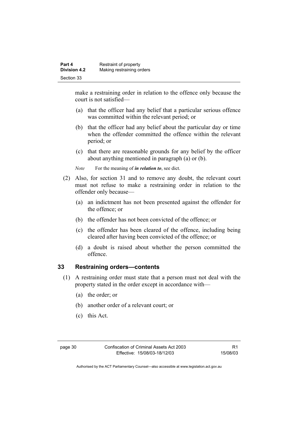make a restraining order in relation to the offence only because the court is not satisfied—

- (a) that the officer had any belief that a particular serious offence was committed within the relevant period; or
- (b) that the officer had any belief about the particular day or time when the offender committed the offence within the relevant period; or
- (c) that there are reasonable grounds for any belief by the officer about anything mentioned in paragraph (a) or (b).

*Note* For the meaning of *in relation to*, see dict.

- (2) Also, for section 31 and to remove any doubt, the relevant court must not refuse to make a restraining order in relation to the offender only because—
	- (a) an indictment has not been presented against the offender for the offence; or
	- (b) the offender has not been convicted of the offence; or
	- (c) the offender has been cleared of the offence, including being cleared after having been convicted of the offence; or
	- (d) a doubt is raised about whether the person committed the offence.

#### **33 Restraining orders—contents**

- (1) A restraining order must state that a person must not deal with the property stated in the order except in accordance with—
	- (a) the order; or
	- (b) another order of a relevant court; or
	- (c) this Act.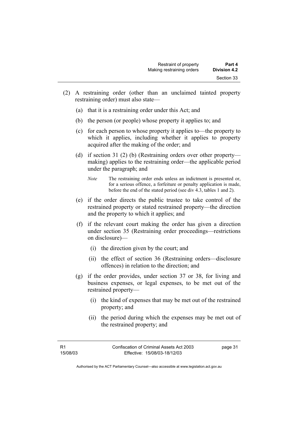- (2) A restraining order (other than an unclaimed tainted property restraining order) must also state—
	- (a) that it is a restraining order under this Act; and
	- (b) the person (or people) whose property it applies to; and
	- (c) for each person to whose property it applies to—the property to which it applies, including whether it applies to property acquired after the making of the order; and
	- (d) if section 31 (2) (b) (Restraining orders over other property making) applies to the restraining order—the applicable period under the paragraph; and
		- *Note* The restraining order ends unless an indictment is presented or, for a serious offence, a forfeiture or penalty application is made, before the end of the stated period (see div 4.3, tables 1 and 2).
	- (e) if the order directs the public trustee to take control of the restrained property or stated restrained property—the direction and the property to which it applies; and
	- (f) if the relevant court making the order has given a direction under section 35 (Restraining order proceedings—restrictions on disclosure)—
		- (i) the direction given by the court; and
		- (ii) the effect of section 36 (Restraining orders—disclosure offences) in relation to the direction; and
	- (g) if the order provides, under section 37 or 38, for living and business expenses, or legal expenses, to be met out of the restrained property—
		- (i) the kind of expenses that may be met out of the restrained property; and
		- (ii) the period during which the expenses may be met out of the restrained property; and

Authorised by the ACT Parliamentary Counsel—also accessible at www.legislation.act.gov.au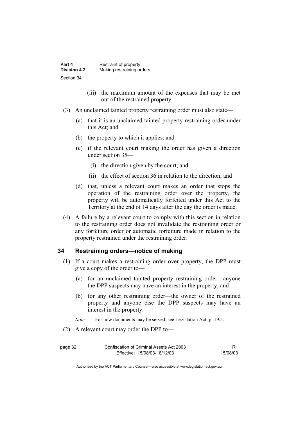| Part 4              | Restraint of property     |
|---------------------|---------------------------|
| <b>Division 4.2</b> | Making restraining orders |
| Section 34          |                           |

- (iii) the maximum amount of the expenses that may be met out of the restrained property.
- (3) An unclaimed tainted property restraining order must also state—
	- (a) that it is an unclaimed tainted property restraining order under this Act; and
	- (b) the property to which it applies; and
	- (c) if the relevant court making the order has given a direction under section 35—
		- (i) the direction given by the court; and
		- (ii) the effect of section 36 in relation to the direction; and
	- (d) that, unless a relevant court makes an order that stops the operation of the restraining order over the property, the property will be automatically forfeited under this Act to the Territory at the end of 14 days after the day the order is made.
- (4) A failure by a relevant court to comply with this section in relation to the restraining order does not invalidate the restraining order or any forfeiture order or automatic forfeiture made in relation to the property restrained under the restraining order.

#### **34 Restraining orders—notice of making**

- (1) If a court makes a restraining order over property, the DPP must give a copy of the order to—
	- (a) for an unclaimed tainted property restraining order—anyone the DPP suspects may have an interest in the property; and
	- (b) for any other restraining order—the owner of the restrained property and anyone else the DPP suspects may have an interest in the property.

*Note* For how documents may be served, see Legislation Act, pt 19.5.

(2) A relevant court may order the DPP to—

R1 15/08/03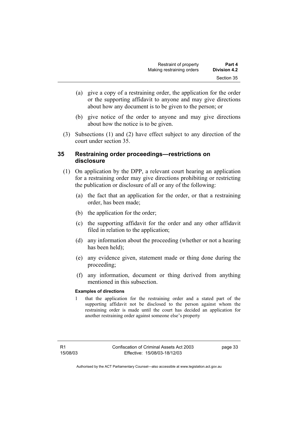- (a) give a copy of a restraining order, the application for the order or the supporting affidavit to anyone and may give directions about how any document is to be given to the person; or
- (b) give notice of the order to anyone and may give directions about how the notice is to be given.
- (3) Subsections (1) and (2) have effect subject to any direction of the court under section 35.

#### **35 Restraining order proceedings—restrictions on disclosure**

- (1) On application by the DPP, a relevant court hearing an application for a restraining order may give directions prohibiting or restricting the publication or disclosure of all or any of the following:
	- (a) the fact that an application for the order, or that a restraining order, has been made;
	- (b) the application for the order;
	- (c) the supporting affidavit for the order and any other affidavit filed in relation to the application;
	- (d) any information about the proceeding (whether or not a hearing has been held);
	- (e) any evidence given, statement made or thing done during the proceeding;
	- (f) any information, document or thing derived from anything mentioned in this subsection.

#### **Examples of directions**

1 that the application for the restraining order and a stated part of the supporting affidavit not be disclosed to the person against whom the restraining order is made until the court has decided an application for another restraining order against someone else's property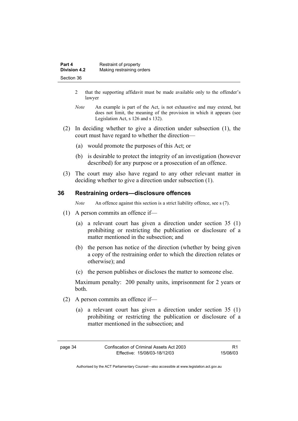| Part 4              | Restraint of property     |
|---------------------|---------------------------|
| <b>Division 4.2</b> | Making restraining orders |
| Section 36          |                           |

- 2 that the supporting affidavit must be made available only to the offender's lawyer
- *Note* An example is part of the Act, is not exhaustive and may extend, but does not limit, the meaning of the provision in which it appears (see Legislation Act, s 126 and s 132).
- (2) In deciding whether to give a direction under subsection (1), the court must have regard to whether the direction—
	- (a) would promote the purposes of this Act; or
	- (b) is desirable to protect the integrity of an investigation (however described) for any purpose or a prosecution of an offence.
- (3) The court may also have regard to any other relevant matter in deciding whether to give a direction under subsection (1).

#### **36 Restraining orders—disclosure offences**

*Note* An offence against this section is a strict liability offence, see s (7).

- (1) A person commits an offence if—
	- (a) a relevant court has given a direction under section 35 (1) prohibiting or restricting the publication or disclosure of a matter mentioned in the subsection; and
	- (b) the person has notice of the direction (whether by being given a copy of the restraining order to which the direction relates or otherwise); and
	- (c) the person publishes or discloses the matter to someone else.

Maximum penalty: 200 penalty units, imprisonment for 2 years or both.

- (2) A person commits an offence if—
	- (a) a relevant court has given a direction under section 35 (1) prohibiting or restricting the publication or disclosure of a matter mentioned in the subsection; and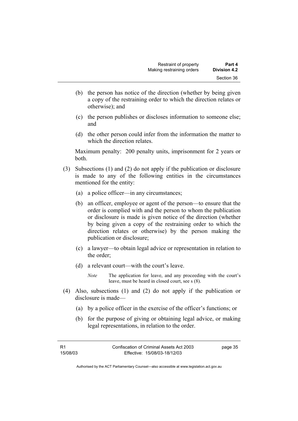- (b) the person has notice of the direction (whether by being given a copy of the restraining order to which the direction relates or otherwise); and
- (c) the person publishes or discloses information to someone else; and
- (d) the other person could infer from the information the matter to which the direction relates.

Maximum penalty: 200 penalty units, imprisonment for 2 years or both.

- (3) Subsections (1) and (2) do not apply if the publication or disclosure is made to any of the following entities in the circumstances mentioned for the entity:
	- (a) a police officer—in any circumstances;
	- (b) an officer, employee or agent of the person—to ensure that the order is complied with and the person to whom the publication or disclosure is made is given notice of the direction (whether by being given a copy of the restraining order to which the direction relates or otherwise) by the person making the publication or disclosure;
	- (c) a lawyer—to obtain legal advice or representation in relation to the order;
	- (d) a relevant court—with the court's leave.

*Note* The application for leave, and any proceeding with the court's leave, must be heard in closed court, see s (8).

- (4) Also, subsections (1) and (2) do not apply if the publication or disclosure is made—
	- (a) by a police officer in the exercise of the officer's functions; or
	- (b) for the purpose of giving or obtaining legal advice, or making legal representations, in relation to the order.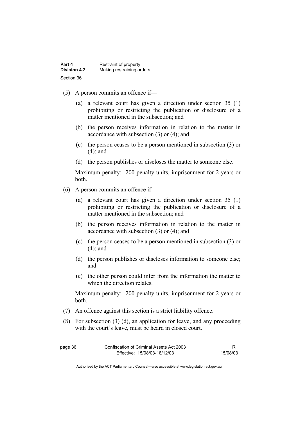| Part 4       | Restraint of property     |
|--------------|---------------------------|
| Division 4.2 | Making restraining orders |
| Section 36   |                           |

- (5) A person commits an offence if—
	- (a) a relevant court has given a direction under section 35 (1) prohibiting or restricting the publication or disclosure of a matter mentioned in the subsection; and
	- (b) the person receives information in relation to the matter in accordance with subsection (3) or (4); and
	- (c) the person ceases to be a person mentioned in subsection (3) or (4); and
	- (d) the person publishes or discloses the matter to someone else.

Maximum penalty: 200 penalty units, imprisonment for 2 years or both.

- (6) A person commits an offence if—
	- (a) a relevant court has given a direction under section 35 (1) prohibiting or restricting the publication or disclosure of a matter mentioned in the subsection; and
	- (b) the person receives information in relation to the matter in accordance with subsection (3) or (4); and
	- (c) the person ceases to be a person mentioned in subsection (3) or (4); and
	- (d) the person publishes or discloses information to someone else; and
	- (e) the other person could infer from the information the matter to which the direction relates.

Maximum penalty: 200 penalty units, imprisonment for 2 years or both.

- (7) An offence against this section is a strict liability offence.
- (8) For subsection (3) (d), an application for leave, and any proceeding with the court's leave, must be heard in closed court.

| page 36 | Confiscation of Criminal Assets Act 2003 | R1       |
|---------|------------------------------------------|----------|
|         | Effective: 15/08/03-18/12/03             | 15/08/03 |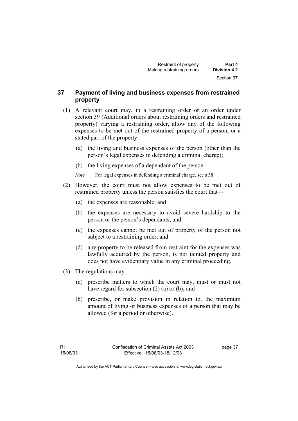## **37 Payment of living and business expenses from restrained property**

- (1) A relevant court may, in a restraining order or an order under section 39 (Additional orders about restraining orders and restrained property) varying a restraining order, allow any of the following expenses to be met out of the restrained property of a person, or a stated part of the property:
	- (a) the living and business expenses of the person (other than the person's legal expenses in defending a criminal charge);
	- (b) the living expenses of a dependant of the person.
	- *Note* For legal expenses in defending a criminal charge, see s 38.
- (2) However, the court must not allow expenses to be met out of restrained property unless the person satisfies the court that—
	- (a) the expenses are reasonable; and
	- (b) the expenses are necessary to avoid severe hardship to the person or the person's dependants; and
	- (c) the expenses cannot be met out of property of the person not subject to a restraining order; and
	- (d) any property to be released from restraint for the expenses was lawfully acquired by the person, is not tainted property and does not have evidentiary value in any criminal proceeding.
- (3) The regulations may—
	- (a) prescribe matters to which the court may, must or must not have regard for subsection (2) (a) or (b); and
	- (b) prescribe, or make provision in relation to, the maximum amount of living or business expenses of a person that may be allowed (for a period or otherwise).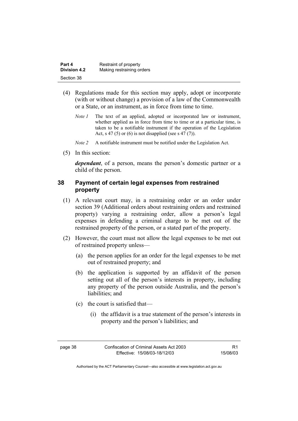| Part 4              | Restraint of property     |
|---------------------|---------------------------|
| <b>Division 4.2</b> | Making restraining orders |
| Section 38          |                           |

- (4) Regulations made for this section may apply, adopt or incorporate (with or without change) a provision of a law of the Commonwealth or a State, or an instrument, as in force from time to time.
	- *Note 1* The text of an applied, adopted or incorporated law or instrument, whether applied as in force from time to time or at a particular time, is taken to be a notifiable instrument if the operation of the Legislation Act, s 47 (5) or (6) is not disapplied (see s 47 (7)).
	- *Note 2* A notifiable instrument must be notified under the Legislation Act.
- (5) In this section:

*dependant*, of a person, means the person's domestic partner or a child of the person.

## **38 Payment of certain legal expenses from restrained property**

- (1) A relevant court may, in a restraining order or an order under section 39 (Additional orders about restraining orders and restrained property) varying a restraining order, allow a person's legal expenses in defending a criminal charge to be met out of the restrained property of the person, or a stated part of the property.
- (2) However, the court must not allow the legal expenses to be met out of restrained property unless—
	- (a) the person applies for an order for the legal expenses to be met out of restrained property; and
	- (b) the application is supported by an affidavit of the person setting out all of the person's interests in property, including any property of the person outside Australia, and the person's liabilities; and
	- (c) the court is satisfied that—
		- (i) the affidavit is a true statement of the person's interests in property and the person's liabilities; and

R1 15/08/03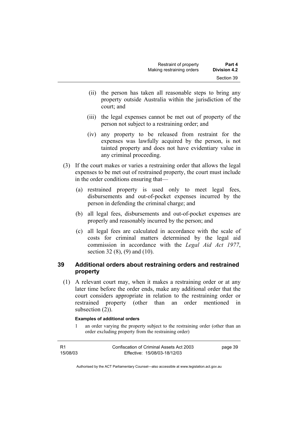- (ii) the person has taken all reasonable steps to bring any property outside Australia within the jurisdiction of the court; and
- (iii) the legal expenses cannot be met out of property of the person not subject to a restraining order; and
- (iv) any property to be released from restraint for the expenses was lawfully acquired by the person, is not tainted property and does not have evidentiary value in any criminal proceeding.
- (3) If the court makes or varies a restraining order that allows the legal expenses to be met out of restrained property, the court must include in the order conditions ensuring that—
	- (a) restrained property is used only to meet legal fees, disbursements and out-of-pocket expenses incurred by the person in defending the criminal charge; and
	- (b) all legal fees, disbursements and out-of-pocket expenses are properly and reasonably incurred by the person; and
	- (c) all legal fees are calculated in accordance with the scale of costs for criminal matters determined by the legal aid commission in accordance with the *Legal Aid Act 1977*, section 32 (8), (9) and (10).

## **39 Additional orders about restraining orders and restrained property**

 (1) A relevant court may, when it makes a restraining order or at any later time before the order ends, make any additional order that the court considers appropriate in relation to the restraining order or restrained property (other than an order mentioned in subsection  $(2)$ ).

#### **Examples of additional orders**

1 an order varying the property subject to the restraining order (other than an order excluding property from the restraining order)

| R1       | Confiscation of Criminal Assets Act 2003 | page 39 |
|----------|------------------------------------------|---------|
| 15/08/03 | Effective: 15/08/03-18/12/03             |         |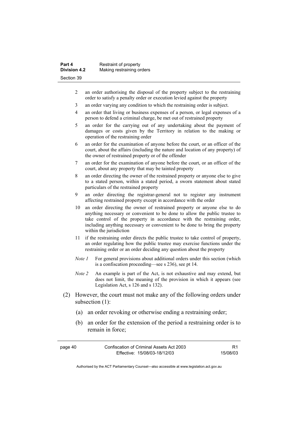| Part 4              | Restraint of property     |
|---------------------|---------------------------|
| <b>Division 4.2</b> | Making restraining orders |
| Section 39          |                           |

- 2 an order authorising the disposal of the property subject to the restraining order to satisfy a penalty order or execution levied against the property
- 3 an order varying any condition to which the restraining order is subject.
- 4 an order that living or business expenses of a person, or legal expenses of a person to defend a criminal charge, be met out of restrained property
- 5 an order for the carrying out of any undertaking about the payment of damages or costs given by the Territory in relation to the making or operation of the restraining order
- 6 an order for the examination of anyone before the court, or an officer of the court, about the affairs (including the nature and location of any property) of the owner of restrained property or of the offender
- 7 an order for the examination of anyone before the court, or an officer of the court, about any property that may be tainted property
- 8 an order directing the owner of the restrained property or anyone else to give to a stated person, within a stated period, a sworn statement about stated particulars of the restrained property
- 9 an order directing the registrar-general not to register any instrument affecting restrained property except in accordance with the order
- 10 an order directing the owner of restrained property or anyone else to do anything necessary or convenient to be done to allow the public trustee to take control of the property in accordance with the restraining order, including anything necessary or convenient to be done to bring the property within the jurisdiction
- 11 if the restraining order directs the public trustee to take control of property, an order regulating how the public trustee may exercise functions under the restraining order or an order deciding any question about the property
- *Note 1* For general provisions about additional orders under this section (which is a confiscation proceeding—see s 236), see pt 14.
- *Note 2* An example is part of the Act, is not exhaustive and may extend, but does not limit, the meaning of the provision in which it appears (see Legislation Act, s 126 and s 132).
- (2) However, the court must not make any of the following orders under subsection (1):
	- (a) an order revoking or otherwise ending a restraining order;
	- (b) an order for the extension of the period a restraining order is to remain in force;

| page 40 | Confiscation of Criminal Assets Act 2003 |          |
|---------|------------------------------------------|----------|
|         | Effective: 15/08/03-18/12/03             | 15/08/03 |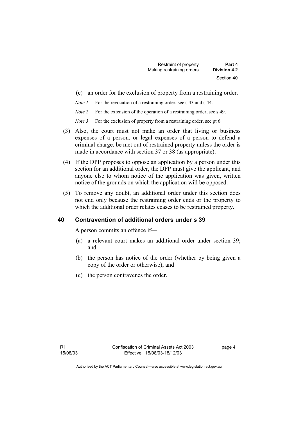- (c) an order for the exclusion of property from a restraining order.
- *Note 1* For the revocation of a restraining order, see s 43 and s 44.
- *Note 2* For the extension of the operation of a restraining order, see s 49.
- *Note 3* For the exclusion of property from a restraining order, see pt 6.
- (3) Also, the court must not make an order that living or business expenses of a person, or legal expenses of a person to defend a criminal charge, be met out of restrained property unless the order is made in accordance with section 37 or 38 (as appropriate).
- (4) If the DPP proposes to oppose an application by a person under this section for an additional order, the DPP must give the applicant, and anyone else to whom notice of the application was given, written notice of the grounds on which the application will be opposed.
- (5) To remove any doubt, an additional order under this section does not end only because the restraining order ends or the property to which the additional order relates ceases to be restrained property.

#### **40 Contravention of additional orders under s 39**

A person commits an offence if—

- (a) a relevant court makes an additional order under section 39; and
- (b) the person has notice of the order (whether by being given a copy of the order or otherwise); and
- (c) the person contravenes the order.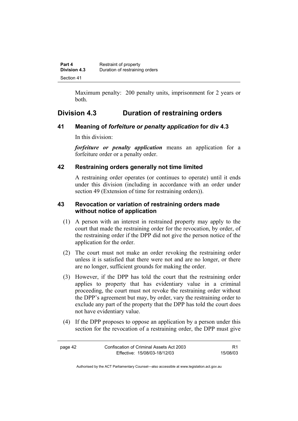| Part 4              | Restraint of property          |
|---------------------|--------------------------------|
| <b>Division 4.3</b> | Duration of restraining orders |
| Section 41          |                                |

Maximum penalty: 200 penalty units, imprisonment for 2 years or both.

# **Division 4.3 Duration of restraining orders**

#### **41 Meaning of** *forfeiture or penalty application* **for div 4.3**

In this division:

*forfeiture or penalty application* means an application for a forfeiture order or a penalty order.

## **42 Restraining orders generally not time limited**

A restraining order operates (or continues to operate) until it ends under this division (including in accordance with an order under section 49 (Extension of time for restraining orders)).

## **43 Revocation or variation of restraining orders made without notice of application**

- (1) A person with an interest in restrained property may apply to the court that made the restraining order for the revocation, by order, of the restraining order if the DPP did not give the person notice of the application for the order.
- (2) The court must not make an order revoking the restraining order unless it is satisfied that there were not and are no longer, or there are no longer, sufficient grounds for making the order.
- (3) However, if the DPP has told the court that the restraining order applies to property that has evidentiary value in a criminal proceeding, the court must not revoke the restraining order without the DPP's agreement but may, by order, vary the restraining order to exclude any part of the property that the DPP has told the court does not have evidentiary value.
- (4) If the DPP proposes to oppose an application by a person under this section for the revocation of a restraining order, the DPP must give

| page 42 | Confiscation of Criminal Assets Act 2003 |          |
|---------|------------------------------------------|----------|
|         | Effective: 15/08/03-18/12/03             | 15/08/03 |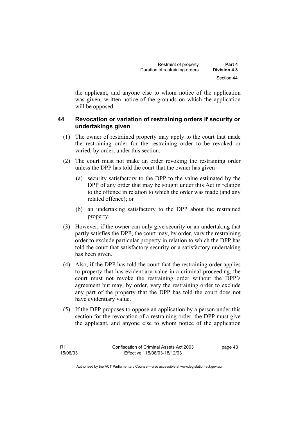the applicant, and anyone else to whom notice of the application was given, written notice of the grounds on which the application will be opposed.

## **44 Revocation or variation of restraining orders if security or undertakings given**

- (1) The owner of restrained property may apply to the court that made the restraining order for the restraining order to be revoked or varied, by order, under this section.
- (2) The court must not make an order revoking the restraining order unless the DPP has told the court that the owner has given—
	- (a) security satisfactory to the DPP to the value estimated by the DPP of any order that may be sought under this Act in relation to the offence in relation to which the order was made (and any related offence); or
	- (b) an undertaking satisfactory to the DPP about the restrained property.
- (3) However, if the owner can only give security or an undertaking that partly satisfies the DPP, the court may, by order, vary the restraining order to exclude particular property in relation to which the DPP has told the court that satisfactory security or a satisfactory undertaking has been given.
- (4) Also, if the DPP has told the court that the restraining order applies to property that has evidentiary value in a criminal proceeding, the court must not revoke the restraining order without the DPP's agreement but may, by order, vary the restraining order to exclude any part of the property that the DPP has told the court does not have evidentiary value.
- (5) If the DPP proposes to oppose an application by a person under this section for the revocation of a restraining order, the DPP must give the applicant, and anyone else to whom notice of the application

page 43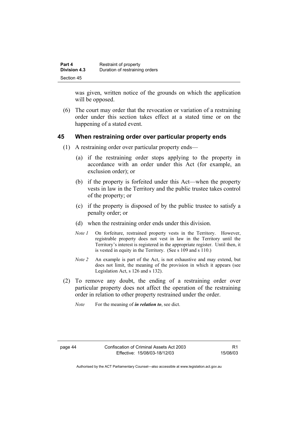| Part 4       | Restraint of property          |
|--------------|--------------------------------|
| Division 4.3 | Duration of restraining orders |
| Section 45   |                                |

was given, written notice of the grounds on which the application will be opposed.

 (6) The court may order that the revocation or variation of a restraining order under this section takes effect at a stated time or on the happening of a stated event.

#### **45 When restraining order over particular property ends**

- (1) A restraining order over particular property ends—
	- (a) if the restraining order stops applying to the property in accordance with an order under this Act (for example, an exclusion order); or
	- (b) if the property is forfeited under this Act—when the property vests in law in the Territory and the public trustee takes control of the property; or
	- (c) if the property is disposed of by the public trustee to satisfy a penalty order; or
	- (d) when the restraining order ends under this division.
	- *Note 1* On forfeiture, restrained property vests in the Territory. However, registrable property does not vest in law in the Territory until the Territory's interest is registered in the appropriate register. Until then, it is vested in equity in the Territory. (See s 109 and s 110.)
	- *Note 2* An example is part of the Act, is not exhaustive and may extend, but does not limit, the meaning of the provision in which it appears (see Legislation Act, s 126 and s 132).
- (2) To remove any doubt, the ending of a restraining order over particular property does not affect the operation of the restraining order in relation to other property restrained under the order.
	- *Note* For the meaning of *in relation to*, see dict.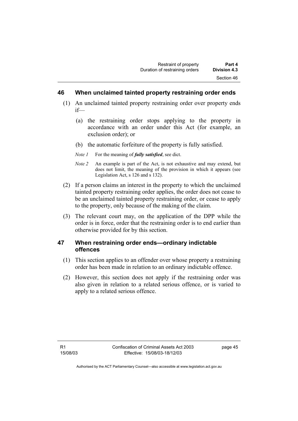#### **46 When unclaimed tainted property restraining order ends**

- (1) An unclaimed tainted property restraining order over property ends if—
	- (a) the restraining order stops applying to the property in accordance with an order under this Act (for example, an exclusion order); or
	- (b) the automatic forfeiture of the property is fully satisfied.
	- *Note 1* For the meaning of *fully satisfied*, see dict.
	- *Note 2* An example is part of the Act, is not exhaustive and may extend, but does not limit, the meaning of the provision in which it appears (see Legislation Act, s 126 and s 132).
- (2) If a person claims an interest in the property to which the unclaimed tainted property restraining order applies, the order does not cease to be an unclaimed tainted property restraining order, or cease to apply to the property, only because of the making of the claim.
- (3) The relevant court may, on the application of the DPP while the order is in force, order that the restraining order is to end earlier than otherwise provided for by this section.

## **47 When restraining order ends—ordinary indictable offences**

- (1) This section applies to an offender over whose property a restraining order has been made in relation to an ordinary indictable offence.
- (2) However, this section does not apply if the restraining order was also given in relation to a related serious offence, or is varied to apply to a related serious offence.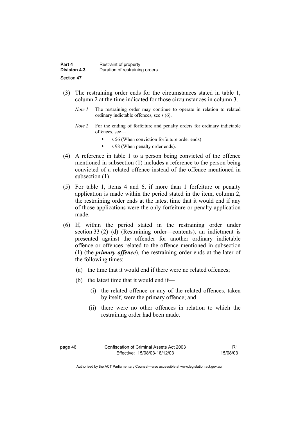| Part 4       | Restraint of property          |
|--------------|--------------------------------|
| Division 4.3 | Duration of restraining orders |
| Section 47   |                                |

- (3) The restraining order ends for the circumstances stated in table 1, column 2 at the time indicated for those circumstances in column 3.
	- *Note 1* The restraining order may continue to operate in relation to related ordinary indictable offences, see s (6).
	- *Note 2* For the ending of forfeiture and penalty orders for ordinary indictable offences, see—
		- s 56 (When conviction forfeiture order ends)
		- s 98 (When penalty order ends).
- (4) A reference in table 1 to a person being convicted of the offence mentioned in subsection (1) includes a reference to the person being convicted of a related offence instead of the offence mentioned in subsection  $(1)$ .
- (5) For table 1, items 4 and 6, if more than 1 forfeiture or penalty application is made within the period stated in the item, column 2, the restraining order ends at the latest time that it would end if any of those applications were the only forfeiture or penalty application made.
- (6) If, within the period stated in the restraining order under section 33 (2) (d) (Restraining order—contents), an indictment is presented against the offender for another ordinary indictable offence or offences related to the offence mentioned in subsection (1) (the *primary offence*), the restraining order ends at the later of the following times:
	- (a) the time that it would end if there were no related offences;
	- (b) the latest time that it would end if—
		- (i) the related offence or any of the related offences, taken by itself, were the primary offence; and
		- (ii) there were no other offences in relation to which the restraining order had been made.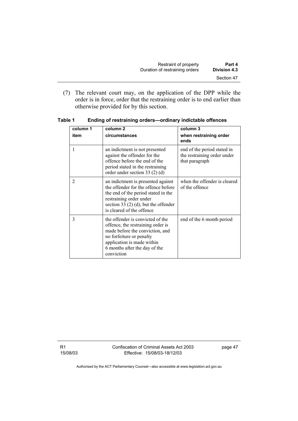| Restraint of property          | Part 4       |
|--------------------------------|--------------|
| Duration of restraining orders | Division 4.3 |
|                                | Section 47   |

 (7) The relevant court may, on the application of the DPP while the order is in force, order that the restraining order is to end earlier than otherwise provided for by this section.

| column 1       | column <sub>2</sub>                                                                                                                                                                                                | column 3                                                                     |
|----------------|--------------------------------------------------------------------------------------------------------------------------------------------------------------------------------------------------------------------|------------------------------------------------------------------------------|
| item           | circumstances                                                                                                                                                                                                      | when restraining order<br>ends                                               |
| 1              | an indictment is not presented<br>against the offender for the<br>offence before the end of the<br>period stated in the restraining<br>order under section 33 $(2)$ $(d)$                                          | end of the period stated in<br>the restraining order under<br>that paragraph |
| $\overline{2}$ | an indictment is presented against<br>the offender for the offence before<br>the end of the period stated in the<br>restraining order under<br>section 33 $(2)$ (d), but the offender<br>is cleared of the offence | when the offender is cleared<br>of the offence                               |
| 3              | the offender is convicted of the<br>offence, the restraining order is<br>made before the conviction, and<br>no forfeiture or penalty<br>application is made within<br>6 months after the day of the<br>conviction  | end of the 6 month period                                                    |

**Table 1 Ending of restraining orders—ordinary indictable offences** 

R1 15/08/03 Confiscation of Criminal Assets Act 2003 Effective: 15/08/03-18/12/03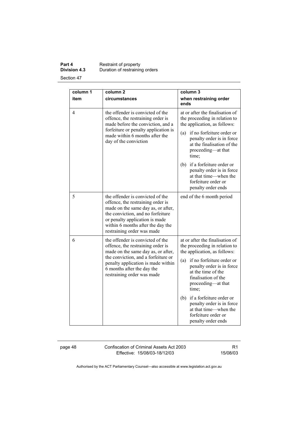#### **Part 4 Restraint of property**<br>**Division 4.3** Duration of restraining **Division 4.3** Duration of restraining orders Section 47

**column 1 item column 2 circumstances column 3 when restraining order ends**  4 the offender is convicted of the offence, the restraining order is made before the conviction, and a forfeiture or penalty application is made within 6 months after the day of the conviction at or after the finalisation of the proceeding in relation to the application, as follows: (a) if no forfeiture order or penalty order is in force at the finalisation of the proceeding—at that time; (b) if a forfeiture order or penalty order is in force at that time—when the forfeiture order or penalty order ends 5 the offender is convicted of the offence, the restraining order is made on the same day as, or after, the conviction, and no forfeiture or penalty application is made within 6 months after the day the restraining order was made end of the 6 month period 6 the offender is convicted of the offence, the restraining order is made on the same day as, or after, the conviction, and a forfeiture or penalty application is made within 6 months after the day the restraining order was made at or after the finalisation of the proceeding in relation to the application, as follows: (a) if no forfeiture order or penalty order is in force at the time of the finalisation of the proceeding—at that time; (b) if a forfeiture order or penalty order is in force at that time—when the forfeiture order or penalty order ends

page 48 Confiscation of Criminal Assets Act 2003 Effective: 15/08/03-18/12/03

R1 15/08/03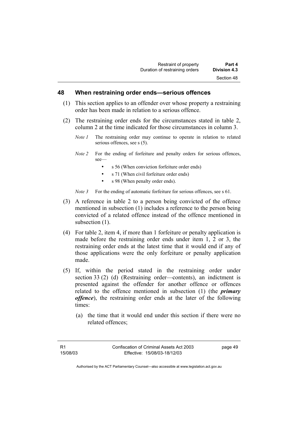#### **48 When restraining order ends—serious offences**

- (1) This section applies to an offender over whose property a restraining order has been made in relation to a serious offence.
- (2) The restraining order ends for the circumstances stated in table 2, column 2 at the time indicated for those circumstances in column 3.
	- *Note 1* The restraining order may continue to operate in relation to related serious offences, see s (5).
	- *Note 2* For the ending of forfeiture and penalty orders for serious offences, see—
		- s 56 (When conviction forfeiture order ends)
		- s 71 (When civil forfeiture order ends)
		- s 98 (When penalty order ends).
	- *Note 3* For the ending of automatic forfeiture for serious offences, see s 61.
- (3) A reference in table 2 to a person being convicted of the offence mentioned in subsection (1) includes a reference to the person being convicted of a related offence instead of the offence mentioned in subsection  $(1)$ .
- (4) For table 2, item 4, if more than 1 forfeiture or penalty application is made before the restraining order ends under item 1, 2 or 3, the restraining order ends at the latest time that it would end if any of those applications were the only forfeiture or penalty application made.
- (5) If, within the period stated in the restraining order under section 33 (2) (d) (Restraining order—contents), an indictment is presented against the offender for another offence or offences related to the offence mentioned in subsection (1) (the *primary offence*), the restraining order ends at the later of the following times:
	- (a) the time that it would end under this section if there were no related offences;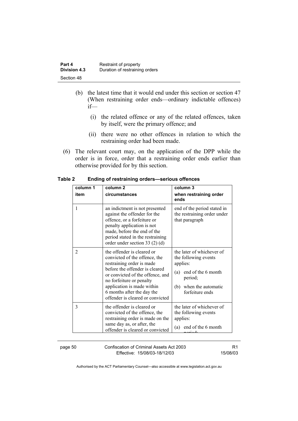| Part 4       | Restraint of property          |
|--------------|--------------------------------|
| Division 4.3 | Duration of restraining orders |
| Section 48   |                                |

- (b) the latest time that it would end under this section or section 47 (When restraining order ends—ordinary indictable offences) if—
	- (i) the related offence or any of the related offences, taken by itself, were the primary offence; and
	- (ii) there were no other offences in relation to which the restraining order had been made.
- (6) The relevant court may, on the application of the DPP while the order is in force, order that a restraining order ends earlier than otherwise provided for by this section.

| column 1<br>item | column <sub>2</sub><br>circumstances                                                                                                                                                                                                                                                       | column 3<br>when restraining order<br>ends                                                                                                         |
|------------------|--------------------------------------------------------------------------------------------------------------------------------------------------------------------------------------------------------------------------------------------------------------------------------------------|----------------------------------------------------------------------------------------------------------------------------------------------------|
| 1                | an indictment is not presented<br>against the offender for the<br>offence, or a forfeiture or<br>penalty application is not<br>made, before the end of the<br>period stated in the restraining<br>order under section 33 $(2)$ $(d)$                                                       | end of the period stated in<br>the restraining order under<br>that paragraph                                                                       |
| $\overline{2}$   | the offender is cleared or<br>convicted of the offence, the<br>restraining order is made<br>before the offender is cleared<br>or convicted of the offence, and<br>no forfeiture or penalty<br>application is made within<br>6 months after the day the<br>offender is cleared or convicted | the later of whichever of<br>the following events<br>applies:<br>(a) end of the 6 month<br>period;<br>(b)<br>when the automatic<br>forfeiture ends |
| 3                | the offender is cleared or<br>convicted of the offence, the<br>restraining order is made on the<br>same day as, or after, the<br>offender is cleared or convicted                                                                                                                          | the later of whichever of<br>the following events<br>applies:<br>end of the 6 month<br>(a)                                                         |

**Table 2 Ending of restraining orders—serious offences** 

page 50 Confiscation of Criminal Assets Act 2003 Effective: 15/08/03-18/12/03

R1 15/08/03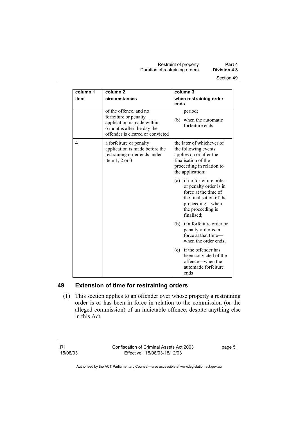Restraint of property **Part 4**  Duration of restraining orders **Division 4.3** 

| column 1 | column <sub>2</sub>                                                                                                                             | column 3                                                                                                                                                      |
|----------|-------------------------------------------------------------------------------------------------------------------------------------------------|---------------------------------------------------------------------------------------------------------------------------------------------------------------|
| item     | circumstances                                                                                                                                   | when restraining order<br>ends                                                                                                                                |
|          | of the offence, and no<br>forfeiture or penalty<br>application is made within<br>6 months after the day the<br>offender is cleared or convicted | period;<br>(b) when the automatic<br>forfeiture ends                                                                                                          |
| 4        | a forfeiture or penalty<br>application is made before the<br>restraining order ends under<br>item $1, 2$ or $3$                                 | the later of whichever of<br>the following events<br>applies on or after the<br>finalisation of the<br>proceeding in relation to<br>the application:          |
|          |                                                                                                                                                 | (a) if no forfeiture order<br>or penalty order is in<br>force at the time of<br>the finalisation of the<br>proceeding—when<br>the proceeding is<br>finalised; |
|          |                                                                                                                                                 | if a forfeiture order or<br>(b)<br>penalty order is in<br>force at that time-<br>when the order ends;                                                         |
|          |                                                                                                                                                 | if the offender has<br>(c)<br>been convicted of the<br>offence—when the<br>automatic forfeiture<br>ends                                                       |

# **49 Extension of time for restraining orders**

 (1) This section applies to an offender over whose property a restraining order is or has been in force in relation to the commission (or the alleged commission) of an indictable offence, despite anything else in this Act.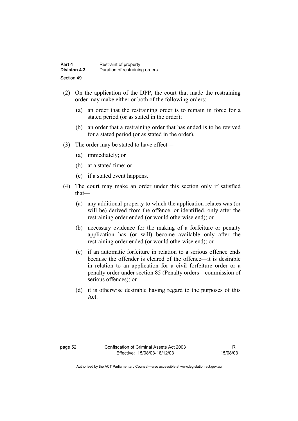| Part 4       | Restraint of property          |
|--------------|--------------------------------|
| Division 4.3 | Duration of restraining orders |
| Section 49   |                                |

- (2) On the application of the DPP, the court that made the restraining order may make either or both of the following orders:
	- (a) an order that the restraining order is to remain in force for a stated period (or as stated in the order);
	- (b) an order that a restraining order that has ended is to be revived for a stated period (or as stated in the order).
- (3) The order may be stated to have effect—
	- (a) immediately; or
	- (b) at a stated time; or
	- (c) if a stated event happens.
- (4) The court may make an order under this section only if satisfied that—
	- (a) any additional property to which the application relates was (or will be) derived from the offence, or identified, only after the restraining order ended (or would otherwise end); or
	- (b) necessary evidence for the making of a forfeiture or penalty application has (or will) become available only after the restraining order ended (or would otherwise end); or
	- (c) if an automatic forfeiture in relation to a serious offence ends because the offender is cleared of the offence—it is desirable in relation to an application for a civil forfeiture order or a penalty order under section 85 (Penalty orders—commission of serious offences); or
	- (d) it is otherwise desirable having regard to the purposes of this Act.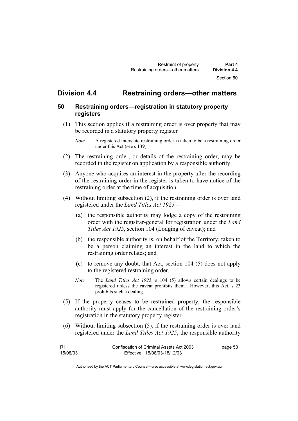# **Division 4.4 Restraining orders—other matters**

#### **50 Restraining orders—registration in statutory property registers**

- (1) This section applies if a restraining order is over property that may be recorded in a statutory property register
	- *Note* A registered interstate restraining order is taken to be a restraining order under this Act (see s 139).
- (2) The restraining order, or details of the restraining order, may be recorded in the register on application by a responsible authority.
- (3) Anyone who acquires an interest in the property after the recording of the restraining order in the register is taken to have notice of the restraining order at the time of acquisition.
- (4) Without limiting subsection (2), if the restraining order is over land registered under the *Land Titles Act 1925*—
	- (a) the responsible authority may lodge a copy of the restraining order with the registrar-general for registration under the *Land Titles Act 1925*, section 104 (Lodging of caveat); and
	- (b) the responsible authority is, on behalf of the Territory, taken to be a person claiming an interest in the land to which the restraining order relates; and
	- (c) to remove any doubt, that Act, section 104 (5) does not apply to the registered restraining order.
	- *Note* The *Land Titles Act 1925*, s 104 (5) allows certain dealings to be registered unless the caveat prohibits them. However, this Act, s 23 prohibits such a dealing.
- (5) If the property ceases to be restrained property, the responsible authority must apply for the cancellation of the restraining order's registration in the statutory property register.
- (6) Without limiting subsection (5), if the restraining order is over land registered under the *Land Titles Act 1925*, the responsible authority

| -R1      | Confiscation of Criminal Assets Act 2003 | page 53 |
|----------|------------------------------------------|---------|
| 15/08/03 | Effective: 15/08/03-18/12/03             |         |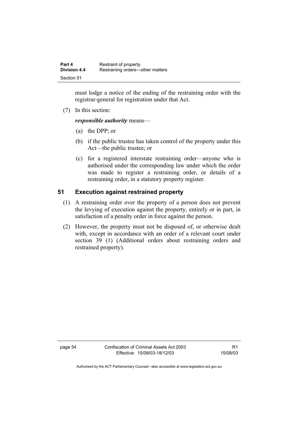| Part 4              | Restraint of property            |
|---------------------|----------------------------------|
| <b>Division 4.4</b> | Restraining orders—other matters |
| Section 51          |                                  |

must lodge a notice of the ending of the restraining order with the registrar-general for registration under that Act.

(7) In this section:

*responsible authority* means—

- (a) the DPP; or
- (b) if the public trustee has taken control of the property under this Act—the public trustee; or
- (c) for a registered interstate restraining order—anyone who is authorised under the corresponding law under which the order was made to register a restraining order, or details of a restraining order, in a statutory property register.

#### **51 Execution against restrained property**

- (1) A restraining order over the property of a person does not prevent the levying of execution against the property, entirely or in part, in satisfaction of a penalty order in force against the person.
- (2) However, the property must not be disposed of, or otherwise dealt with, except in accordance with an order of a relevant court under section 39 (1) (Additional orders about restraining orders and restrained property).

page 54 Confiscation of Criminal Assets Act 2003 Effective: 15/08/03-18/12/03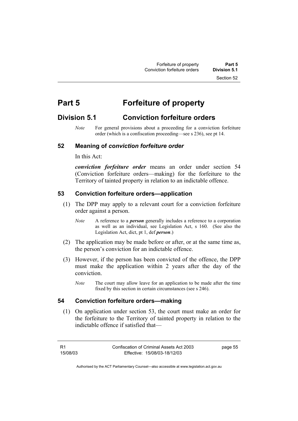# **Part 5 Forfeiture of property**

# **Division 5.1 Conviction forfeiture orders**

*Note* For general provisions about a proceeding for a conviction forfeiture order (which is a confiscation proceeding—see s 236), see pt 14.

#### **52 Meaning of** *conviction forfeiture order*

In this Act:

*conviction forfeiture order* means an order under section 54 (Conviction forfeiture orders—making) for the forfeiture to the Territory of tainted property in relation to an indictable offence.

#### **53 Conviction forfeiture orders—application**

- (1) The DPP may apply to a relevant court for a conviction forfeiture order against a person.
	- *Note* A reference to a *person* generally includes a reference to a corporation as well as an individual, see Legislation Act, s 160. (See also the Legislation Act, dict, pt 1, def *person*.)
- (2) The application may be made before or after, or at the same time as, the person's conviction for an indictable offence.
- (3) However, if the person has been convicted of the offence, the DPP must make the application within 2 years after the day of the conviction.
	- *Note* The court may allow leave for an application to be made after the time fixed by this section in certain circumstances (see s 246).

#### **54 Conviction forfeiture orders—making**

 (1) On application under section 53, the court must make an order for the forfeiture to the Territory of tainted property in relation to the indictable offence if satisfied that—

R1 15/08/03 page 55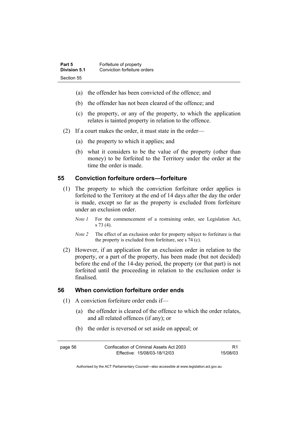| Part 5       | Forfeiture of property       |
|--------------|------------------------------|
| Division 5.1 | Conviction forfeiture orders |
| Section 55   |                              |

- (a) the offender has been convicted of the offence; and
- (b) the offender has not been cleared of the offence; and
- (c) the property, or any of the property, to which the application relates is tainted property in relation to the offence.
- (2) If a court makes the order, it must state in the order—
	- (a) the property to which it applies; and
	- (b) what it considers to be the value of the property (other than money) to be forfeited to the Territory under the order at the time the order is made.

#### **55 Conviction forfeiture orders—forfeiture**

- (1) The property to which the conviction forfeiture order applies is forfeited to the Territory at the end of 14 days after the day the order is made, except so far as the property is excluded from forfeiture under an exclusion order.
	- *Note 1* For the commencement of a restraining order, see Legislation Act, s 73 (4).
	- *Note 2* The effect of an exclusion order for property subject to forfeiture is that the property is excluded from forfeiture, see s 74 (c).
- (2) However, if an application for an exclusion order in relation to the property, or a part of the property, has been made (but not decided) before the end of the 14-day period, the property (or that part) is not forfeited until the proceeding in relation to the exclusion order is finalised.

#### **56 When conviction forfeiture order ends**

- (1) A conviction forfeiture order ends if—
	- (a) the offender is cleared of the offence to which the order relates, and all related offences (if any); or
	- (b) the order is reversed or set aside on appeal; or

| Confiscation of Criminal Assets Act 2003<br>page 56 |                              | R1       |
|-----------------------------------------------------|------------------------------|----------|
|                                                     | Effective: 15/08/03-18/12/03 | 15/08/03 |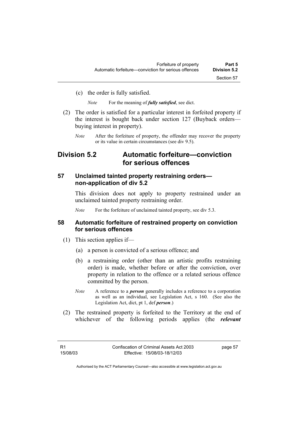(c) the order is fully satisfied.

*Note* For the meaning of *fully satisfied*, see dict.

- (2) The order is satisfied for a particular interest in forfeited property if the interest is bought back under section 127 (Buyback orders buying interest in property).
	- *Note* After the forfeiture of property, the offender may recover the property or its value in certain circumstances (see div 9.5).

# **Division 5.2 Automatic forfeiture—conviction for serious offences**

#### **57 Unclaimed tainted property restraining orders non-application of div 5.2**

This division does not apply to property restrained under an unclaimed tainted property restraining order.

*Note* For the forfeiture of unclaimed tainted property, see div 5.3.

### **58 Automatic forfeiture of restrained property on conviction for serious offences**

- (1) This section applies if—
	- (a) a person is convicted of a serious offence; and
	- (b) a restraining order (other than an artistic profits restraining order) is made, whether before or after the conviction, over property in relation to the offence or a related serious offence committed by the person.
	- *Note* A reference to a *person* generally includes a reference to a corporation as well as an individual, see Legislation Act, s 160. (See also the Legislation Act, dict, pt 1, def *person*.)
- (2) The restrained property is forfeited to the Territory at the end of whichever of the following periods applies (the *relevant*

page 57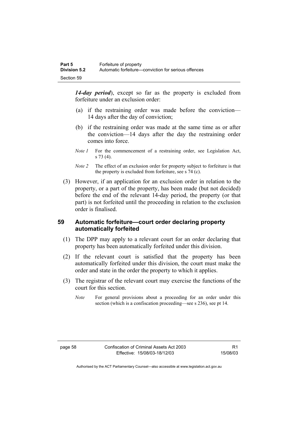*14-day period*), except so far as the property is excluded from forfeiture under an exclusion order:

- (a) if the restraining order was made before the conviction— 14 days after the day of conviction;
- (b) if the restraining order was made at the same time as or after the conviction—14 days after the day the restraining order comes into force.
- *Note 1* For the commencement of a restraining order, see Legislation Act, s 73 (4).
- *Note 2* The effect of an exclusion order for property subject to forfeiture is that the property is excluded from forfeiture, see s 74 (c).
- (3) However, if an application for an exclusion order in relation to the property, or a part of the property, has been made (but not decided) before the end of the relevant 14-day period, the property (or that part) is not forfeited until the proceeding in relation to the exclusion order is finalised.

### **59 Automatic forfeiture—court order declaring property automatically forfeited**

- (1) The DPP may apply to a relevant court for an order declaring that property has been automatically forfeited under this division.
- (2) If the relevant court is satisfied that the property has been automatically forfeited under this division, the court must make the order and state in the order the property to which it applies.
- (3) The registrar of the relevant court may exercise the functions of the court for this section.
	- *Note* For general provisions about a proceeding for an order under this section (which is a confiscation proceeding—see s 236), see pt 14.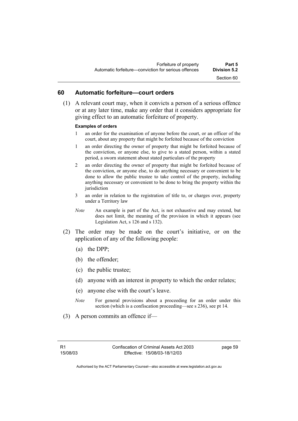#### **60 Automatic forfeiture—court orders**

 (1) A relevant court may, when it convicts a person of a serious offence or at any later time, make any order that it considers appropriate for giving effect to an automatic forfeiture of property.

#### **Examples of orders**

- 1 an order for the examination of anyone before the court, or an officer of the court, about any property that might be forfeited because of the conviction
- 1 an order directing the owner of property that might be forfeited because of the conviction, or anyone else, to give to a stated person, within a stated period, a sworn statement about stated particulars of the property
- 2 an order directing the owner of property that might be forfeited because of the conviction, or anyone else, to do anything necessary or convenient to be done to allow the public trustee to take control of the property, including anything necessary or convenient to be done to bring the property within the jurisdiction
- 3 an order in relation to the registration of title to, or charges over, property under a Territory law
- *Note* An example is part of the Act, is not exhaustive and may extend, but does not limit, the meaning of the provision in which it appears (see Legislation Act, s 126 and s 132).
- (2) The order may be made on the court's initiative, or on the application of any of the following people:
	- (a) the DPP;
	- (b) the offender;
	- (c) the public trustee;
	- (d) anyone with an interest in property to which the order relates;
	- (e) anyone else with the court's leave.
	- *Note* For general provisions about a proceeding for an order under this section (which is a confiscation proceeding—see s 236), see pt 14.
- (3) A person commits an offence if—

page 59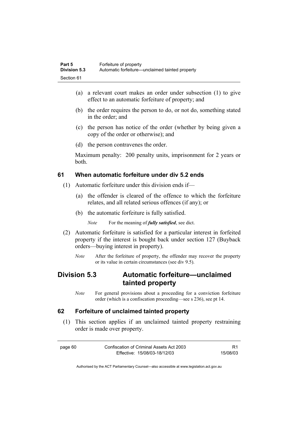| Part 5              | Forfeiture of property                          |
|---------------------|-------------------------------------------------|
| <b>Division 5.3</b> | Automatic forfeiture—unclaimed tainted property |
| Section 61          |                                                 |

- (a) a relevant court makes an order under subsection (1) to give effect to an automatic forfeiture of property; and
- (b) the order requires the person to do, or not do, something stated in the order; and
- (c) the person has notice of the order (whether by being given a copy of the order or otherwise); and
- (d) the person contravenes the order.

Maximum penalty: 200 penalty units, imprisonment for 2 years or both.

# **61 When automatic forfeiture under div 5.2 ends**

- (1) Automatic forfeiture under this division ends if—
	- (a) the offender is cleared of the offence to which the forfeiture relates, and all related serious offences (if any); or
	- (b) the automatic forfeiture is fully satisfied.

*Note* For the meaning of *fully satisfied*, see dict.

- (2) Automatic forfeiture is satisfied for a particular interest in forfeited property if the interest is bought back under section 127 (Buyback orders—buying interest in property).
	- *Note* After the forfeiture of property, the offender may recover the property or its value in certain circumstances (see div 9.5).

# **Division 5.3 Automatic forfeiture—unclaimed tainted property**

*Note* For general provisions about a proceeding for a conviction forfeiture order (which is a confiscation proceeding—see s 236), see pt 14.

### **62 Forfeiture of unclaimed tainted property**

 (1) This section applies if an unclaimed tainted property restraining order is made over property.

| page 60 | Confiscation of Criminal Assets Act 2003 |          |
|---------|------------------------------------------|----------|
|         | Effective: 15/08/03-18/12/03             | 15/08/03 |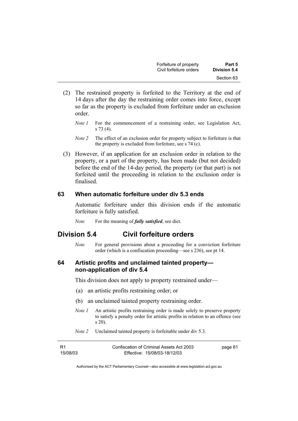| Forfeiture of property  | Part 5       |
|-------------------------|--------------|
| Civil forfeiture orders | Division 5.4 |
|                         | Section 63   |

- (2) The restrained property is forfeited to the Territory at the end of 14 days after the day the restraining order comes into force, except so far as the property is excluded from forfeiture under an exclusion order.
	- *Note 1* For the commencement of a restraining order, see Legislation Act, s 73 (4).
	- *Note 2* The effect of an exclusion order for property subject to forfeiture is that the property is excluded from forfeiture, see s 74 (c).
- (3) However, if an application for an exclusion order in relation to the property, or a part of the property, has been made (but not decided) before the end of the 14-day period, the property (or that part) is not forfeited until the proceeding in relation to the exclusion order is finalised.

#### **63 When automatic forfeiture under div 5.3 ends**

Automatic forfeiture under this division ends if the automatic forfeiture is fully satisfied.

*Note* For the meaning of *fully satisfied*, see dict.

### **Division 5.4 Civil forfeiture orders**

*Note* For general provisions about a proceeding for a conviction forfeiture order (which is a confiscation proceeding—see s 236), see pt 14.

#### **64 Artistic profits and unclaimed tainted property non-application of div 5.4**

This division does not apply to property restrained under—

- (a) an artistic profits restraining order; or
- (b) an unclaimed tainted property restraining order.
- *Note 1* An artistic profits restraining order is made solely to preserve property to satisfy a penalty order for artistic profits in relation to an offence (see s 20).
- *Note 2* Unclaimed tainted property is forfeitable under div 5.3.

| -R1      | Confiscation of Criminal Assets Act 2003 | page 61 |
|----------|------------------------------------------|---------|
| 15/08/03 | Effective: 15/08/03-18/12/03             |         |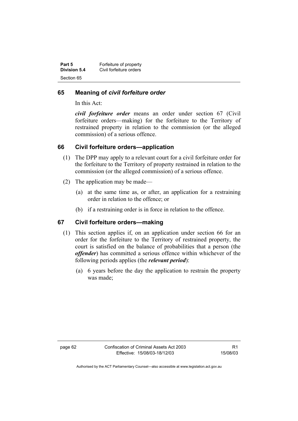| Part 5       | Forfeiture of property  |
|--------------|-------------------------|
| Division 5.4 | Civil forfeiture orders |
| Section 65   |                         |

### **65 Meaning of** *civil forfeiture order*

In this Act:

*civil forfeiture order* means an order under section 67 (Civil forfeiture orders—making) for the forfeiture to the Territory of restrained property in relation to the commission (or the alleged commission) of a serious offence.

#### **66 Civil forfeiture orders—application**

- (1) The DPP may apply to a relevant court for a civil forfeiture order for the forfeiture to the Territory of property restrained in relation to the commission (or the alleged commission) of a serious offence.
- (2) The application may be made—
	- (a) at the same time as, or after, an application for a restraining order in relation to the offence; or
	- (b) if a restraining order is in force in relation to the offence.

### **67 Civil forfeiture orders—making**

- (1) This section applies if, on an application under section 66 for an order for the forfeiture to the Territory of restrained property, the court is satisfied on the balance of probabilities that a person (the *offender*) has committed a serious offence within whichever of the following periods applies (the *relevant period*):
	- (a) 6 years before the day the application to restrain the property was made;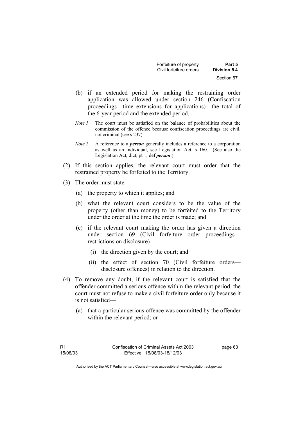| Forfeiture of property  | Part 5       |
|-------------------------|--------------|
| Civil forfeiture orders | Division 5.4 |
|                         | Section 67   |

- (b) if an extended period for making the restraining order application was allowed under section 246 (Confiscation proceedings—time extensions for applications)—the total of the 6-year period and the extended period.
- *Note 1* The court must be satisfied on the balance of probabilities about the commission of the offence because confiscation proceedings are civil, not criminal (see s 237).
- *Note 2* A reference to a *person* generally includes a reference to a corporation as well as an individual, see Legislation Act, s 160. (See also the Legislation Act, dict, pt 1, def *person*.)
- (2) If this section applies, the relevant court must order that the restrained property be forfeited to the Territory.
- (3) The order must state—
	- (a) the property to which it applies; and
	- (b) what the relevant court considers to be the value of the property (other than money) to be forfeited to the Territory under the order at the time the order is made; and
	- (c) if the relevant court making the order has given a direction under section 69 (Civil forfeiture order proceedings restrictions on disclosure)—
		- (i) the direction given by the court; and
		- (ii) the effect of section 70 (Civil forfeiture orders disclosure offences) in relation to the direction.
- (4) To remove any doubt, if the relevant court is satisfied that the offender committed a serious offence within the relevant period, the court must not refuse to make a civil forfeiture order only because it is not satisfied—
	- (a) that a particular serious offence was committed by the offender within the relevant period; or

page 63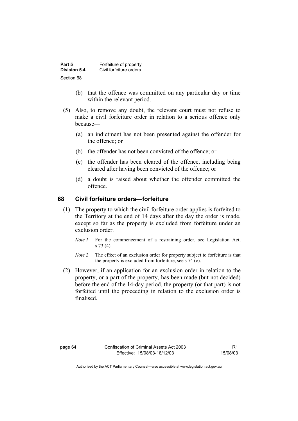| Part 5       | Forfeiture of property  |
|--------------|-------------------------|
| Division 5.4 | Civil forfeiture orders |
| Section 68   |                         |

- (b) that the offence was committed on any particular day or time within the relevant period.
- (5) Also, to remove any doubt, the relevant court must not refuse to make a civil forfeiture order in relation to a serious offence only because—
	- (a) an indictment has not been presented against the offender for the offence; or
	- (b) the offender has not been convicted of the offence; or
	- (c) the offender has been cleared of the offence, including being cleared after having been convicted of the offence; or
	- (d) a doubt is raised about whether the offender committed the offence.

#### **68 Civil forfeiture orders—forfeiture**

- (1) The property to which the civil forfeiture order applies is forfeited to the Territory at the end of 14 days after the day the order is made, except so far as the property is excluded from forfeiture under an exclusion order.
	- *Note 1* For the commencement of a restraining order, see Legislation Act, s 73 (4).
	- *Note 2* The effect of an exclusion order for property subject to forfeiture is that the property is excluded from forfeiture, see s 74 (c).
- (2) However, if an application for an exclusion order in relation to the property, or a part of the property, has been made (but not decided) before the end of the 14-day period, the property (or that part) is not forfeited until the proceeding in relation to the exclusion order is finalised.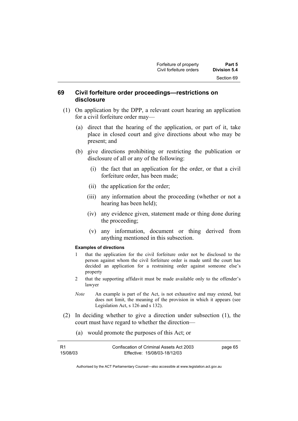#### **69 Civil forfeiture order proceedings—restrictions on disclosure**

- (1) On application by the DPP, a relevant court hearing an application for a civil forfeiture order may—
	- (a) direct that the hearing of the application, or part of it, take place in closed court and give directions about who may be present; and
	- (b) give directions prohibiting or restricting the publication or disclosure of all or any of the following:
		- (i) the fact that an application for the order, or that a civil forfeiture order, has been made;
		- (ii) the application for the order;
		- (iii) any information about the proceeding (whether or not a hearing has been held);
		- (iv) any evidence given, statement made or thing done during the proceeding;
		- (v) any information, document or thing derived from anything mentioned in this subsection.

#### **Examples of directions**

- 1 that the application for the civil forfeiture order not be disclosed to the person against whom the civil forfeiture order is made until the court has decided an application for a restraining order against someone else's property
- 2 that the supporting affidavit must be made available only to the offender's lawyer
- *Note* An example is part of the Act, is not exhaustive and may extend, but does not limit, the meaning of the provision in which it appears (see Legislation Act, s 126 and s 132).
- (2) In deciding whether to give a direction under subsection (1), the court must have regard to whether the direction—
	- (a) would promote the purposes of this Act; or

| - R1     | Confiscation of Criminal Assets Act 2003 | page 65 |
|----------|------------------------------------------|---------|
| 15/08/03 | Effective: 15/08/03-18/12/03             |         |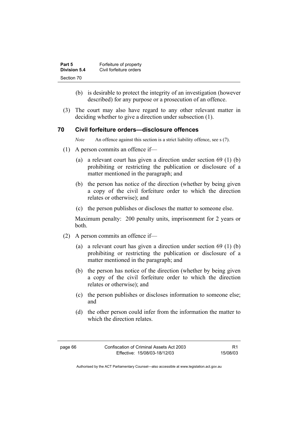| Part 5       | Forfeiture of property  |
|--------------|-------------------------|
| Division 5.4 | Civil forfeiture orders |
| Section 70   |                         |

- (b) is desirable to protect the integrity of an investigation (however described) for any purpose or a prosecution of an offence.
- (3) The court may also have regard to any other relevant matter in deciding whether to give a direction under subsection (1).

#### **70 Civil forfeiture orders—disclosure offences**

*Note* An offence against this section is a strict liability offence, see s (7).

- (1) A person commits an offence if—
	- (a) a relevant court has given a direction under section 69 (1) (b) prohibiting or restricting the publication or disclosure of a matter mentioned in the paragraph; and
	- (b) the person has notice of the direction (whether by being given a copy of the civil forfeiture order to which the direction relates or otherwise); and
	- (c) the person publishes or discloses the matter to someone else.

Maximum penalty: 200 penalty units, imprisonment for 2 years or both.

- (2) A person commits an offence if—
	- (a) a relevant court has given a direction under section 69 (1) (b) prohibiting or restricting the publication or disclosure of a matter mentioned in the paragraph; and
	- (b) the person has notice of the direction (whether by being given a copy of the civil forfeiture order to which the direction relates or otherwise); and
	- (c) the person publishes or discloses information to someone else; and
	- (d) the other person could infer from the information the matter to which the direction relates.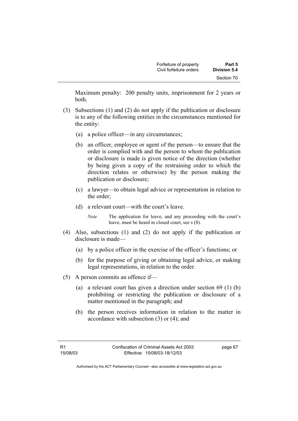| Forfeiture of property  | Part 5       |
|-------------------------|--------------|
| Civil forfeiture orders | Division 5.4 |
|                         | Section 70   |

Maximum penalty: 200 penalty units, imprisonment for 2 years or both.

- (3) Subsections (1) and (2) do not apply if the publication or disclosure is to any of the following entities in the circumstances mentioned for the entity:
	- (a) a police officer—in any circumstances;
	- (b) an officer, employee or agent of the person—to ensure that the order is complied with and the person to whom the publication or disclosure is made is given notice of the direction (whether by being given a copy of the restraining order to which the direction relates or otherwise) by the person making the publication or disclosure;
	- (c) a lawyer—to obtain legal advice or representation in relation to the order;
	- (d) a relevant court—with the court's leave.

*Note* The application for leave, and any proceeding with the court's leave, must be heard in closed court, see s (8).

- (4) Also, subsections (1) and (2) do not apply if the publication or disclosure is made—
	- (a) by a police officer in the exercise of the officer's functions; or
	- (b) for the purpose of giving or obtaining legal advice, or making legal representations, in relation to the order.
- (5) A person commits an offence if—
	- (a) a relevant court has given a direction under section 69 (1) (b) prohibiting or restricting the publication or disclosure of a matter mentioned in the paragraph; and
	- (b) the person receives information in relation to the matter in accordance with subsection (3) or (4); and

page 67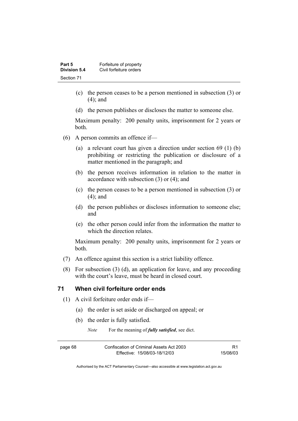| Part 5       | Forfeiture of property  |
|--------------|-------------------------|
| Division 5.4 | Civil forfeiture orders |
| Section 71   |                         |

- (c) the person ceases to be a person mentioned in subsection (3) or (4); and
- (d) the person publishes or discloses the matter to someone else.

Maximum penalty: 200 penalty units, imprisonment for 2 years or both.

- (6) A person commits an offence if—
	- (a) a relevant court has given a direction under section 69 (1) (b) prohibiting or restricting the publication or disclosure of a matter mentioned in the paragraph; and
	- (b) the person receives information in relation to the matter in accordance with subsection (3) or (4); and
	- (c) the person ceases to be a person mentioned in subsection (3) or (4); and
	- (d) the person publishes or discloses information to someone else; and
	- (e) the other person could infer from the information the matter to which the direction relates.

Maximum penalty: 200 penalty units, imprisonment for 2 years or both.

- (7) An offence against this section is a strict liability offence.
- (8) For subsection (3) (d), an application for leave, and any proceeding with the court's leave, must be heard in closed court.

#### **71 When civil forfeiture order ends**

- (1) A civil forfeiture order ends if—
	- (a) the order is set aside or discharged on appeal; or
	- (b) the order is fully satisfied.

*Note* For the meaning of *fully satisfied*, see dict.

| мае<br>r<br>ıΓ |  |
|----------------|--|
|----------------|--|

Confiscation of Criminal Assets Act 2003 Effective: 15/08/03-18/12/03

R1 15/08/03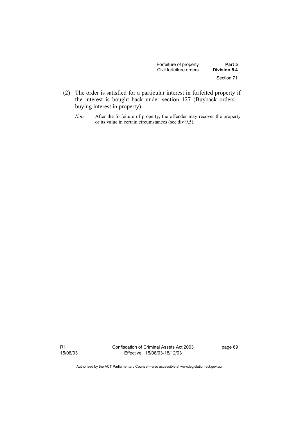| Forfeiture of property  | Part 5       |
|-------------------------|--------------|
| Civil forfeiture orders | Division 5.4 |
|                         | Section 71   |

- (2) The order is satisfied for a particular interest in forfeited property if the interest is bought back under section 127 (Buyback orders buying interest in property).
	- *Note* After the forfeiture of property, the offender may recover the property or its value in certain circumstances (see div 9.5).

R1 15/08/03 Confiscation of Criminal Assets Act 2003 Effective: 15/08/03-18/12/03

page 69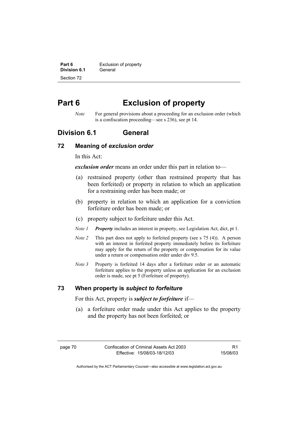**Part 6 Exclusion of property Division 6.1** General Section 72

# **Part 6 Exclusion of property**

*Note* For general provisions about a proceeding for an exclusion order (which is a confiscation proceeding—see s 236), see pt 14.

## **Division 6.1 General**

#### **72 Meaning of** *exclusion order*

In this Act:

*exclusion order* means an order under this part in relation to—

- (a) restrained property (other than restrained property that has been forfeited) or property in relation to which an application for a restraining order has been made; or
- (b) property in relation to which an application for a conviction forfeiture order has been made; or
- (c) property subject to forfeiture under this Act.
- *Note 1 Property* includes an interest in property, see Legislation Act, dict, pt 1.
- *Note 2* This part does not apply to forfeited property (see s 75 (4)). A person with an interest in forfeited property immediately before its forfeiture may apply for the return of the property or compensation for its value under a return or compensation order under div 9.5.
- *Note 3* Property is forfeited 14 days after a forfeiture order or an automatic forfeiture applies to the property unless an application for an exclusion order is made, see pt 5 (Forfeiture of property).

### **73 When property is** *subject to forfeiture*

For this Act, property is *subject to forfeiture* if—

 (a) a forfeiture order made under this Act applies to the property and the property has not been forfeited; or

R1 15/08/03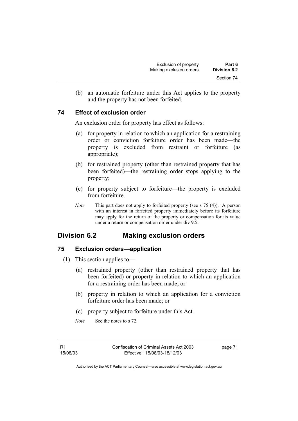(b) an automatic forfeiture under this Act applies to the property and the property has not been forfeited.

### **74 Effect of exclusion order**

An exclusion order for property has effect as follows:

- (a) for property in relation to which an application for a restraining order or conviction forfeiture order has been made—the property is excluded from restraint or forfeiture (as appropriate);
- (b) for restrained property (other than restrained property that has been forfeited)—the restraining order stops applying to the property;
- (c) for property subject to forfeiture—the property is excluded from forfeiture.
- *Note* This part does not apply to forfeited property (see s 75 (4)). A person with an interest in forfeited property immediately before its forfeiture may apply for the return of the property or compensation for its value under a return or compensation order under div 9.5.

# **Division 6.2 Making exclusion orders**

### **75 Exclusion orders—application**

- (1) This section applies to—
	- (a) restrained property (other than restrained property that has been forfeited) or property in relation to which an application for a restraining order has been made; or
	- (b) property in relation to which an application for a conviction forfeiture order has been made; or
	- (c) property subject to forfeiture under this Act.
	- *Note* See the notes to s 72.

R1 15/08/03 page 71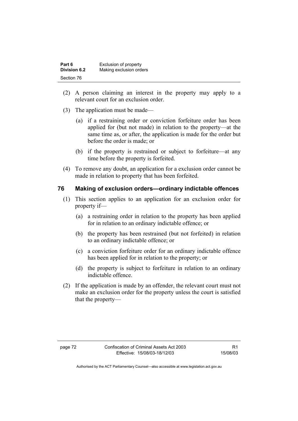| Part 6              | Exclusion of property   |
|---------------------|-------------------------|
| <b>Division 6.2</b> | Making exclusion orders |
| Section 76          |                         |

- (2) A person claiming an interest in the property may apply to a relevant court for an exclusion order.
- (3) The application must be made—
	- (a) if a restraining order or conviction forfeiture order has been applied for (but not made) in relation to the property—at the same time as, or after, the application is made for the order but before the order is made; or
	- (b) if the property is restrained or subject to forfeiture—at any time before the property is forfeited.
- (4) To remove any doubt, an application for a exclusion order cannot be made in relation to property that has been forfeited.

#### **76 Making of exclusion orders—ordinary indictable offences**

- (1) This section applies to an application for an exclusion order for property if—
	- (a) a restraining order in relation to the property has been applied for in relation to an ordinary indictable offence; or
	- (b) the property has been restrained (but not forfeited) in relation to an ordinary indictable offence; or
	- (c) a conviction forfeiture order for an ordinary indictable offence has been applied for in relation to the property; or
	- (d) the property is subject to forfeiture in relation to an ordinary indictable offence.
- (2) If the application is made by an offender, the relevant court must not make an exclusion order for the property unless the court is satisfied that the property—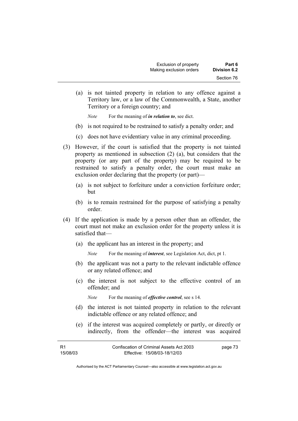(a) is not tainted property in relation to any offence against a Territory law, or a law of the Commonwealth, a State, another Territory or a foreign country; and

*Note* For the meaning of *in relation to*, see dict.

- (b) is not required to be restrained to satisfy a penalty order; and
- (c) does not have evidentiary value in any criminal proceeding.
- (3) However, if the court is satisfied that the property is not tainted property as mentioned in subsection (2) (a), but considers that the property (or any part of the property) may be required to be restrained to satisfy a penalty order, the court must make an exclusion order declaring that the property (or part)—
	- (a) is not subject to forfeiture under a conviction forfeiture order; but
	- (b) is to remain restrained for the purpose of satisfying a penalty order.
- (4) If the application is made by a person other than an offender, the court must not make an exclusion order for the property unless it is satisfied that—
	- (a) the applicant has an interest in the property; and

*Note* For the meaning of *interest*, see Legislation Act, dict, pt 1.

- (b) the applicant was not a party to the relevant indictable offence or any related offence; and
- (c) the interest is not subject to the effective control of an offender; and

*Note* For the meaning of *effective control*, see s 14.

- (d) the interest is not tainted property in relation to the relevant indictable offence or any related offence; and
- (e) if the interest was acquired completely or partly, or directly or indirectly, from the offender—the interest was acquired

| - R1     | Confiscation of Criminal Assets Act 2003 | page 73 |
|----------|------------------------------------------|---------|
| 15/08/03 | Effective: 15/08/03-18/12/03             |         |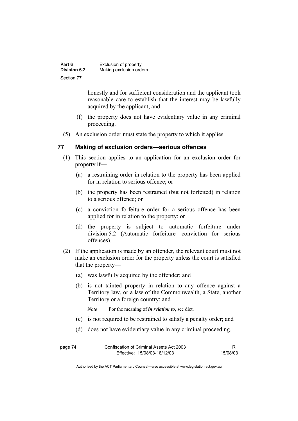| Part 6       | Exclusion of property   |
|--------------|-------------------------|
| Division 6.2 | Making exclusion orders |
| Section 77   |                         |

honestly and for sufficient consideration and the applicant took reasonable care to establish that the interest may be lawfully acquired by the applicant; and

- (f) the property does not have evidentiary value in any criminal proceeding.
- (5) An exclusion order must state the property to which it applies.

#### **77 Making of exclusion orders—serious offences**

- (1) This section applies to an application for an exclusion order for property if—
	- (a) a restraining order in relation to the property has been applied for in relation to serious offence; or
	- (b) the property has been restrained (but not forfeited) in relation to a serious offence; or
	- (c) a conviction forfeiture order for a serious offence has been applied for in relation to the property; or
	- (d) the property is subject to automatic forfeiture under division 5.2 (Automatic forfeiture—conviction for serious offences).
- (2) If the application is made by an offender, the relevant court must not make an exclusion order for the property unless the court is satisfied that the property—
	- (a) was lawfully acquired by the offender; and
	- (b) is not tainted property in relation to any offence against a Territory law, or a law of the Commonwealth, a State, another Territory or a foreign country; and

*Note* For the meaning of *in relation to*, see dict.

- (c) is not required to be restrained to satisfy a penalty order; and
- (d) does not have evidentiary value in any criminal proceeding.

| page 74 | Confiscation of Criminal Assets Act 2003 |          |
|---------|------------------------------------------|----------|
|         | Effective: 15/08/03-18/12/03             | 15/08/03 |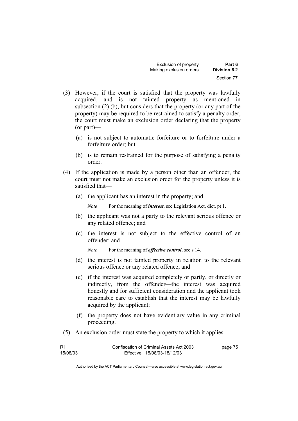| Exclusion of property   | Part 6       |
|-------------------------|--------------|
| Making exclusion orders | Division 6.2 |
|                         | Section 77   |

- (3) However, if the court is satisfied that the property was lawfully acquired, and is not tainted property as mentioned in subsection (2) (b), but considers that the property (or any part of the property) may be required to be restrained to satisfy a penalty order, the court must make an exclusion order declaring that the property (or part)—
	- (a) is not subject to automatic forfeiture or to forfeiture under a forfeiture order; but
	- (b) is to remain restrained for the purpose of satisfying a penalty order.
- (4) If the application is made by a person other than an offender, the court must not make an exclusion order for the property unless it is satisfied that—
	- (a) the applicant has an interest in the property; and

*Note* For the meaning of *interest*, see Legislation Act, dict, pt 1.

- (b) the applicant was not a party to the relevant serious offence or any related offence; and
- (c) the interest is not subject to the effective control of an offender; and

*Note* For the meaning of *effective control*, see s 14.

- (d) the interest is not tainted property in relation to the relevant serious offence or any related offence; and
- (e) if the interest was acquired completely or partly, or directly or indirectly, from the offender—the interest was acquired honestly and for sufficient consideration and the applicant took reasonable care to establish that the interest may be lawfully acquired by the applicant;
- (f) the property does not have evidentiary value in any criminal proceeding.
- (5) An exclusion order must state the property to which it applies.

| R1       | Confiscation of Criminal Assets Act 2003 | page 75 |
|----------|------------------------------------------|---------|
| 15/08/03 | Effective: 15/08/03-18/12/03             |         |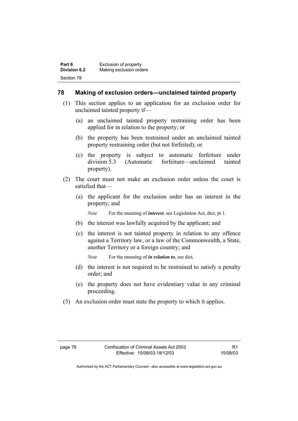| Part 6       | Exclusion of property   |
|--------------|-------------------------|
| Division 6.2 | Making exclusion orders |
| Section 78   |                         |

#### **78 Making of exclusion orders—unclaimed tainted property**

- (1) This section applies to an application for an exclusion order for unclaimed tainted property if—
	- (a) an unclaimed tainted property restraining order has been applied for in relation to the property; or
	- (b) the property has been restrained under an unclaimed tainted property restraining order (but not forfeited); or
	- (c) the property is subject to automatic forfeiture under division 5.3 (Automatic forfeiture—unclaimed tainted property).
- (2) The court must not make an exclusion order unless the court is satisfied that—
	- (a) the applicant for the exclusion order has an interest in the property; and

*Note* For the meaning of *interest*, see Legislation Act, dict, pt 1.

- (b) the interest was lawfully acquired by the applicant; and
- (c) the interest is not tainted property in relation to any offence against a Territory law, or a law of the Commonwealth, a State, another Territory or a foreign country; and

*Note* For the meaning of *in relation to*, see dict.

- (d) the interest is not required to be restrained to satisfy a penalty order; and
- (e) the property does not have evidentiary value in any criminal proceeding.
- (3) An exclusion order must state the property to which it applies.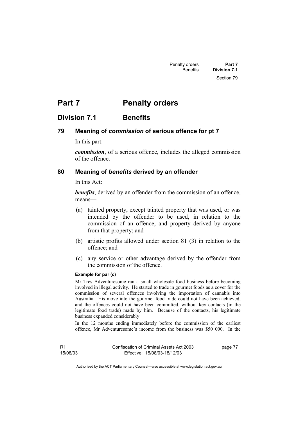# **Part 7** Penalty orders

## **Division 7.1 Benefits**

### **79 Meaning of** *commission* **of serious offence for pt 7**

In this part:

*commission*, of a serious offence, includes the alleged commission of the offence.

#### **80 Meaning of** *benefits* **derived by an offender**

In this Act:

*benefits*, derived by an offender from the commission of an offence, means—

- (a) tainted property, except tainted property that was used, or was intended by the offender to be used, in relation to the commission of an offence, and property derived by anyone from that property; and
- (b) artistic profits allowed under section 81 (3) in relation to the offence; and
- (c) any service or other advantage derived by the offender from the commission of the offence.

#### **Example for par (c)**

Mr Tres Adventuresome ran a small wholesale food business before becoming involved in illegal activity. He started to trade in gourmet foods as a cover for the commission of several offences involving the importation of cannabis into Australia. His move into the gourmet food trade could not have been achieved, and the offences could not have been committed, without key contacts (in the legitimate food trade) made by him. Because of the contacts, his legitimate business expanded considerably.

In the 12 months ending immediately before the commission of the earliest offence, Mr Adventuresome's income from the business was \$50 000. In the

R1 15/08/03 page 77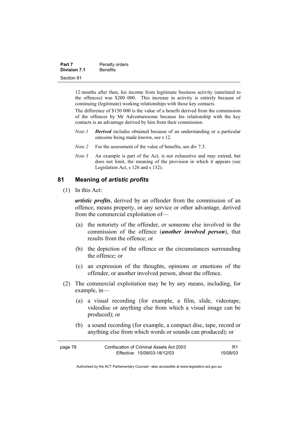| Part 7              | Penalty orders  |
|---------------------|-----------------|
| <b>Division 7.1</b> | <b>Benefits</b> |
| Section 81          |                 |

12 months after then, his income from legitimate business activity (unrelated to the offences) was \$200 000. This increase in activity is entirely because of continuing (legitimate) working relationships with those key contacts.

The difference of \$150 000 is the value of a benefit derived from the commission of the offences by Mr Adventuresome because his relationship with the key contacts is an advantage derived by him from their commission.

- *Note 1 Derived* includes obtained because of an understanding or a particular outcome being made known, see s 12.
- *Note 2* For the assessment of the value of benefits, see div 7.3.
- *Note 3* An example is part of the Act, is not exhaustive and may extend, but does not limit, the meaning of the provision in which it appears (see Legislation Act, s 126 and s 132).

#### **81 Meaning of** *artistic profits*

(1) In this Act:

*artistic profits*, derived by an offender from the commission of an offence, means property, or any service or other advantage, derived from the commercial exploitation of—

- (a) the notoriety of the offender, or someone else involved in the commission of the offence (*another involved person*), that results from the offence; or
- (b) the depiction of the offence or the circumstances surrounding the offence; or
- (c) an expression of the thoughts, opinions or emotions of the offender, or another involved person, about the offence.
- (2) The commercial exploitation may be by any means, including, for example, in—
	- (a) a visual recording (for example, a film, slide, videotape, videodisc or anything else from which a visual image can be produced); or
	- (b) a sound recording (for example, a compact disc, tape, record or anything else from which words or sounds can produced); or

| page 78 | Confiscation of Criminal Assets Act 2003 |          |
|---------|------------------------------------------|----------|
|         | Effective: 15/08/03-18/12/03             | 15/08/03 |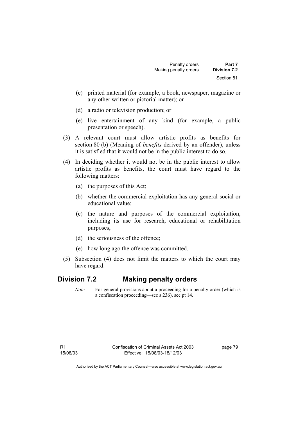- (c) printed material (for example, a book, newspaper, magazine or any other written or pictorial matter); or
- (d) a radio or television production; or
- (e) live entertainment of any kind (for example, a public presentation or speech).
- (3) A relevant court must allow artistic profits as benefits for section 80 (b) (Meaning of *benefits* derived by an offender), unless it is satisfied that it would not be in the public interest to do so.
- (4) In deciding whether it would not be in the public interest to allow artistic profits as benefits, the court must have regard to the following matters:
	- (a) the purposes of this Act;
	- (b) whether the commercial exploitation has any general social or educational value;
	- (c) the nature and purposes of the commercial exploitation, including its use for research, educational or rehabilitation purposes;
	- (d) the seriousness of the offence;
	- (e) how long ago the offence was committed.
- (5) Subsection (4) does not limit the matters to which the court may have regard.

# **Division 7.2 Making penalty orders**

*Note* For general provisions about a proceeding for a penalty order (which is a confiscation proceeding—see s 236), see pt 14.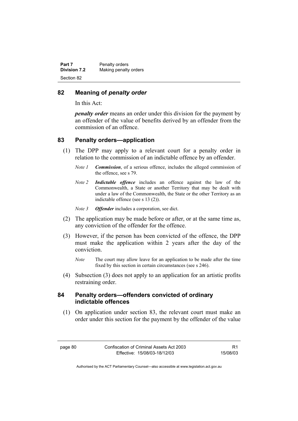| Part 7              | Penalty orders        |
|---------------------|-----------------------|
| <b>Division 7.2</b> | Making penalty orders |
| Section 82          |                       |

#### **82 Meaning of** *penalty order*

In this Act:

*penalty order* means an order under this division for the payment by an offender of the value of benefits derived by an offender from the commission of an offence.

### **83 Penalty orders—application**

- (1) The DPP may apply to a relevant court for a penalty order in relation to the commission of an indictable offence by an offender.
	- *Note 1 Commission*, of a serious offence, includes the alleged commission of the offence, see s 79.
	- *Note 2 Indictable offence* includes an offence against the law of the Commonwealth, a State or another Territory that may be dealt with under a law of the Commonwealth, the State or the other Territory as an indictable offence (see s 13 (2)).
	- *Note 3 Offender* includes a corporation, see dict.
- (2) The application may be made before or after, or at the same time as, any conviction of the offender for the offence.
- (3) However, if the person has been convicted of the offence, the DPP must make the application within 2 years after the day of the conviction.
	- *Note* The court may allow leave for an application to be made after the time fixed by this section in certain circumstances (see s 246).
- (4) Subsection (3) does not apply to an application for an artistic profits restraining order.

#### **84 Penalty orders—offenders convicted of ordinary indictable offences**

 (1) On application under section 83, the relevant court must make an order under this section for the payment by the offender of the value

R1 15/08/03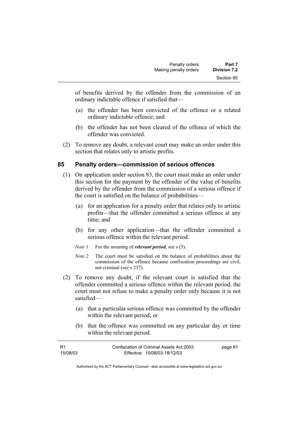of benefits derived by the offender from the commission of an ordinary indictable offence if satisfied that—

- (a) the offender has been convicted of the offence or a related ordinary indictable offence; and
- (b) the offender has not been cleared of the offence of which the offender was convicted.
- (2) To remove any doubt, a relevant court may make an order under this section that relates only to artistic profits.

### **85 Penalty orders—commission of serious offences**

- (1) On application under section 83, the court must make an order under this section for the payment by the offender of the value of benefits derived by the offender from the commission of a serious offence if the court is satisfied on the balance of probabilities—
	- (a) for an application for a penalty order that relates only to artistic profits—that the offender committed a serious offence at any time; and
	- (b) for any other application—that the offender committed a serious offence within the relevant period.
	- *Note 1* For the meaning of *relevant period*, see s (5).
	- *Note 2* The court must be satisfied on the balance of probabilities about the commission of the offence because confiscation proceedings are civil, not criminal (see s 237).
- (2) To remove any doubt, if the relevant court is satisfied that the offender committed a serious offence within the relevant period, the court must not refuse to make a penalty order only because it is not satisfied—
	- (a) that a particular serious offence was committed by the offender within the relevant period; or
	- (b) that the offence was committed on any particular day or time within the relevant period.

| - R1     | Confiscation of Criminal Assets Act 2003 | page 81 |
|----------|------------------------------------------|---------|
| 15/08/03 | Effective: 15/08/03-18/12/03             |         |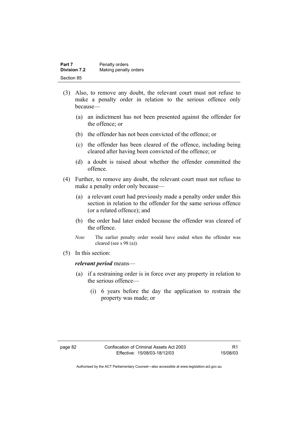| Part 7              | Penalty orders        |
|---------------------|-----------------------|
| <b>Division 7.2</b> | Making penalty orders |
| Section 85          |                       |

- (3) Also, to remove any doubt, the relevant court must not refuse to make a penalty order in relation to the serious offence only because—
	- (a) an indictment has not been presented against the offender for the offence; or
	- (b) the offender has not been convicted of the offence; or
	- (c) the offender has been cleared of the offence, including being cleared after having been convicted of the offence; or
	- (d) a doubt is raised about whether the offender committed the offence.
- (4) Further, to remove any doubt, the relevant court must not refuse to make a penalty order only because—
	- (a) a relevant court had previously made a penalty order under this section in relation to the offender for the same serious offence (or a related offence); and
	- (b) the order had later ended because the offender was cleared of the offence.
	- *Note* The earlier penalty order would have ended when the offender was cleared (see s 98 (a)).
- (5) In this section:

#### *relevant period* means—

- (a) if a restraining order is in force over any property in relation to the serious offence—
	- (i) 6 years before the day the application to restrain the property was made; or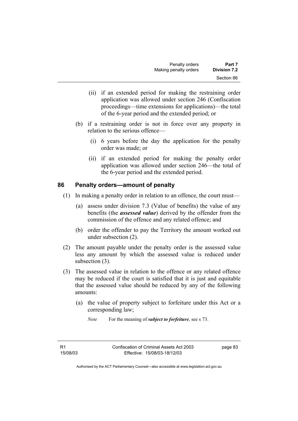- (ii) if an extended period for making the restraining order application was allowed under section 246 (Confiscation proceedings—time extensions for applications)—the total of the 6-year period and the extended period; or
- (b) if a restraining order is not in force over any property in relation to the serious offence—
	- (i) 6 years before the day the application for the penalty order was made; or
	- (ii) if an extended period for making the penalty order application was allowed under section 246—the total of the 6-year period and the extended period.

### **86 Penalty orders—amount of penalty**

- (1) In making a penalty order in relation to an offence, the court must—
	- (a) assess under division 7.3 (Value of benefits) the value of any benefits (the *assessed value*) derived by the offender from the commission of the offence and any related offence; and
	- (b) order the offender to pay the Territory the amount worked out under subsection (2).
- (2) The amount payable under the penalty order is the assessed value less any amount by which the assessed value is reduced under subsection (3).
- (3) The assessed value in relation to the offence or any related offence may be reduced if the court is satisfied that it is just and equitable that the assessed value should be reduced by any of the following amounts:
	- (a) the value of property subject to forfeiture under this Act or a corresponding law;

*Note* For the meaning of *subject to forfeiture*, see s 73.

R1 15/08/03 page 83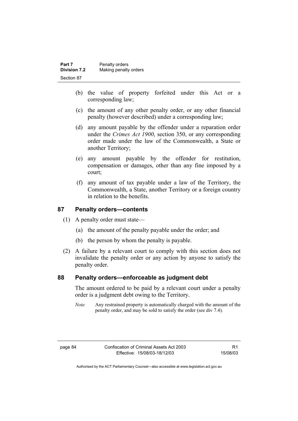| Part 7              | Penalty orders        |
|---------------------|-----------------------|
| <b>Division 7.2</b> | Making penalty orders |
| Section 87          |                       |

- (b) the value of property forfeited under this Act or a corresponding law;
- (c) the amount of any other penalty order, or any other financial penalty (however described) under a corresponding law;
- (d) any amount payable by the offender under a reparation order under the *Crimes Act 1900*, section 350, or any corresponding order made under the law of the Commonwealth, a State or another Territory;
- (e) any amount payable by the offender for restitution, compensation or damages, other than any fine imposed by a court;
- (f) any amount of tax payable under a law of the Territory, the Commonwealth, a State, another Territory or a foreign country in relation to the benefits.

### **87 Penalty orders—contents**

- (1) A penalty order must state—
	- (a) the amount of the penalty payable under the order; and
	- (b) the person by whom the penalty is payable.
- (2) A failure by a relevant court to comply with this section does not invalidate the penalty order or any action by anyone to satisfy the penalty order.

#### **88 Penalty orders—enforceable as judgment debt**

The amount ordered to be paid by a relevant court under a penalty order is a judgment debt owing to the Territory.

*Note* Any restrained property is automatically charged with the amount of the penalty order, and may be sold to satisfy the order (see div 7.4).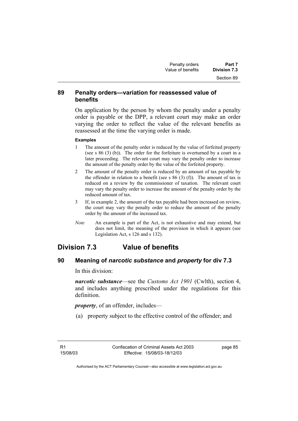### **89 Penalty orders—variation for reassessed value of benefits**

On application by the person by whom the penalty under a penalty order is payable or the DPP, a relevant court may make an order varying the order to reflect the value of the relevant benefits as reassessed at the time the varying order is made.

#### **Examples**

- 1 The amount of the penalty order is reduced by the value of forfeited property (see s 86 (3) (b)). The order for the forfeiture is overturned by a court in a later proceeding. The relevant court may vary the penalty order to increase the amount of the penalty order by the value of the forfeited property.
- 2 The amount of the penalty order is reduced by an amount of tax payable by the offender in relation to a benefit (see s  $86$  (3) (f)). The amount of tax is reduced on a review by the commissioner of taxation. The relevant court may vary the penalty order to increase the amount of the penalty order by the reduced amount of tax.
- 3 If, in example 2, the amount of the tax payable had been increased on review, the court may vary the penalty order to reduce the amount of the penalty order by the amount of the increased tax.
- *Note* An example is part of the Act, is not exhaustive and may extend, but does not limit, the meaning of the provision in which it appears (see Legislation Act, s 126 and s 132).

# **Division 7.3 Value of benefits**

### **90 Meaning of** *narcotic substance* **and** *property* **for div 7.3**

In this division:

*narcotic substance*—see the *Customs Act 1901* (Cwlth), section 4, and includes anything prescribed under the regulations for this definition.

*property*, of an offender, includes—

(a) property subject to the effective control of the offender; and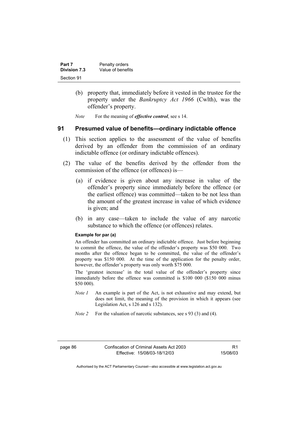| Part 7       | Penalty orders    |
|--------------|-------------------|
| Division 7.3 | Value of benefits |
| Section 91   |                   |

- (b) property that, immediately before it vested in the trustee for the property under the *Bankruptcy Act 1966* (Cwlth), was the offender's property.
- *Note* For the meaning of *effective control*, see s 14.

#### **91 Presumed value of benefits—ordinary indictable offence**

- (1) This section applies to the assessment of the value of benefits derived by an offender from the commission of an ordinary indictable offence (or ordinary indictable offences).
- (2) The value of the benefits derived by the offender from the commission of the offence (or offences) is—
	- (a) if evidence is given about any increase in value of the offender's property since immediately before the offence (or the earliest offence) was committed—taken to be not less than the amount of the greatest increase in value of which evidence is given; and
	- (b) in any case—taken to include the value of any narcotic substance to which the offence (or offences) relates.

#### **Example for par (a)**

An offender has committed an ordinary indictable offence. Just before beginning to commit the offence, the value of the offender's property was \$50 000. Two months after the offence began to be committed, the value of the offender's property was \$150 000. At the time of the application for the penalty order, however, the offender's property was only worth \$75 000.

The 'greatest increase' in the total value of the offender's property since immediately before the offence was committed is \$100 000 (\$150 000 minus \$50 000).

- *Note 1* An example is part of the Act, is not exhaustive and may extend, but does not limit, the meaning of the provision in which it appears (see Legislation Act, s 126 and s 132).
- *Note 2* For the valuation of narcotic substances, see s 93 (3) and (4).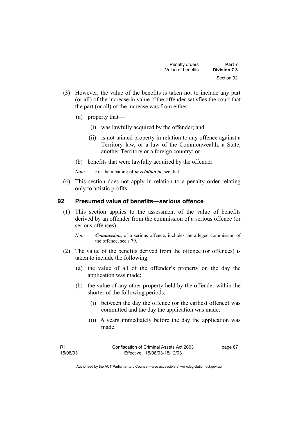- (3) However, the value of the benefits is taken not to include any part (or all) of the increase in value if the offender satisfies the court that the part (or all) of the increase was from either—
	- (a) property that—
		- (i) was lawfully acquired by the offender; and
		- (ii) is not tainted property in relation to any offence against a Territory law, or a law of the Commonwealth, a State, another Territory or a foreign country; or
	- (b) benefits that were lawfully acquired by the offender.
	- *Note* For the meaning of *in relation to*, see dict.
- (4) This section does not apply in relation to a penalty order relating only to artistic profits.

#### **92 Presumed value of benefits—serious offence**

- (1) This section applies to the assessment of the value of benefits derived by an offender from the commission of a serious offence (or serious offences).
	- *Note Commission*, of a serious offence, includes the alleged commission of the offence, see s 79.
- (2) The value of the benefits derived from the offence (or offences) is taken to include the following:
	- (a) the value of all of the offender's property on the day the application was made;
	- (b) the value of any other property held by the offender within the shorter of the following periods:
		- (i) between the day the offence (or the earliest offence) was committed and the day the application was made;
		- (ii) 6 years immediately before the day the application was made;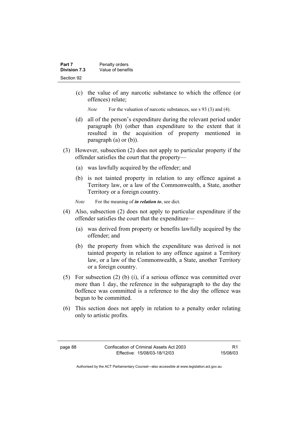| Part 7       | Penalty orders    |
|--------------|-------------------|
| Division 7.3 | Value of benefits |
| Section 92   |                   |

 (c) the value of any narcotic substance to which the offence (or offences) relate;

*Note* For the valuation of narcotic substances, see s 93 (3) and (4).

- (d) all of the person's expenditure during the relevant period under paragraph (b) (other than expenditure to the extent that it resulted in the acquisition of property mentioned in paragraph (a) or (b)).
- (3) However, subsection (2) does not apply to particular property if the offender satisfies the court that the property—
	- (a) was lawfully acquired by the offender; and
	- (b) is not tainted property in relation to any offence against a Territory law, or a law of the Commonwealth, a State, another Territory or a foreign country.
	- *Note* For the meaning of *in relation to*, see dict.
- (4) Also, subsection (2) does not apply to particular expenditure if the offender satisfies the court that the expenditure—
	- (a) was derived from property or benefits lawfully acquired by the offender; and
	- (b) the property from which the expenditure was derived is not tainted property in relation to any offence against a Territory law, or a law of the Commonwealth, a State, another Territory or a foreign country.
- (5) For subsection (2) (b) (i), if a serious offence was committed over more than 1 day, the reference in the subparagraph to the day the 0offence was committed is a reference to the day the offence was begun to be committed.
- (6) This section does not apply in relation to a penalty order relating only to artistic profits.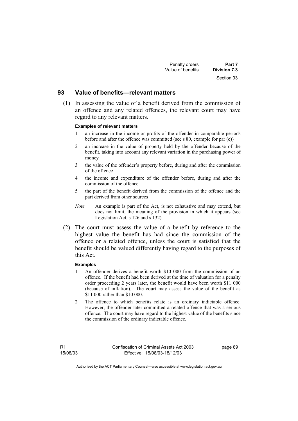#### **93 Value of benefits—relevant matters**

 (1) In assessing the value of a benefit derived from the commission of an offence and any related offences, the relevant court may have regard to any relevant matters.

#### **Examples of relevant matters**

- 1 an increase in the income or profits of the offender in comparable periods before and after the offence was committed (see s 80, example for par (c))
- 2 an increase in the value of property held by the offender because of the benefit, taking into account any relevant variation in the purchasing power of money
- 3 the value of the offender's property before, during and after the commission of the offence
- 4 the income and expenditure of the offender before, during and after the commission of the offence
- 5 the part of the benefit derived from the commission of the offence and the part derived from other sources
- *Note* An example is part of the Act, is not exhaustive and may extend, but does not limit, the meaning of the provision in which it appears (see Legislation Act, s 126 and s 132).
- (2) The court must assess the value of a benefit by reference to the highest value the benefit has had since the commission of the offence or a related offence, unless the court is satisfied that the benefit should be valued differently having regard to the purposes of this Act.

#### **Examples**

- 1 An offender derives a benefit worth \$10 000 from the commission of an offence. If the benefit had been derived at the time of valuation for a penalty order proceeding 2 years later, the benefit would have been worth \$11 000 (because of inflation). The court may assess the value of the benefit as \$11 000 rather than \$10 000.
- 2 The offence to which benefits relate is an ordinary indictable offence. However, the offender later committed a related offence that was a serious offence. The court may have regard to the highest value of the benefits since the commission of the ordinary indictable offence.

R1 15/08/03 page 89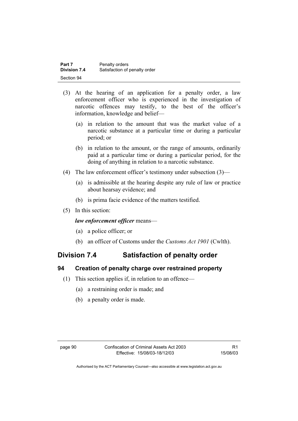| Part 7       | Penalty orders                |
|--------------|-------------------------------|
| Division 7.4 | Satisfaction of penalty order |
| Section 94   |                               |

- (3) At the hearing of an application for a penalty order, a law enforcement officer who is experienced in the investigation of narcotic offences may testify, to the best of the officer's information, knowledge and belief—
	- (a) in relation to the amount that was the market value of a narcotic substance at a particular time or during a particular period; or
	- (b) in relation to the amount, or the range of amounts, ordinarily paid at a particular time or during a particular period, for the doing of anything in relation to a narcotic substance.
- (4) The law enforcement officer's testimony under subsection (3)—
	- (a) is admissible at the hearing despite any rule of law or practice about hearsay evidence; and
	- (b) is prima facie evidence of the matters testified.
- (5) In this section:

#### *law enforcement officer* means—

- (a) a police officer; or
- (b) an officer of Customs under the *Customs Act 1901* (Cwlth).

# **Division 7.4 Satisfaction of penalty order**

#### **94 Creation of penalty charge over restrained property**

- (1) This section applies if, in relation to an offence—
	- (a) a restraining order is made; and
	- (b) a penalty order is made.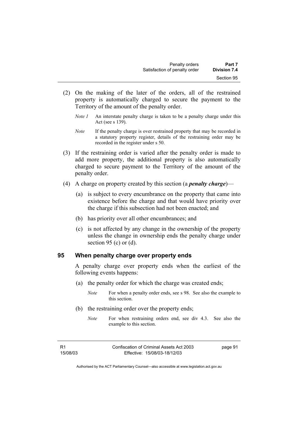- (2) On the making of the later of the orders, all of the restrained property is automatically charged to secure the payment to the Territory of the amount of the penalty order.
	- *Note 1* An interstate penalty charge is taken to be a penalty charge under this Act (see s 139).
	- *Note* If the penalty charge is over restrained property that may be recorded in a statutory property register, details of the restraining order may be recorded in the register under s 50.
- (3) If the restraining order is varied after the penalty order is made to add more property, the additional property is also automatically charged to secure payment to the Territory of the amount of the penalty order.
- (4) A charge on property created by this section (a *penalty charge*)—
	- (a) is subject to every encumbrance on the property that came into existence before the charge and that would have priority over the charge if this subsection had not been enacted; and
	- (b) has priority over all other encumbrances; and
	- (c) is not affected by any change in the ownership of the property unless the change in ownership ends the penalty charge under section 95 (c) or  $(d)$ .

#### **95 When penalty charge over property ends**

A penalty charge over property ends when the earliest of the following events happens:

- (a) the penalty order for which the charge was created ends;
	- *Note* For when a penalty order ends, see s 98. See also the example to this section.
- (b) the restraining order over the property ends;
	- *Note* For when restraining orders end, see div 4.3. See also the example to this section.

R1 15/08/03 page 91

Authorised by the ACT Parliamentary Counsel—also accessible at www.legislation.act.gov.au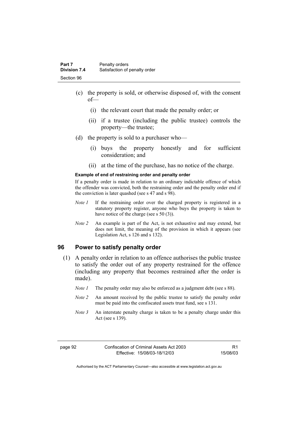- (c) the property is sold, or otherwise disposed of, with the consent of—
	- (i) the relevant court that made the penalty order; or
	- (ii) if a trustee (including the public trustee) controls the property—the trustee;
- (d) the property is sold to a purchaser who—
	- (i) buys the property honestly and for sufficient consideration; and
	- (ii) at the time of the purchase, has no notice of the charge.

#### **Example of end of restraining order and penalty order**

If a penalty order is made in relation to an ordinary indictable offence of which the offender was convicted, both the restraining order and the penalty order end if the conviction is later quashed (see s 47 and s 98).

- *Note 1* If the restraining order over the charged property is registered in a statutory property register, anyone who buys the property is taken to have notice of the charge (see s 50 (3)).
- *Note* 2 An example is part of the Act, is not exhaustive and may extend, but does not limit, the meaning of the provision in which it appears (see Legislation Act, s 126 and s 132).

#### **96 Power to satisfy penalty order**

- (1) A penalty order in relation to an offence authorises the public trustee to satisfy the order out of any property restrained for the offence (including any property that becomes restrained after the order is made).
	- *Note 1* The penalty order may also be enforced as a judgment debt (see s 88).
	- *Note 2* An amount received by the public trustee to satisfy the penalty order must be paid into the confiscated assets trust fund, see s 131.
	- *Note 3* An interstate penalty charge is taken to be a penalty charge under this Act (see s 139).

R1 15/08/03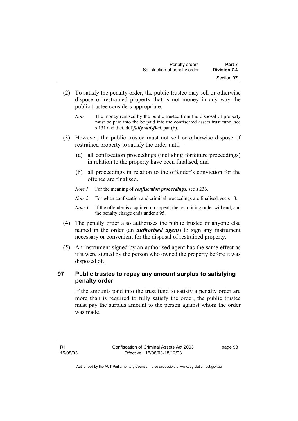- (2) To satisfy the penalty order, the public trustee may sell or otherwise dispose of restrained property that is not money in any way the public trustee considers appropriate.
	- *Note* The money realised by the public trustee from the disposal of property must be paid into the be paid into the confiscated assets trust fund, see s 131 and dict, def *fully satisfied*, par (b).
- (3) However, the public trustee must not sell or otherwise dispose of restrained property to satisfy the order until—
	- (a) all confiscation proceedings (including forfeiture proceedings) in relation to the property have been finalised; and
	- (b) all proceedings in relation to the offender's conviction for the offence are finalised.
	- *Note 1* For the meaning of *confiscation proceedings*, see s 236.
	- *Note 2* For when confiscation and criminal proceedings are finalised, see s 18.
	- *Note 3* If the offender is acquitted on appeal, the restraining order will end, and the penalty charge ends under s 95.
- (4) The penalty order also authorises the public trustee or anyone else named in the order (an *authorised agent*) to sign any instrument necessary or convenient for the disposal of restrained property.
- (5) An instrument signed by an authorised agent has the same effect as if it were signed by the person who owned the property before it was disposed of.

## **97 Public trustee to repay any amount surplus to satisfying penalty order**

If the amounts paid into the trust fund to satisfy a penalty order are more than is required to fully satisfy the order, the public trustee must pay the surplus amount to the person against whom the order was made.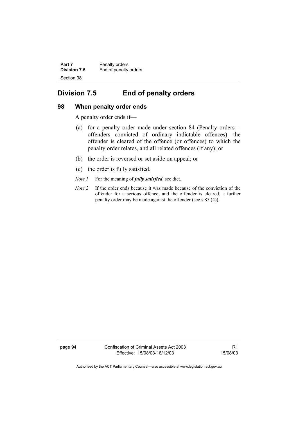| Part 7       | Penalty orders        |
|--------------|-----------------------|
| Division 7.5 | End of penalty orders |
| Section 98   |                       |

## **Division 7.5 End of penalty orders**

#### **98 When penalty order ends**

A penalty order ends if—

- (a) for a penalty order made under section 84 (Penalty orders offenders convicted of ordinary indictable offences)—the offender is cleared of the offence (or offences) to which the penalty order relates, and all related offences (if any); or
- (b) the order is reversed or set aside on appeal; or
- (c) the order is fully satisfied.
- *Note 1* For the meaning of *fully satisfied*, see dict.
- *Note 2* If the order ends because it was made because of the conviction of the offender for a serious offence, and the offender is cleared, a further penalty order may be made against the offender (see s 85 (4)).

page 94 Confiscation of Criminal Assets Act 2003 Effective: 15/08/03-18/12/03

R1 15/08/03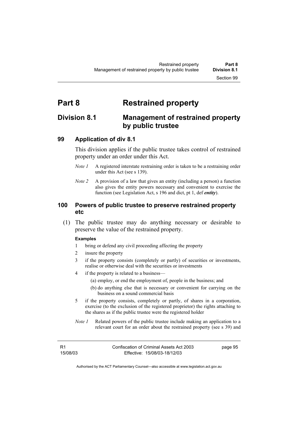# **Part 8 Restrained property**

## **Division 8.1 Management of restrained property by public trustee**

### **99 Application of div 8.1**

This division applies if the public trustee takes control of restrained property under an order under this Act.

- *Note 1* A registered interstate restraining order is taken to be a restraining order under this Act (see s 139).
- *Note 2* A provision of a law that gives an entity (including a person) a function also gives the entity powers necessary and convenient to exercise the function (see Legislation Act, s 196 and dict, pt 1, def *entity*).

### **100 Powers of public trustee to preserve restrained property etc**

 (1) The public trustee may do anything necessary or desirable to preserve the value of the restrained property.

#### **Examples**

- 1 bring or defend any civil proceeding affecting the property
- 2 insure the property
- 3 if the property consists (completely or partly) of securities or investments, realise or otherwise deal with the securities or investments
- 4 if the property is related to a business—
	- (a) employ, or end the employment of, people in the business; and
	- (b) do anything else that is necessary or convenient for carrying on the business on a sound commercial basis
- 5 if the property consists, completely or partly, of shares in a corporation, exercise (to the exclusion of the registered proprietor) the rights attaching to the shares as if the public trustee were the registered holder
- *Note 1* Related powers of the public trustee include making an application to a relevant court for an order about the restrained property (see s 39) and

R1 15/08/03 page 95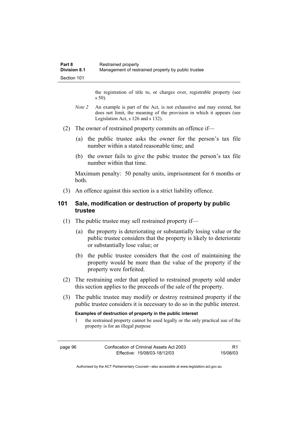the registration of title to, or charges over, registrable property (see s 50).

- *Note* 2 An example is part of the Act, is not exhaustive and may extend, but does not limit, the meaning of the provision in which it appears (see Legislation Act, s 126 and s 132).
- (2) The owner of restrained property commits an offence if—
	- (a) the public trustee asks the owner for the person's tax file number within a stated reasonable time; and
	- (b) the owner fails to give the pubic trustee the person's tax file number within that time.

Maximum penalty: 50 penalty units, imprisonment for 6 months or both.

(3) An offence against this section is a strict liability offence.

#### **101 Sale, modification or destruction of property by public trustee**

- (1) The public trustee may sell restrained property if—
	- (a) the property is deteriorating or substantially losing value or the public trustee considers that the property is likely to deteriorate or substantially lose value; or
	- (b) the public trustee considers that the cost of maintaining the property would be more than the value of the property if the property were forfeited.
- (2) The restraining order that applied to restrained property sold under this section applies to the proceeds of the sale of the property.
- (3) The public trustee may modify or destroy restrained property if the public trustee considers it is necessary to do so in the public interest.

#### **Examples of destruction of property in the public interest**

1 the restrained property cannot be used legally or the only practical use of the property is for an illegal purpose

R1 15/08/03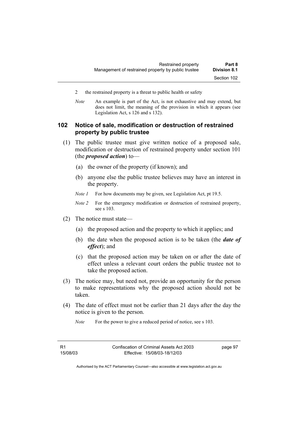- 2 the restrained property is a threat to public health or safety
- *Note* An example is part of the Act, is not exhaustive and may extend, but does not limit, the meaning of the provision in which it appears (see Legislation Act, s 126 and s 132).

### **102 Notice of sale, modification or destruction of restrained property by public trustee**

- (1) The public trustee must give written notice of a proposed sale, modification or destruction of restrained property under section 101 (the *proposed action*) to—
	- (a) the owner of the property (if known); and
	- (b) anyone else the public trustee believes may have an interest in the property.
	- *Note 1* For how documents may be given, see Legislation Act, pt 19.5.
	- *Note 2* For the emergency modification or destruction of restrained property, see s 103.
- (2) The notice must state—
	- (a) the proposed action and the property to which it applies; and
	- (b) the date when the proposed action is to be taken (the *date of effect*); and
	- (c) that the proposed action may be taken on or after the date of effect unless a relevant court orders the public trustee not to take the proposed action.
- (3) The notice may, but need not, provide an opportunity for the person to make representations why the proposed action should not be taken.
- (4) The date of effect must not be earlier than 21 days after the day the notice is given to the person.
	- *Note* For the power to give a reduced period of notice, see s 103.

page 97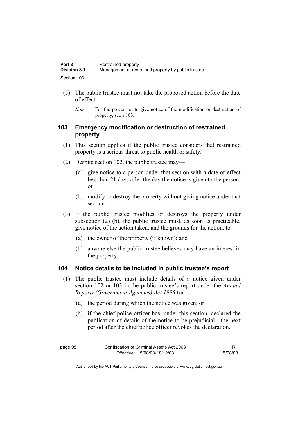| Part 8              | Restrained property                                 |
|---------------------|-----------------------------------------------------|
| <b>Division 8.1</b> | Management of restrained property by public trustee |
| Section 103         |                                                     |

- (5) The public trustee must not take the proposed action before the date of effect.
	- *Note* For the power not to give notice of the modification or destruction of property, see s 103.

### **103 Emergency modification or destruction of restrained property**

- (1) This section applies if the public trustee considers that restrained property is a serious threat to public health or safety.
- (2) Despite section 102, the public trustee may—
	- (a) give notice to a person under that section with a date of effect less than 21 days after the day the notice is given to the person; or
	- (b) modify or destroy the property without giving notice under that section.
- (3) If the public trustee modifies or destroys the property under subsection (2) (b), the public trustee must, as soon as practicable, give notice of the action taken, and the grounds for the action, to—
	- (a) the owner of the property (if known); and
	- (b) anyone else the public trustee believes may have an interest in the property.

#### **104 Notice details to be included in public trustee's report**

- (1) The public trustee must include details of a notice given under section 102 or 103 in the public trustee's report under the *Annual Reports (Government Agencies) Act 1995* for—
	- (a) the period during which the notice was given; or
	- (b) if the chief police officer has, under this section, declared the publication of details of the notice to be prejudicial—the next period after the chief police officer revokes the declaration.

R1 15/08/03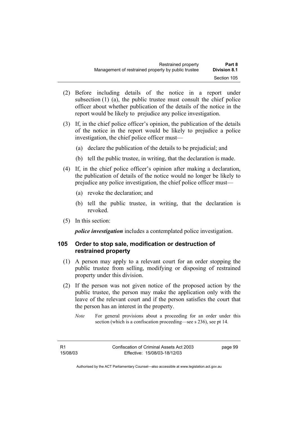- (2) Before including details of the notice in a report under subsection (1) (a), the public trustee must consult the chief police officer about whether publication of the details of the notice in the report would be likely to prejudice any police investigation.
- (3) If, in the chief police officer's opinion, the publication of the details of the notice in the report would be likely to prejudice a police investigation, the chief police officer must—
	- (a) declare the publication of the details to be prejudicial; and
	- (b) tell the public trustee, in writing, that the declaration is made.
- (4) If, in the chief police officer's opinion after making a declaration, the publication of details of the notice would no longer be likely to prejudice any police investigation, the chief police officer must—
	- (a) revoke the declaration; and
	- (b) tell the public trustee, in writing, that the declaration is revoked.
- (5) In this section:

*police investigation* includes a contemplated police investigation.

## **105 Order to stop sale, modification or destruction of restrained property**

- (1) A person may apply to a relevant court for an order stopping the public trustee from selling, modifying or disposing of restrained property under this division.
- (2) If the person was not given notice of the proposed action by the public trustee, the person may make the application only with the leave of the relevant court and if the person satisfies the court that the person has an interest in the property.
	- *Note* For general provisions about a proceeding for an order under this section (which is a confiscation proceeding—see s 236), see pt 14.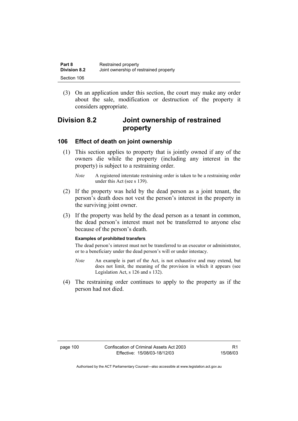| Part 8              | Restrained property                    |
|---------------------|----------------------------------------|
| <b>Division 8.2</b> | Joint ownership of restrained property |
| Section 106         |                                        |

 (3) On an application under this section, the court may make any order about the sale, modification or destruction of the property it considers appropriate.

## **Division 8.2 Joint ownership of restrained property**

#### **106 Effect of death on joint ownership**

 (1) This section applies to property that is jointly owned if any of the owners die while the property (including any interest in the property) is subject to a restraining order.

- (2) If the property was held by the dead person as a joint tenant, the person's death does not vest the person's interest in the property in the surviving joint owner.
- (3) If the property was held by the dead person as a tenant in common, the dead person's interest must not be transferred to anyone else because of the person's death.

#### **Examples of prohibited transfers**

The dead person's interest must not be transferred to an executor or administrator, or to a beneficiary under the dead person's will or under intestacy.

- *Note* An example is part of the Act, is not exhaustive and may extend, but does not limit, the meaning of the provision in which it appears (see Legislation Act, s 126 and s 132).
- (4) The restraining order continues to apply to the property as if the person had not died.

*Note* A registered interstate restraining order is taken to be a restraining order under this Act (see s 139).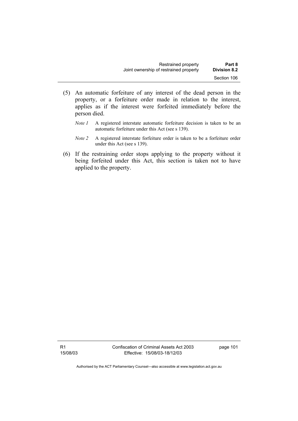| Restrained property                    | Part 8              |
|----------------------------------------|---------------------|
| Joint ownership of restrained property | <b>Division 8.2</b> |
|                                        | Section 106         |

- (5) An automatic forfeiture of any interest of the dead person in the property, or a forfeiture order made in relation to the interest, applies as if the interest were forfeited immediately before the person died.
	- *Note 1* A registered interstate automatic forfeiture decision is taken to be an automatic forfeiture under this Act (see s 139).
	- *Note 2* A registered interstate forfeiture order is taken to be a forfeiture order under this Act (see s 139).
- (6) If the restraining order stops applying to the property without it being forfeited under this Act, this section is taken not to have applied to the property.

R1 15/08/03 Confiscation of Criminal Assets Act 2003 Effective: 15/08/03-18/12/03

page 101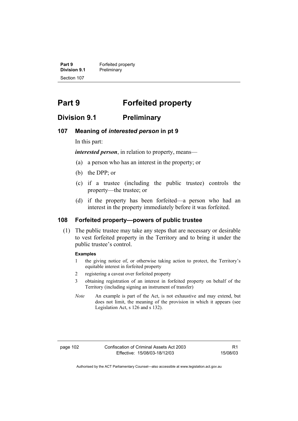**Part 9 Forfeited property**<br>**Division 9.1 Preliminary Division 9.1** Preliminary Section 107

# **Part 9 Forfeited property**

## **Division 9.1 Preliminary**

#### **107 Meaning of** *interested person* **in pt 9**

In this part:

*interested person*, in relation to property, means—

- (a) a person who has an interest in the property; or
- (b) the DPP; or
- (c) if a trustee (including the public trustee) controls the property—the trustee; or
- (d) if the property has been forfeited—a person who had an interest in the property immediately before it was forfeited.

#### **108 Forfeited property—powers of public trustee**

 (1) The public trustee may take any steps that are necessary or desirable to vest forfeited property in the Territory and to bring it under the public trustee's control.

#### **Examples**

- 1 the giving notice of, or otherwise taking action to protect, the Territory's equitable interest in forfeited property
- 2 registering a caveat over forfeited property
- 3 obtaining registration of an interest in forfeited property on behalf of the Territory (including signing an instrument of transfer)
- *Note* An example is part of the Act, is not exhaustive and may extend, but does not limit, the meaning of the provision in which it appears (see Legislation Act, s 126 and s 132).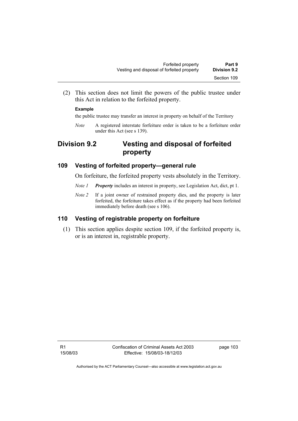(2) This section does not limit the powers of the public trustee under this Act in relation to the forfeited property.

#### **Example**

the public trustee may transfer an interest in property on behalf of the Territory

*Note* A registered interstate forfeiture order is taken to be a forfeiture order under this Act (see s 139).

## **Division 9.2 Vesting and disposal of forfeited property**

#### **109 Vesting of forfeited property—general rule**

On forfeiture, the forfeited property vests absolutely in the Territory.

- *Note 1 Property* includes an interest in property, see Legislation Act, dict, pt 1.
- *Note 2* If a joint owner of restrained property dies, and the property is later forfeited, the forfeiture takes effect as if the property had been forfeited immediately before death (see s 106).

#### **110 Vesting of registrable property on forfeiture**

 (1) This section applies despite section 109, if the forfeited property is, or is an interest in, registrable property.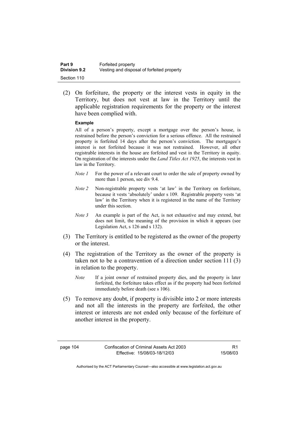| Part 9              | Forfeited property                         |
|---------------------|--------------------------------------------|
| <b>Division 9.2</b> | Vesting and disposal of forfeited property |
| Section 110         |                                            |

 (2) On forfeiture, the property or the interest vests in equity in the Territory, but does not vest at law in the Territory until the applicable registration requirements for the property or the interest have been complied with.

#### **Example**

All of a person's property, except a mortgage over the person's house, is restrained before the person's conviction for a serious offence. All the restrained property is forfeited 14 days after the person's conviction. The mortgagee's interest is not forfeited because it was not restrained. However, all other registrable interests in the house are forfeited and vest in the Territory in equity. On registration of the interests under the *Land Titles Act 1925*, the interests vest in law in the Territory.

- *Note 1* For the power of a relevant court to order the sale of property owned by more than 1 person, see div 9.4.
- *Note 2* Non-registrable property vests 'at law' in the Territory on forfeiture, because it vests 'absolutely' under s 109. Registrable property vests 'at law' in the Territory when it is registered in the name of the Territory under this section.
- *Note 3* An example is part of the Act, is not exhaustive and may extend, but does not limit, the meaning of the provision in which it appears (see Legislation Act, s 126 and s 132).
- (3) The Territory is entitled to be registered as the owner of the property or the interest.
- (4) The registration of the Territory as the owner of the property is taken not to be a contravention of a direction under section 111 (3) in relation to the property.
	- *Note* If a joint owner of restrained property dies, and the property is later forfeited, the forfeiture takes effect as if the property had been forfeited immediately before death (see s 106).
- (5) To remove any doubt, if property is divisible into 2 or more interests and not all the interests in the property are forfeited, the other interest or interests are not ended only because of the forfeiture of another interest in the property.

R1 15/08/03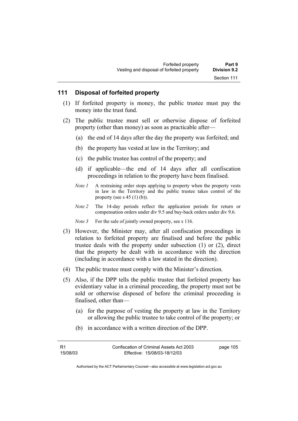#### **111 Disposal of forfeited property**

- (1) If forfeited property is money, the public trustee must pay the money into the trust fund.
- (2) The public trustee must sell or otherwise dispose of forfeited property (other than money) as soon as practicable after—
	- (a) the end of 14 days after the day the property was forfeited; and
	- (b) the property has vested at law in the Territory; and
	- (c) the public trustee has control of the property; and
	- (d) if applicable—the end of 14 days after all confiscation proceedings in relation to the property have been finalised.
	- *Note 1* A restraining order stops applying to property when the property vests in law in the Territory and the public trustee takes control of the property (see s  $45$  (1) (b)).
	- *Note 2* The 14-day periods reflect the application periods for return or compensation orders under div 9.5 and buy-back orders under div 9.6.
	- *Note 3* For the sale of jointly owned property, see s 116.
- (3) However, the Minister may, after all confiscation proceedings in relation to forfeited property are finalised and before the public trustee deals with the property under subsection (1) or (2), direct that the property be dealt with in accordance with the direction (including in accordance with a law stated in the direction).
- (4) The public trustee must comply with the Minister's direction.
- (5) Also, if the DPP tells the public trustee that forfeited property has evidentiary value in a criminal proceeding, the property must not be sold or otherwise disposed of before the criminal proceeding is finalised, other than—
	- (a) for the purpose of vesting the property at law in the Territory or allowing the public trustee to take control of the property; or
	- (b) in accordance with a written direction of the DPP.

R1 15/08/03 page 105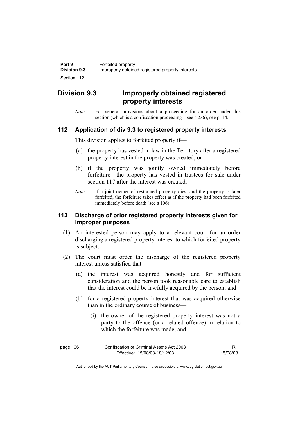# **Division 9.3 Improperly obtained registered property interests**

*Note* For general provisions about a proceeding for an order under this section (which is a confiscation proceeding—see s 236), see pt 14.

### **112 Application of div 9.3 to registered property interests**

This division applies to forfeited property if—

- (a) the property has vested in law in the Territory after a registered property interest in the property was created; or
- (b) if the property was jointly owned immediately before forfeiture—the property has vested in trustees for sale under section 117 after the interest was created.
- *Note* If a joint owner of restrained property dies, and the property is later forfeited, the forfeiture takes effect as if the property had been forfeited immediately before death (see s 106).

#### **113 Discharge of prior registered property interests given for improper purposes**

- (1) An interested person may apply to a relevant court for an order discharging a registered property interest to which forfeited property is subject.
- (2) The court must order the discharge of the registered property interest unless satisfied that—
	- (a) the interest was acquired honestly and for sufficient consideration and the person took reasonable care to establish that the interest could be lawfully acquired by the person; and
	- (b) for a registered property interest that was acquired otherwise than in the ordinary course of business—
		- (i) the owner of the registered property interest was not a party to the offence (or a related offence) in relation to which the forfeiture was made; and

| page 106 | Confiscation of Criminal Assets Act 2003 |          |
|----------|------------------------------------------|----------|
|          | Effective: 15/08/03-18/12/03             | 15/08/03 |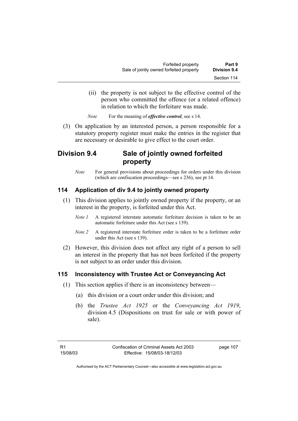- (ii) the property is not subject to the effective control of the person who committed the offence (or a related offence) in relation to which the forfeiture was made.
- *Note* For the meaning of *effective control*, see s 14.
- (3) On application by an interested person, a person responsible for a statutory property register must make the entries in the register that are necessary or desirable to give effect to the court order.

## **Division 9.4 Sale of jointly owned forfeited property**

*Note* For general provisions about proceedings for orders under this division (which are confiscation proceedings—see s 236), see pt 14.

## **114 Application of div 9.4 to jointly owned property**

- (1) This division applies to jointly owned property if the property, or an interest in the property, is forfeited under this Act.
	- *Note 1* A registered interstate automatic forfeiture decision is taken to be an automatic forfeiture under this Act (see s 139).
	- *Note 2* A registered interstate forfeiture order is taken to be a forfeiture order under this Act (see s 139).
- (2) However, this division does not affect any right of a person to sell an interest in the property that has not been forfeited if the property is not subject to an order under this division.

## **115 Inconsistency with Trustee Act or Conveyancing Act**

- (1) This section applies if there is an inconsistency between—
	- (a) this division or a court order under this division; and
	- (b) the *Trustee Act 1925* or the *Conveyancing Act 1919*, division 4.5 (Dispositions on trust for sale or with power of sale).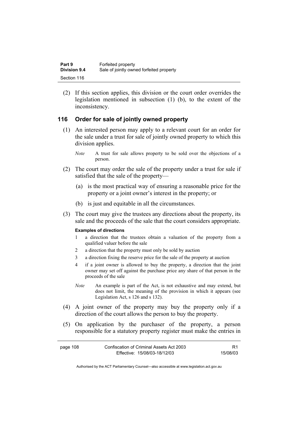| Part 9              | Forfeited property                       |
|---------------------|------------------------------------------|
| <b>Division 9.4</b> | Sale of jointly owned forfeited property |
| Section 116         |                                          |

 (2) If this section applies, this division or the court order overrides the legislation mentioned in subsection (1) (b), to the extent of the inconsistency.

#### **116 Order for sale of jointly owned property**

- (1) An interested person may apply to a relevant court for an order for the sale under a trust for sale of jointly owned property to which this division applies.
	- *Note* A trust for sale allows property to be sold over the objections of a person.
- (2) The court may order the sale of the property under a trust for sale if satisfied that the sale of the property—
	- (a) is the most practical way of ensuring a reasonable price for the property or a joint owner's interest in the property; or
	- (b) is just and equitable in all the circumstances.
- (3) The court may give the trustees any directions about the property, its sale and the proceeds of the sale that the court considers appropriate.

#### **Examples of directions**

- 1 a direction that the trustees obtain a valuation of the property from a qualified valuer before the sale
- 2 a direction that the property must only be sold by auction
- 3 a direction fixing the reserve price for the sale of the property at auction
- 4 if a joint owner is allowed to buy the property, a direction that the joint owner may set off against the purchase price any share of that person in the proceeds of the sale
- *Note* An example is part of the Act, is not exhaustive and may extend, but does not limit, the meaning of the provision in which it appears (see Legislation Act, s 126 and s 132).
- (4) A joint owner of the property may buy the property only if a direction of the court allows the person to buy the property.
- (5) On application by the purchaser of the property, a person responsible for a statutory property register must make the entries in

| page 108 | Confiscation of Criminal Assets Act 2003 |          |
|----------|------------------------------------------|----------|
|          | Effective: 15/08/03-18/12/03             | 15/08/03 |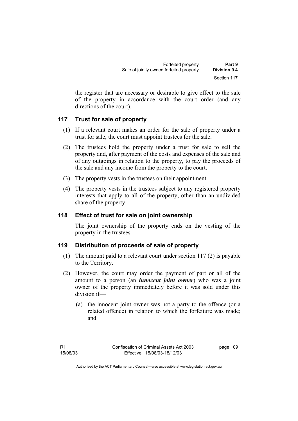the register that are necessary or desirable to give effect to the sale of the property in accordance with the court order (and any directions of the court).

## **117 Trust for sale of property**

- (1) If a relevant court makes an order for the sale of property under a trust for sale, the court must appoint trustees for the sale.
- (2) The trustees hold the property under a trust for sale to sell the property and, after payment of the costs and expenses of the sale and of any outgoings in relation to the property, to pay the proceeds of the sale and any income from the property to the court.
- (3) The property vests in the trustees on their appointment.
- (4) The property vests in the trustees subject to any registered property interests that apply to all of the property, other than an undivided share of the property.

## **118 Effect of trust for sale on joint ownership**

The joint ownership of the property ends on the vesting of the property in the trustees.

## **119 Distribution of proceeds of sale of property**

- (1) The amount paid to a relevant court under section 117 (2) is payable to the Territory.
- (2) However, the court may order the payment of part or all of the amount to a person (an *innocent joint owner*) who was a joint owner of the property immediately before it was sold under this division if—
	- (a) the innocent joint owner was not a party to the offence (or a related offence) in relation to which the forfeiture was made; and

page 109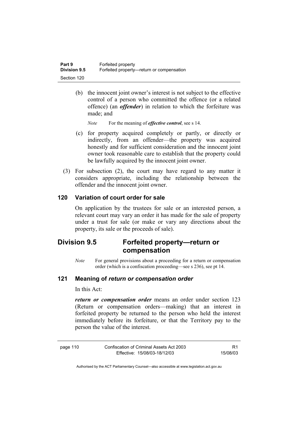| Part 9              | Forfeited property                        |
|---------------------|-------------------------------------------|
| <b>Division 9.5</b> | Forfeited property—return or compensation |
| Section 120         |                                           |

 (b) the innocent joint owner's interest is not subject to the effective control of a person who committed the offence (or a related offence) (an *offender*) in relation to which the forfeiture was made; and

*Note* For the meaning of *effective control*, see s 14.

- (c) for property acquired completely or partly, or directly or indirectly, from an offender—the property was acquired honestly and for sufficient consideration and the innocent joint owner took reasonable care to establish that the property could be lawfully acquired by the innocent joint owner.
- (3) For subsection (2), the court may have regard to any matter it considers appropriate, including the relationship between the offender and the innocent joint owner.

### **120 Variation of court order for sale**

On application by the trustees for sale or an interested person, a relevant court may vary an order it has made for the sale of property under a trust for sale (or make or vary any directions about the property, its sale or the proceeds of sale).

## **Division 9.5 Forfeited property—return or compensation**

*Note* For general provisions about a proceeding for a return or compensation order (which is a confiscation proceeding—see s 236), see pt 14.

### **121 Meaning of** *return or compensation order*

In this Act:

*return or compensation order* means an order under section 123 (Return or compensation orders—making) that an interest in forfeited property be returned to the person who held the interest immediately before its forfeiture, or that the Territory pay to the person the value of the interest.

| page 110 | Confiscation of Criminal Assets Act 2003 | R1       |
|----------|------------------------------------------|----------|
|          | Effective: 15/08/03-18/12/03             | 15/08/03 |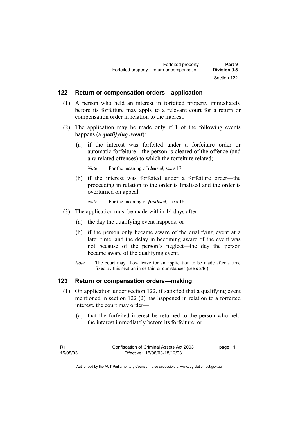#### **122 Return or compensation orders—application**

- (1) A person who held an interest in forfeited property immediately before its forfeiture may apply to a relevant court for a return or compensation order in relation to the interest.
- (2) The application may be made only if 1 of the following events happens (a *qualifying event*):
	- (a) if the interest was forfeited under a forfeiture order or automatic forfeiture—the person is cleared of the offence (and any related offences) to which the forfeiture related;

*Note* For the meaning of *cleared*, see s 17.

- (b) if the interest was forfeited under a forfeiture order—the proceeding in relation to the order is finalised and the order is overturned on appeal.
	- *Note* For the meaning of *finalised*, see s 18.
- (3) The application must be made within 14 days after—
	- (a) the day the qualifying event happens; or
	- (b) if the person only became aware of the qualifying event at a later time, and the delay in becoming aware of the event was not because of the person's neglect—the day the person became aware of the qualifying event.
	- *Note* The court may allow leave for an application to be made after a time fixed by this section in certain circumstances (see s 246).

#### **123 Return or compensation orders—making**

- (1) On application under section 122, if satisfied that a qualifying event mentioned in section 122 (2) has happened in relation to a forfeited interest, the court may order—
	- (a) that the forfeited interest be returned to the person who held the interest immediately before its forfeiture; or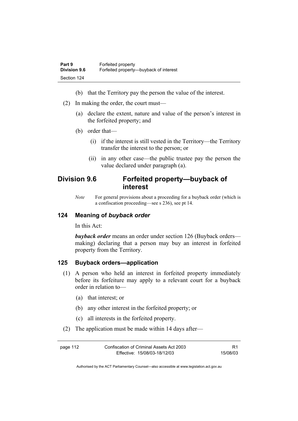- (b) that the Territory pay the person the value of the interest.
- (2) In making the order, the court must—
	- (a) declare the extent, nature and value of the person's interest in the forfeited property; and
	- (b) order that—
		- (i) if the interest is still vested in the Territory—the Territory transfer the interest to the person; or
		- (ii) in any other case—the public trustee pay the person the value declared under paragraph (a).

## **Division 9.6 Forfeited property—buyback of interest**

*Note* For general provisions about a proceeding for a buyback order (which is a confiscation proceeding—see s 236), see pt 14.

#### **124 Meaning of** *buyback order*

In this Act:

*buyback order* means an order under section 126 (Buyback orders making) declaring that a person may buy an interest in forfeited property from the Territory.

#### **125 Buyback orders—application**

- (1) A person who held an interest in forfeited property immediately before its forfeiture may apply to a relevant court for a buyback order in relation to—
	- (a) that interest; or
	- (b) any other interest in the forfeited property; or
	- (c) all interests in the forfeited property.
- (2) The application must be made within 14 days after—

| page 112 | Confiscation of Criminal Assets Act 2003 |          |
|----------|------------------------------------------|----------|
|          | Effective: 15/08/03-18/12/03             | 15/08/03 |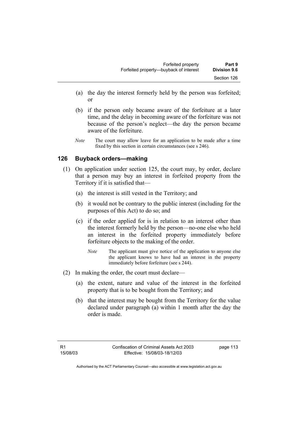- (a) the day the interest formerly held by the person was forfeited; or
- (b) if the person only became aware of the forfeiture at a later time, and the delay in becoming aware of the forfeiture was not because of the person's neglect—the day the person became aware of the forfeiture.
- *Note* The court may allow leave for an application to be made after a time fixed by this section in certain circumstances (see s 246).

#### **126 Buyback orders—making**

- (1) On application under section 125, the court may, by order, declare that a person may buy an interest in forfeited property from the Territory if it is satisfied that—
	- (a) the interest is still vested in the Territory; and
	- (b) it would not be contrary to the public interest (including for the purposes of this Act) to do so; and
	- (c) if the order applied for is in relation to an interest other than the interest formerly held by the person—no-one else who held an interest in the forfeited property immediately before forfeiture objects to the making of the order.
		- *Note* The applicant must give notice of the application to anyone else the applicant knows to have had an interest in the property immediately before forfeiture (see s 244).
- (2) In making the order, the court must declare—
	- (a) the extent, nature and value of the interest in the forfeited property that is to be bought from the Territory; and
	- (b) that the interest may be bought from the Territory for the value declared under paragraph (a) within 1 month after the day the order is made.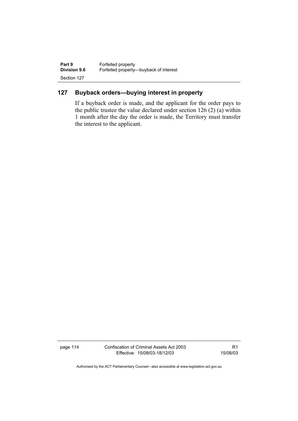| Part 9              | Forfeited property                     |
|---------------------|----------------------------------------|
| <b>Division 9.6</b> | Forfeited property—buyback of interest |
| Section 127         |                                        |

## **127 Buyback orders—buying interest in property**

If a buyback order is made, and the applicant for the order pays to the public trustee the value declared under section 126 (2) (a) within 1 month after the day the order is made, the Territory must transfer the interest to the applicant.

page 114 Confiscation of Criminal Assets Act 2003 Effective: 15/08/03-18/12/03

R1 15/08/03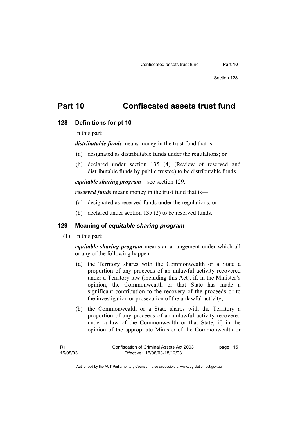# **Part 10 Confiscated assets trust fund**

#### **128 Definitions for pt 10**

In this part:

*distributable funds* means money in the trust fund that is—

- (a) designated as distributable funds under the regulations; or
- (b) declared under section 135 (4) (Review of reserved and distributable funds by public trustee) to be distributable funds.

*equitable sharing program*—see section 129.

*reserved funds* means money in the trust fund that is—

- (a) designated as reserved funds under the regulations; or
- (b) declared under section 135 (2) to be reserved funds.

## **129 Meaning of** *equitable sharing program*

(1) In this part:

*equitable sharing program* means an arrangement under which all or any of the following happen:

- (a) the Territory shares with the Commonwealth or a State a proportion of any proceeds of an unlawful activity recovered under a Territory law (including this Act), if, in the Minister's opinion, the Commonwealth or that State has made a significant contribution to the recovery of the proceeds or to the investigation or prosecution of the unlawful activity;
- (b) the Commonwealth or a State shares with the Territory a proportion of any proceeds of an unlawful activity recovered under a law of the Commonwealth or that State, if, in the opinion of the appropriate Minister of the Commonwealth or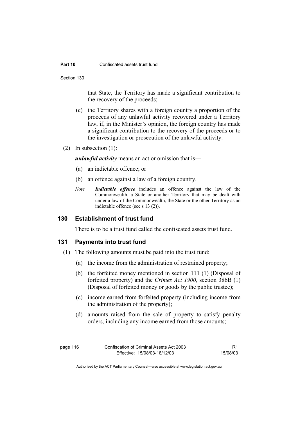#### **Part 10 Confiscated assets trust fund**

Section 130

that State, the Territory has made a significant contribution to the recovery of the proceeds;

- (c) the Territory shares with a foreign country a proportion of the proceeds of any unlawful activity recovered under a Territory law, if, in the Minister's opinion, the foreign country has made a significant contribution to the recovery of the proceeds or to the investigation or prosecution of the unlawful activity.
- (2) In subsection (1):

*unlawful activity* means an act or omission that is—

- (a) an indictable offence; or
- (b) an offence against a law of a foreign country.
- *Note Indictable offence* includes an offence against the law of the Commonwealth, a State or another Territory that may be dealt with under a law of the Commonwealth, the State or the other Territory as an indictable offence (see s 13 (2)).

#### **130 Establishment of trust fund**

There is to be a trust fund called the confiscated assets trust fund.

#### **131 Payments into trust fund**

- (1) The following amounts must be paid into the trust fund:
	- (a) the income from the administration of restrained property;
	- (b) the forfeited money mentioned in section 111 (1) (Disposal of forfeited property) and the *Crimes Act 1900*, section 386B (1) (Disposal of forfeited money or goods by the public trustee);
	- (c) income earned from forfeited property (including income from the administration of the property);
	- (d) amounts raised from the sale of property to satisfy penalty orders, including any income earned from those amounts;

R1 15/08/03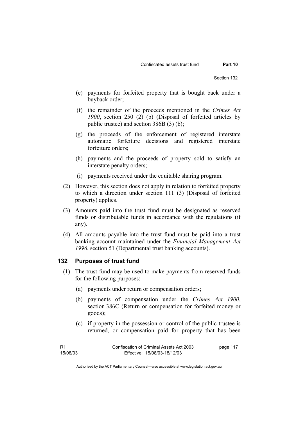- (e) payments for forfeited property that is bought back under a buyback order;
- (f) the remainder of the proceeds mentioned in the *Crimes Act 1900*, section 250 (2) (b) (Disposal of forfeited articles by public trustee) and section 386B (3) (b);
- (g) the proceeds of the enforcement of registered interstate automatic forfeiture decisions and registered interstate forfeiture orders;
- (h) payments and the proceeds of property sold to satisfy an interstate penalty orders;
- (i) payments received under the equitable sharing program.
- (2) However, this section does not apply in relation to forfeited property to which a direction under section 111 (3) (Disposal of forfeited property) applies.
- (3) Amounts paid into the trust fund must be designated as reserved funds or distributable funds in accordance with the regulations (if any).
- (4) All amounts payable into the trust fund must be paid into a trust banking account maintained under the *Financial Management Act 1996*, section 51 (Departmental trust banking accounts).

#### **132 Purposes of trust fund**

- (1) The trust fund may be used to make payments from reserved funds for the following purposes:
	- (a) payments under return or compensation orders;
	- (b) payments of compensation under the *Crimes Act 1900*, section 386C (Return or compensation for forfeited money or goods);
	- (c) if property in the possession or control of the public trustee is returned, or compensation paid for property that has been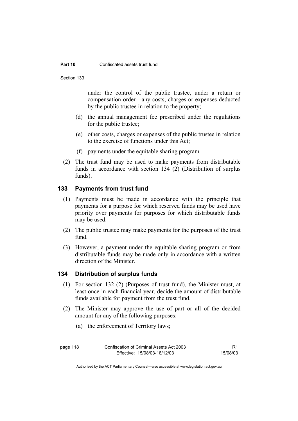#### **Part 10 Confiscated assets trust fund**

Section 133

under the control of the public trustee, under a return or compensation order—any costs, charges or expenses deducted by the public trustee in relation to the property;

- (d) the annual management fee prescribed under the regulations for the public trustee;
- (e) other costs, charges or expenses of the public trustee in relation to the exercise of functions under this Act;
- (f) payments under the equitable sharing program.
- (2) The trust fund may be used to make payments from distributable funds in accordance with section 134 (2) (Distribution of surplus funds).

#### **133 Payments from trust fund**

- (1) Payments must be made in accordance with the principle that payments for a purpose for which reserved funds may be used have priority over payments for purposes for which distributable funds may be used.
- (2) The public trustee may make payments for the purposes of the trust fund.
- (3) However, a payment under the equitable sharing program or from distributable funds may be made only in accordance with a written direction of the Minister.

#### **134 Distribution of surplus funds**

- (1) For section 132 (2) (Purposes of trust fund), the Minister must, at least once in each financial year, decide the amount of distributable funds available for payment from the trust fund.
- (2) The Minister may approve the use of part or all of the decided amount for any of the following purposes:
	- (a) the enforcement of Territory laws;

R1 15/08/03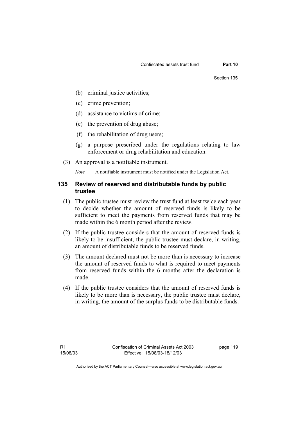- (b) criminal justice activities;
- (c) crime prevention;
- (d) assistance to victims of crime;
- (e) the prevention of drug abuse;
- (f) the rehabilitation of drug users;
- (g) a purpose prescribed under the regulations relating to law enforcement or drug rehabilitation and education.
- (3) An approval is a notifiable instrument.

*Note* A notifiable instrument must be notified under the Legislation Act.

#### **135 Review of reserved and distributable funds by public trustee**

- (1) The public trustee must review the trust fund at least twice each year to decide whether the amount of reserved funds is likely to be sufficient to meet the payments from reserved funds that may be made within the 6 month period after the review.
- (2) If the public trustee considers that the amount of reserved funds is likely to be insufficient, the public trustee must declare, in writing, an amount of distributable funds to be reserved funds.
- (3) The amount declared must not be more than is necessary to increase the amount of reserved funds to what is required to meet payments from reserved funds within the 6 months after the declaration is made.
- (4) If the public trustee considers that the amount of reserved funds is likely to be more than is necessary, the public trustee must declare, in writing, the amount of the surplus funds to be distributable funds.

page 119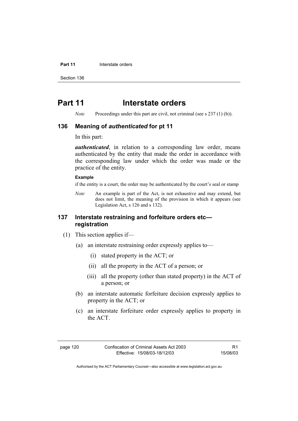#### **Part 11 Interstate orders**

Section 136

# **Part 11** Interstate orders

*Note* Proceedings under this part are civil, not criminal (see s 237 (1) (b)).

#### **136 Meaning of** *authenticated* **for pt 11**

In this part:

*authenticated*, in relation to a corresponding law order, means authenticated by the entity that made the order in accordance with the corresponding law under which the order was made or the practice of the entity.

#### **Example**

if the entity is a court, the order may be authenticated by the court's seal or stamp

*Note* An example is part of the Act, is not exhaustive and may extend, but does not limit, the meaning of the provision in which it appears (see Legislation Act, s 126 and s 132).

### **137 Interstate restraining and forfeiture orders etc registration**

- (1) This section applies if—
	- (a) an interstate restraining order expressly applies to—
		- (i) stated property in the ACT; or
		- (ii) all the property in the ACT of a person; or
		- (iii) all the property (other than stated property) in the ACT of a person; or
	- (b) an interstate automatic forfeiture decision expressly applies to property in the ACT; or
	- (c) an interstate forfeiture order expressly applies to property in the ACT.

R1 15/08/03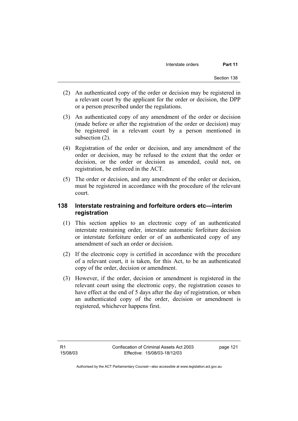- (2) An authenticated copy of the order or decision may be registered in a relevant court by the applicant for the order or decision, the DPP or a person prescribed under the regulations.
- (3) An authenticated copy of any amendment of the order or decision (made before or after the registration of the order or decision) may be registered in a relevant court by a person mentioned in subsection (2).
- (4) Registration of the order or decision, and any amendment of the order or decision, may be refused to the extent that the order or decision, or the order or decision as amended, could not, on registration, be enforced in the ACT.
- (5) The order or decision, and any amendment of the order or decision, must be registered in accordance with the procedure of the relevant court.

### **138 Interstate restraining and forfeiture orders etc—interim registration**

- (1) This section applies to an electronic copy of an authenticated interstate restraining order, interstate automatic forfeiture decision or interstate forfeiture order or of an authenticated copy of any amendment of such an order or decision.
- (2) If the electronic copy is certified in accordance with the procedure of a relevant court, it is taken, for this Act, to be an authenticated copy of the order, decision or amendment.
- (3) However, if the order, decision or amendment is registered in the relevant court using the electronic copy, the registration ceases to have effect at the end of 5 days after the day of registration, or when an authenticated copy of the order, decision or amendment is registered, whichever happens first.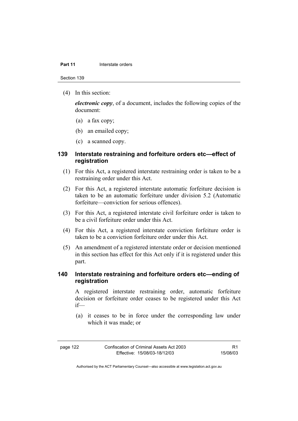#### **Part 11 Interstate orders**

Section 139

(4) In this section:

*electronic copy*, of a document, includes the following copies of the document:

- (a) a fax copy;
- (b) an emailed copy;
- (c) a scanned copy.

### **139 Interstate restraining and forfeiture orders etc—effect of registration**

- (1) For this Act, a registered interstate restraining order is taken to be a restraining order under this Act.
- (2) For this Act, a registered interstate automatic forfeiture decision is taken to be an automatic forfeiture under division 5.2 (Automatic forfeiture—conviction for serious offences).
- (3) For this Act, a registered interstate civil forfeiture order is taken to be a civil forfeiture order under this Act.
- (4) For this Act, a registered interstate conviction forfeiture order is taken to be a conviction forfeiture order under this Act.
- (5) An amendment of a registered interstate order or decision mentioned in this section has effect for this Act only if it is registered under this part.

#### **140 Interstate restraining and forfeiture orders etc—ending of registration**

A registered interstate restraining order, automatic forfeiture decision or forfeiture order ceases to be registered under this Act if—

 (a) it ceases to be in force under the corresponding law under which it was made; or

R1 15/08/03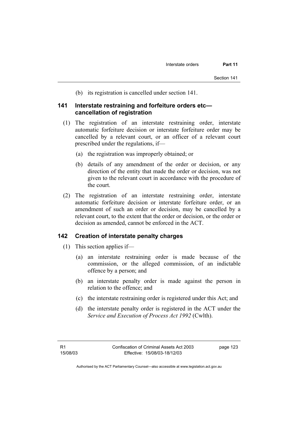(b) its registration is cancelled under section 141.

#### **141 Interstate restraining and forfeiture orders etc cancellation of registration**

- (1) The registration of an interstate restraining order, interstate automatic forfeiture decision or interstate forfeiture order may be cancelled by a relevant court, or an officer of a relevant court prescribed under the regulations, if—
	- (a) the registration was improperly obtained; or
	- (b) details of any amendment of the order or decision, or any direction of the entity that made the order or decision, was not given to the relevant court in accordance with the procedure of the court.
- (2) The registration of an interstate restraining order, interstate automatic forfeiture decision or interstate forfeiture order, or an amendment of such an order or decision, may be cancelled by a relevant court, to the extent that the order or decision, or the order or decision as amended, cannot be enforced in the ACT.

#### **142 Creation of interstate penalty charges**

- (1) This section applies if—
	- (a) an interstate restraining order is made because of the commission, or the alleged commission, of an indictable offence by a person; and
	- (b) an interstate penalty order is made against the person in relation to the offence; and
	- (c) the interstate restraining order is registered under this Act; and
	- (d) the interstate penalty order is registered in the ACT under the *Service and Execution of Process Act 1992* (Cwlth).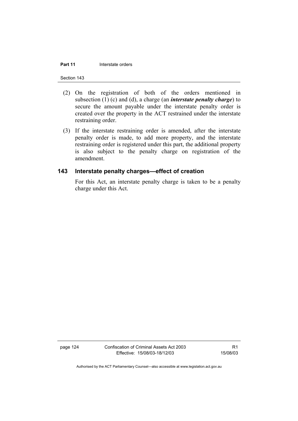#### **Part 11 Interstate orders**

Section 143

- (2) On the registration of both of the orders mentioned in subsection (1) (c) and (d), a charge (an *interstate penalty charge*) to secure the amount payable under the interstate penalty order is created over the property in the ACT restrained under the interstate restraining order.
- (3) If the interstate restraining order is amended, after the interstate penalty order is made, to add more property, and the interstate restraining order is registered under this part, the additional property is also subject to the penalty charge on registration of the amendment.

#### **143 Interstate penalty charges—effect of creation**

For this Act, an interstate penalty charge is taken to be a penalty charge under this Act.

page 124 Confiscation of Criminal Assets Act 2003 Effective: 15/08/03-18/12/03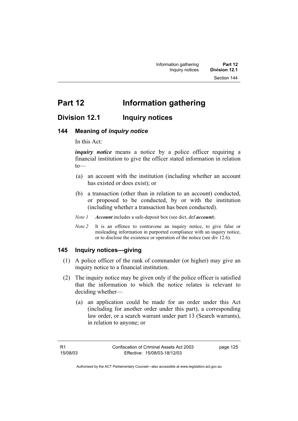# **Part 12 Information gathering**

## **Division 12.1 Inquiry notices**

#### **144 Meaning of** *inquiry notice*

In this Act:

*inquiry notice* means a notice by a police officer requiring a financial institution to give the officer stated information in relation to—

- (a) an account with the institution (including whether an account has existed or does exist); or
- (b) a transaction (other than in relation to an account) conducted, or proposed to be conducted, by or with the institution (including whether a transaction has been conducted).
- *Note 1 Account* includes a safe-deposit box (see dict, def *account*).
- *Note 2* It is an offence to contravene an inquiry notice, to give false or misleading information in purported compliance with an inquiry notice, or to disclose the existence or operation of the notice (see div 12.6).

#### **145 Inquiry notices—giving**

- (1) A police officer of the rank of commander (or higher) may give an inquiry notice to a financial institution.
- (2) The inquiry notice may be given only if the police officer is satisfied that the information to which the notice relates is relevant to deciding whether—
	- (a) an application could be made for an order under this Act (including for another order under this part), a corresponding law order, or a search warrant under part 13 (Search warrants), in relation to anyone; or

page 125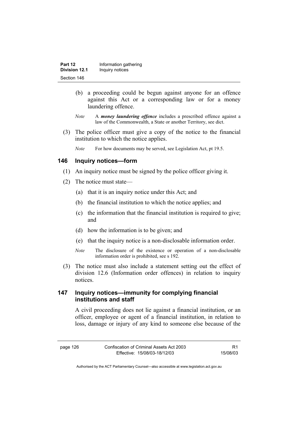| Part 12              | Information gathering |
|----------------------|-----------------------|
| <b>Division 12.1</b> | Inquiry notices       |
| Section 146          |                       |

- (b) a proceeding could be begun against anyone for an offence against this Act or a corresponding law or for a money laundering offence.
- *Note* A *money laundering offence* includes a prescribed offence against a law of the Commonwealth, a State or another Territory, see dict.
- (3) The police officer must give a copy of the notice to the financial institution to which the notice applies.
	- *Note* For how documents may be served, see Legislation Act, pt 19.5.

#### **146 Inquiry notices—form**

- (1) An inquiry notice must be signed by the police officer giving it.
- (2) The notice must state—
	- (a) that it is an inquiry notice under this Act; and
	- (b) the financial institution to which the notice applies; and
	- (c) the information that the financial institution is required to give; and
	- (d) how the information is to be given; and
	- (e) that the inquiry notice is a non-disclosable information order.
	- *Note* The disclosure of the existence or operation of a non-disclosable information order is prohibited, see s 192.
- (3) The notice must also include a statement setting out the effect of division 12.6 (Information order offences) in relation to inquiry notices.

### **147 Inquiry notices—immunity for complying financial institutions and staff**

A civil proceeding does not lie against a financial institution, or an officer, employee or agent of a financial institution, in relation to loss, damage or injury of any kind to someone else because of the

R1 15/08/03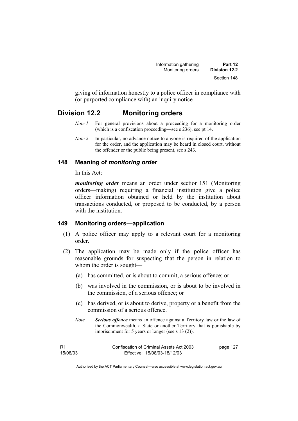giving of information honestly to a police officer in compliance with (or purported compliance with) an inquiry notice

## **Division 12.2 Monitoring orders**

- *Note 1* For general provisions about a proceeding for a monitoring order (which is a confiscation proceeding—see s 236), see pt 14.
- *Note 2* In particular, no advance notice to anyone is required of the application for the order, and the application may be heard in closed court, without the offender or the public being present, see s 243.

## **148 Meaning of** *monitoring order*

In this Act:

*monitoring order* means an order under section 151 (Monitoring orders—making) requiring a financial institution give a police officer information obtained or held by the institution about transactions conducted, or proposed to be conducted, by a person with the institution

## **149 Monitoring orders—application**

- (1) A police officer may apply to a relevant court for a monitoring order.
- (2) The application may be made only if the police officer has reasonable grounds for suspecting that the person in relation to whom the order is sought—
	- (a) has committed, or is about to commit, a serious offence; or
	- (b) was involved in the commission, or is about to be involved in the commission, of a serious offence; or
	- (c) has derived, or is about to derive, property or a benefit from the commission of a serious offence.
	- *Note Serious offence* means an offence against a Territory law or the law of the Commonwealth, a State or another Territory that is punishable by imprisonment for 5 years or longer (see s 13 (2)).

| - R1     | Confiscation of Criminal Assets Act 2003 | page 127 |
|----------|------------------------------------------|----------|
| 15/08/03 | Effective: 15/08/03-18/12/03             |          |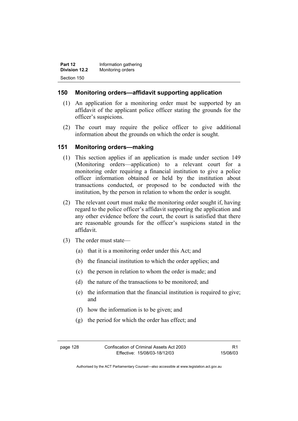| Part 12              | Information gathering |
|----------------------|-----------------------|
| <b>Division 12.2</b> | Monitoring orders     |
| Section 150          |                       |

#### **150 Monitoring orders—affidavit supporting application**

- (1) An application for a monitoring order must be supported by an affidavit of the applicant police officer stating the grounds for the officer's suspicions.
- (2) The court may require the police officer to give additional information about the grounds on which the order is sought.

### **151 Monitoring orders—making**

- (1) This section applies if an application is made under section 149 (Monitoring orders—application) to a relevant court for a monitoring order requiring a financial institution to give a police officer information obtained or held by the institution about transactions conducted, or proposed to be conducted with the institution, by the person in relation to whom the order is sought.
- (2) The relevant court must make the monitoring order sought if, having regard to the police officer's affidavit supporting the application and any other evidence before the court, the court is satisfied that there are reasonable grounds for the officer's suspicions stated in the affidavit.
- (3) The order must state—
	- (a) that it is a monitoring order under this Act; and
	- (b) the financial institution to which the order applies; and
	- (c) the person in relation to whom the order is made; and
	- (d) the nature of the transactions to be monitored; and
	- (e) the information that the financial institution is required to give; and
	- (f) how the information is to be given; and
	- (g) the period for which the order has effect; and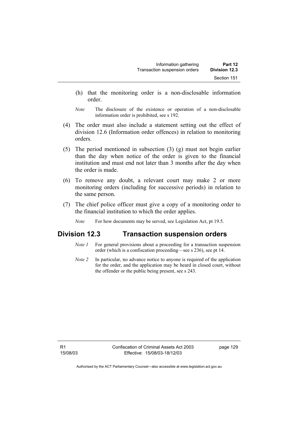- (h) that the monitoring order is a non-disclosable information order.
- *Note* The disclosure of the existence or operation of a non-disclosable information order is prohibited, see s 192.
- (4) The order must also include a statement setting out the effect of division 12.6 (Information order offences) in relation to monitoring orders.
- (5) The period mentioned in subsection (3) (g) must not begin earlier than the day when notice of the order is given to the financial institution and must end not later than 3 months after the day when the order is made.
- (6) To remove any doubt, a relevant court may make 2 or more monitoring orders (including for successive periods) in relation to the same person.
- (7) The chief police officer must give a copy of a monitoring order to the financial institution to which the order applies.
	- *Note* For how documents may be served, see Legislation Act, pt 19.5.

# **Division 12.3 Transaction suspension orders**

- *Note 1* For general provisions about a proceeding for a transaction suspension order (which is a confiscation proceeding—see s 236), see pt 14.
- *Note 2* In particular, no advance notice to anyone is required of the application for the order, and the application may be heard in closed court, without the offender or the public being present, see s 243.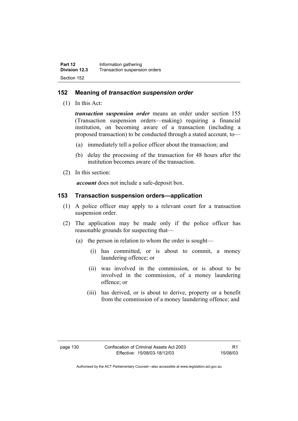### **152 Meaning of** *transaction suspension order*

(1) In this Act:

*transaction suspension order* means an order under section 155 (Transaction suspension orders—making) requiring a financial institution, on becoming aware of a transaction (including a proposed transaction) to be conducted through a stated account, to—

- (a) immediately tell a police officer about the transaction; and
- (b) delay the processing of the transaction for 48 hours after the institution becomes aware of the transaction.
- (2) In this section:

*account* does not include a safe-deposit box.

#### **153 Transaction suspension orders—application**

- (1) A police officer may apply to a relevant court for a transaction suspension order.
- (2) The application may be made only if the police officer has reasonable grounds for suspecting that—
	- (a) the person in relation to whom the order is sought—
		- (i) has committed, or is about to commit, a money laundering offence; or
		- (ii) was involved in the commission, or is about to be involved in the commission, of a money laundering offence; or
		- (iii) has derived, or is about to derive, property or a benefit from the commission of a money laundering offence; and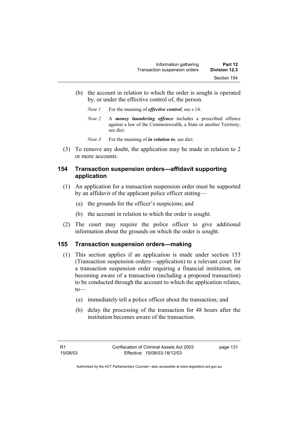- (b) the account in relation to which the order is sought is operated by, or under the effective control of, the person.
	- *Note 1* For the meaning of *effective control*, see s 14.
	- *Note 2* A *money laundering offence* includes a prescribed offence against a law of the Commonwealth, a State or another Territory, see dict.
	- *Note* 3 For the meaning of *in relation to*, see dict.
- (3) To remove any doubt, the application may be made in relation to 2 or more accounts.

## **154 Transaction suspension orders—affidavit supporting application**

- (1) An application for a transaction suspension order must be supported by an affidavit of the applicant police officer stating—
	- (a) the grounds for the officer's suspicions; and
	- (b) the account in relation to which the order is sought.
- (2) The court may require the police officer to give additional information about the grounds on which the order is sought.

#### **155 Transaction suspension orders—making**

- (1) This section applies if an application is made under section 153 (Transaction suspension orders—application) to a relevant court for a transaction suspension order requiring a financial institution, on becoming aware of a transaction (including a proposed transaction) to be conducted through the account to which the application relates, to—
	- (a) immediately tell a police officer about the transaction; and
	- (b) delay the processing of the transaction for 48 hours after the institution becomes aware of the transaction.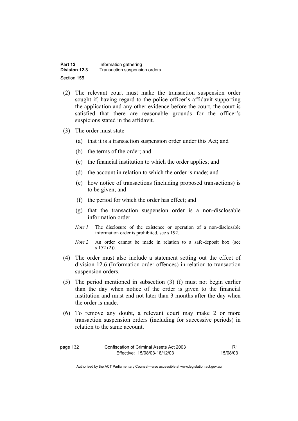| Part 12              | Information gathering         |
|----------------------|-------------------------------|
| <b>Division 12.3</b> | Transaction suspension orders |
| Section 155          |                               |

- (2) The relevant court must make the transaction suspension order sought if, having regard to the police officer's affidavit supporting the application and any other evidence before the court, the court is satisfied that there are reasonable grounds for the officer's suspicions stated in the affidavit.
- (3) The order must state—
	- (a) that it is a transaction suspension order under this Act; and
	- (b) the terms of the order; and
	- (c) the financial institution to which the order applies; and
	- (d) the account in relation to which the order is made; and
	- (e) how notice of transactions (including proposed transactions) is to be given; and
	- (f) the period for which the order has effect; and
	- (g) that the transaction suspension order is a non-disclosable information order.
	- *Note 1* The disclosure of the existence or operation of a non-disclosable information order is prohibited, see s 192.
	- *Note 2* An order cannot be made in relation to a safe-deposit box (see s 152 (2)).
- (4) The order must also include a statement setting out the effect of division 12.6 (Information order offences) in relation to transaction suspension orders.
- (5) The period mentioned in subsection (3) (f) must not begin earlier than the day when notice of the order is given to the financial institution and must end not later than 3 months after the day when the order is made.
- (6) To remove any doubt, a relevant court may make 2 or more transaction suspension orders (including for successive periods) in relation to the same account.

| page 132 | Confiscation of Criminal Assets Act 2003 | R1       |
|----------|------------------------------------------|----------|
|          | Effective: 15/08/03-18/12/03             | 15/08/03 |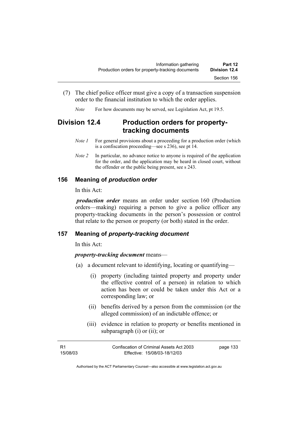- (7) The chief police officer must give a copy of a transaction suspension order to the financial institution to which the order applies.
	- *Note* For how documents may be served, see Legislation Act, pt 19.5.

# **Division 12.4 Production orders for propertytracking documents**

- *Note 1* For general provisions about a proceeding for a production order (which is a confiscation proceeding—see s 236), see pt 14.
- *Note 2* In particular, no advance notice to anyone is required of the application for the order, and the application may be heard in closed court, without the offender or the public being present, see s 243.

## **156 Meaning of** *production order*

In this Act:

*production order* means an order under section 160 (Production orders—making) requiring a person to give a police officer any property-tracking documents in the person's possession or control that relate to the person or property (or both) stated in the order.

## **157 Meaning of** *property-tracking document*

In this Act:

#### *property-tracking document* means—

- (a) a document relevant to identifying, locating or quantifying—
	- (i) property (including tainted property and property under the effective control of a person) in relation to which action has been or could be taken under this Act or a corresponding law; or
	- (ii) benefits derived by a person from the commission (or the alleged commission) of an indictable offence; or
	- (iii) evidence in relation to property or benefits mentioned in subparagraph (i) or (ii); or

| - R1     | Confiscation of Criminal Assets Act 2003 | page 133 |
|----------|------------------------------------------|----------|
| 15/08/03 | Effective: 15/08/03-18/12/03             |          |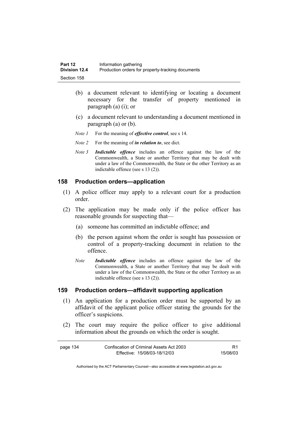- (b) a document relevant to identifying or locating a document necessary for the transfer of property mentioned in paragraph (a) (i); or
- (c) a document relevant to understanding a document mentioned in paragraph (a) or (b).
- *Note 1* For the meaning of *effective control*, see s 14.
- *Note 2* For the meaning of *in relation to*, see dict.
- *Note 3 Indictable offence* includes an offence against the law of the Commonwealth, a State or another Territory that may be dealt with under a law of the Commonwealth, the State or the other Territory as an indictable offence (see s 13 (2)).

#### **158 Production orders—application**

- (1) A police officer may apply to a relevant court for a production order.
- (2) The application may be made only if the police officer has reasonable grounds for suspecting that—
	- (a) someone has committed an indictable offence; and
	- (b) the person against whom the order is sought has possession or control of a property-tracking document in relation to the offence.
	- *Note Indictable offence* includes an offence against the law of the Commonwealth, a State or another Territory that may be dealt with under a law of the Commonwealth, the State or the other Territory as an indictable offence (see s 13 (2)).

#### **159 Production orders—affidavit supporting application**

- (1) An application for a production order must be supported by an affidavit of the applicant police officer stating the grounds for the officer's suspicions.
- (2) The court may require the police officer to give additional information about the grounds on which the order is sought.

| page 134 | Confiscation of Criminal Assets Act 2003 |          |
|----------|------------------------------------------|----------|
|          | Effective: 15/08/03-18/12/03             | 15/08/03 |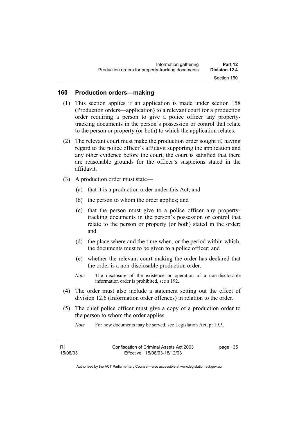## **160 Production orders—making**

- (1) This section applies if an application is made under section 158 (Production orders—application) to a relevant court for a production order requiring a person to give a police officer any propertytracking documents in the person's possession or control that relate to the person or property (or both) to which the application relates.
- (2) The relevant court must make the production order sought if, having regard to the police officer's affidavit supporting the application and any other evidence before the court, the court is satisfied that there are reasonable grounds for the officer's suspicions stated in the affidavit.
- (3) A production order must state—
	- (a) that it is a production order under this Act; and
	- (b) the person to whom the order applies; and
	- (c) that the person must give to a police officer any propertytracking documents in the person's possession or control that relate to the person or property (or both) stated in the order; and
	- (d) the place where and the time when, or the period within which, the documents must to be given to a police officer; and
	- (e) whether the relevant court making the order has declared that the order is a non-disclosable production order.
	- *Note* The disclosure of the existence or operation of a non-disclosable information order is prohibited, see s 192.
- (4) The order must also include a statement setting out the effect of division 12.6 (Information order offences) in relation to the order.
- (5) The chief police officer must give a copy of a production order to the person to whom the order applies.
	- *Note* For how documents may be served, see Legislation Act, pt 19.5.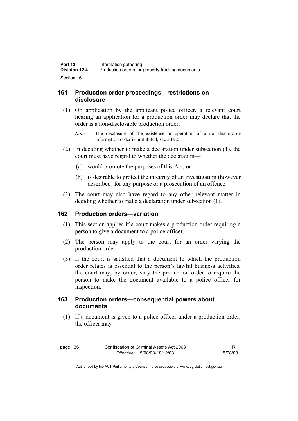### **161 Production order proceedings—restrictions on disclosure**

- (1) On application by the applicant police officer, a relevant court hearing an application for a production order may declare that the order is a non-disclosable production order.
	- *Note* The disclosure of the existence or operation of a non-disclosable information order is prohibited, see s 192.
- (2) In deciding whether to make a declaration under subsection (1), the court must have regard to whether the declaration—
	- (a) would promote the purposes of this Act; or
	- (b) is desirable to protect the integrity of an investigation (however described) for any purpose or a prosecution of an offence.
- (3) The court may also have regard to any other relevant matter in deciding whether to make a declaration under subsection (1).

#### **162 Production orders—variation**

- (1) This section applies if a court makes a production order requiring a person to give a document to a police officer.
- (2) The person may apply to the court for an order varying the production order.
- (3) If the court is satisfied that a document to which the production order relates is essential to the person's lawful business activities, the court may, by order, vary the production order to require the person to make the document available to a police officer for inspection.

## **163 Production orders—consequential powers about documents**

 (1) If a document is given to a police officer under a production order, the officer may—

page 136 Confiscation of Criminal Assets Act 2003 Effective: 15/08/03-18/12/03

R1 15/08/03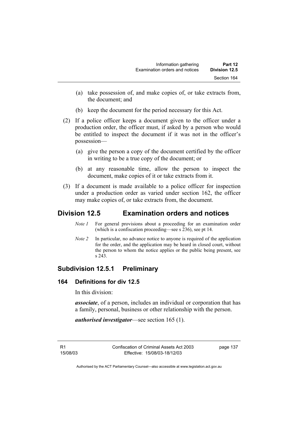- (a) take possession of, and make copies of, or take extracts from, the document; and
- (b) keep the document for the period necessary for this Act.
- (2) If a police officer keeps a document given to the officer under a production order, the officer must, if asked by a person who would be entitled to inspect the document if it was not in the officer's possession—
	- (a) give the person a copy of the document certified by the officer in writing to be a true copy of the document; or
	- (b) at any reasonable time, allow the person to inspect the document, make copies of it or take extracts from it.
- (3) If a document is made available to a police officer for inspection under a production order as varied under section 162, the officer may make copies of, or take extracts from, the document.

# **Division 12.5 Examination orders and notices**

- *Note 1* For general provisions about a proceeding for an examination order (which is a confiscation proceeding—see s 236), see pt 14.
- *Note 2* In particular, no advance notice to anyone is required of the application for the order, and the application may be heard in closed court, without the person to whom the notice applies or the public being present, see s 243.

# **Subdivision 12.5.1 Preliminary**

## **164 Definitions for div 12.5**

In this division:

*associate*, of a person, includes an individual or corporation that has a family, personal, business or other relationship with the person.

*authorised investigator*—see section 165 (1).

R1 15/08/03 Confiscation of Criminal Assets Act 2003 Effective: 15/08/03-18/12/03

page 137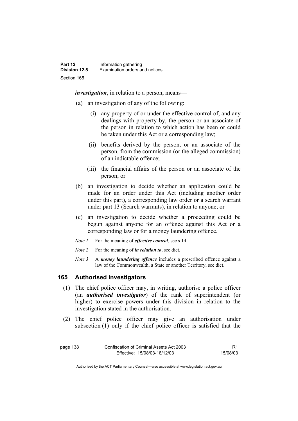*investigation*, in relation to a person, means—

- (a) an investigation of any of the following:
	- (i) any property of or under the effective control of, and any dealings with property by, the person or an associate of the person in relation to which action has been or could be taken under this Act or a corresponding law;
	- (ii) benefits derived by the person, or an associate of the person, from the commission (or the alleged commission) of an indictable offence;
	- (iii) the financial affairs of the person or an associate of the person; or
- (b) an investigation to decide whether an application could be made for an order under this Act (including another order under this part), a corresponding law order or a search warrant under part 13 (Search warrants), in relation to anyone; or
- (c) an investigation to decide whether a proceeding could be begun against anyone for an offence against this Act or a corresponding law or for a money laundering offence.
- *Note 1* For the meaning of *effective control*, see s 14.
- *Note 2* For the meaning of *in relation to*, see dict.
- *Note 3* A *money laundering offence* includes a prescribed offence against a law of the Commonwealth, a State or another Territory, see dict.

### **165 Authorised investigators**

- (1) The chief police officer may, in writing, authorise a police officer (an *authorised investigator*) of the rank of superintendent (or higher) to exercise powers under this division in relation to the investigation stated in the authorisation.
- (2) The chief police officer may give an authorisation under subsection (1) only if the chief police officer is satisfied that the

page 138 Confiscation of Criminal Assets Act 2003 Effective: 15/08/03-18/12/03 R1 15/08/03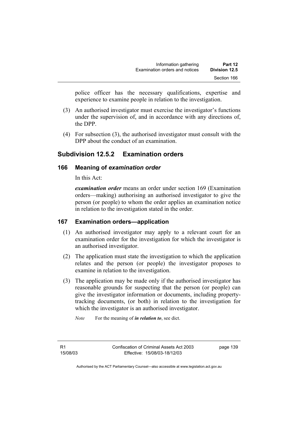police officer has the necessary qualifications, expertise and experience to examine people in relation to the investigation.

- (3) An authorised investigator must exercise the investigator's functions under the supervision of, and in accordance with any directions of, the DPP.
- (4) For subsection (3), the authorised investigator must consult with the DPP about the conduct of an examination.

# **Subdivision 12.5.2 Examination orders**

### **166 Meaning of** *examination order*

In this Act:

*examination order* means an order under section 169 (Examination orders—making) authorising an authorised investigator to give the person (or people) to whom the order applies an examination notice in relation to the investigation stated in the order.

## **167 Examination orders—application**

- (1) An authorised investigator may apply to a relevant court for an examination order for the investigation for which the investigator is an authorised investigator.
- (2) The application must state the investigation to which the application relates and the person (or people) the investigator proposes to examine in relation to the investigation.
- (3) The application may be made only if the authorised investigator has reasonable grounds for suspecting that the person (or people) can give the investigator information or documents, including propertytracking documents, (or both) in relation to the investigation for which the investigator is an authorised investigator.

*Note* For the meaning of *in relation to*, see dict.

R1 15/08/03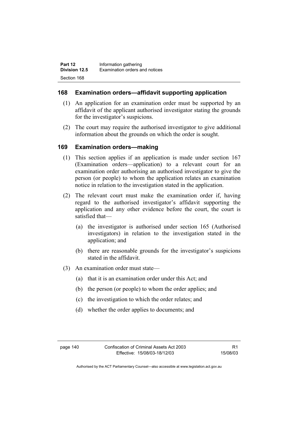### **168 Examination orders—affidavit supporting application**

- (1) An application for an examination order must be supported by an affidavit of the applicant authorised investigator stating the grounds for the investigator's suspicions.
- (2) The court may require the authorised investigator to give additional information about the grounds on which the order is sought.

### **169 Examination orders—making**

- (1) This section applies if an application is made under section 167 (Examination orders—application) to a relevant court for an examination order authorising an authorised investigator to give the person (or people) to whom the application relates an examination notice in relation to the investigation stated in the application.
- (2) The relevant court must make the examination order if, having regard to the authorised investigator's affidavit supporting the application and any other evidence before the court, the court is satisfied that—
	- (a) the investigator is authorised under section 165 (Authorised investigators) in relation to the investigation stated in the application; and
	- (b) there are reasonable grounds for the investigator's suspicions stated in the affidavit.
- (3) An examination order must state—
	- (a) that it is an examination order under this Act; and
	- (b) the person (or people) to whom the order applies; and
	- (c) the investigation to which the order relates; and
	- (d) whether the order applies to documents; and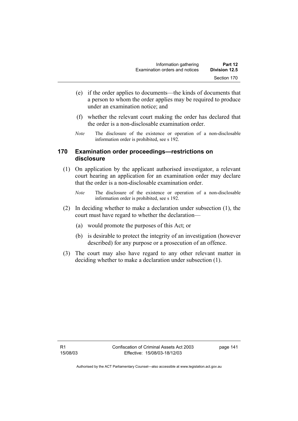- (e) if the order applies to documents—the kinds of documents that a person to whom the order applies may be required to produce under an examination notice; and
- (f) whether the relevant court making the order has declared that the order is a non-disclosable examination order.
- *Note* The disclosure of the existence or operation of a non-disclosable information order is prohibited, see s 192.

### **170 Examination order proceedings—restrictions on disclosure**

- (1) On application by the applicant authorised investigator, a relevant court hearing an application for an examination order may declare that the order is a non-disclosable examination order.
	- *Note* The disclosure of the existence or operation of a non-disclosable information order is prohibited, see s 192.
- (2) In deciding whether to make a declaration under subsection (1), the court must have regard to whether the declaration—
	- (a) would promote the purposes of this Act; or
	- (b) is desirable to protect the integrity of an investigation (however described) for any purpose or a prosecution of an offence.
- (3) The court may also have regard to any other relevant matter in deciding whether to make a declaration under subsection (1).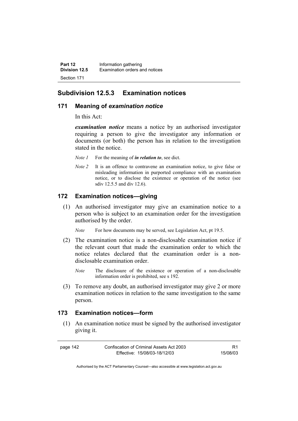## **Subdivision 12.5.3 Examination notices**

### **171 Meaning of** *examination notice*

In this Act:

*examination notice* means a notice by an authorised investigator requiring a person to give the investigator any information or documents (or both) the person has in relation to the investigation stated in the notice.

- *Note 1* For the meaning of *in relation to*, see dict.
- *Note 2* It is an offence to contravene an examination notice, to give false or misleading information in purported compliance with an examination notice, or to disclose the existence or operation of the notice (see sdiv 12.5.5 and div 12.6).

## **172 Examination notices—giving**

 (1) An authorised investigator may give an examination notice to a person who is subject to an examination order for the investigation authorised by the order.

*Note* For how documents may be served, see Legislation Act, pt 19.5.

- (2) The examination notice is a non-disclosable examination notice if the relevant court that made the examination order to which the notice relates declared that the examination order is a nondisclosable examination order.
	- *Note* The disclosure of the existence or operation of a non-disclosable information order is prohibited, see s 192.
- (3) To remove any doubt, an authorised investigator may give 2 or more examination notices in relation to the same investigation to the same person.

#### **173 Examination notices—form**

 (1) An examination notice must be signed by the authorised investigator giving it.

| page 142 | Confiscation of Criminal Assets Act 2003 |          |
|----------|------------------------------------------|----------|
|          | Effective: 15/08/03-18/12/03             | 15/08/03 |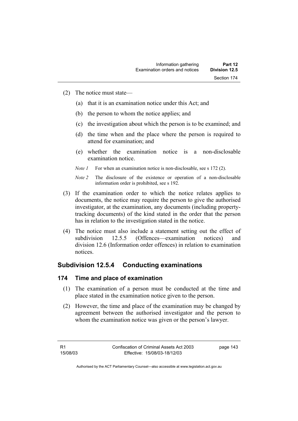- (2) The notice must state—
	- (a) that it is an examination notice under this Act; and
	- (b) the person to whom the notice applies; and
	- (c) the investigation about which the person is to be examined; and
	- (d) the time when and the place where the person is required to attend for examination; and
	- (e) whether the examination notice is a non-disclosable examination notice.
	- *Note 1* For when an examination notice is non-disclosable, see s 172 (2).
	- *Note 2* The disclosure of the existence or operation of a non-disclosable information order is prohibited, see s 192.
- (3) If the examination order to which the notice relates applies to documents, the notice may require the person to give the authorised investigator, at the examination, any documents (including propertytracking documents) of the kind stated in the order that the person has in relation to the investigation stated in the notice.
- (4) The notice must also include a statement setting out the effect of subdivision 12.5.5 (Offences—examination notices) and division 12.6 (Information order offences) in relation to examination notices.

## **Subdivision 12.5.4 Conducting examinations**

## **174 Time and place of examination**

- (1) The examination of a person must be conducted at the time and place stated in the examination notice given to the person.
- (2) However, the time and place of the examination may be changed by agreement between the authorised investigator and the person to whom the examination notice was given or the person's lawyer.

R1 15/08/03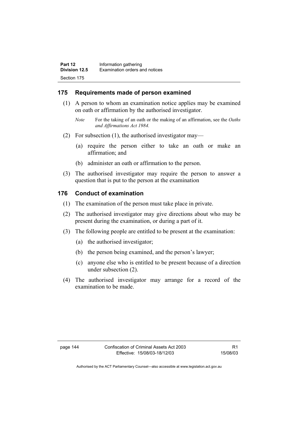## **175 Requirements made of person examined**

- (1) A person to whom an examination notice applies may be examined on oath or affirmation by the authorised investigator.
	- *Note* For the taking of an oath or the making of an affirmation, see the *Oaths and Affirmations Act 1984.*
- (2) For subsection (1), the authorised investigator may—
	- (a) require the person either to take an oath or make an affirmation; and
	- (b) administer an oath or affirmation to the person.
- (3) The authorised investigator may require the person to answer a question that is put to the person at the examination

#### **176 Conduct of examination**

- (1) The examination of the person must take place in private.
- (2) The authorised investigator may give directions about who may be present during the examination, or during a part of it.
- (3) The following people are entitled to be present at the examination:
	- (a) the authorised investigator;
	- (b) the person being examined, and the person's lawyer;
	- (c) anyone else who is entitled to be present because of a direction under subsection (2).
- (4) The authorised investigator may arrange for a record of the examination to be made.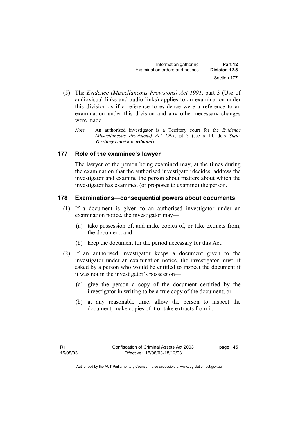| Information gathering          | Part 12       |
|--------------------------------|---------------|
| Examination orders and notices | Division 12.5 |
|                                | Section 177   |

- (5) The *Evidence (Miscellaneous Provisions) Act 1991*, part 3 (Use of audiovisual links and audio links) applies to an examination under this division as if a reference to evidence were a reference to an examination under this division and any other necessary changes were made.
	- *Note* An authorised investigator is a Territory court for the *Evidence (Miscellaneous Provisions) Act 1991*, pt 3 (see s 14, defs *State*, *Territory court* and *tribunal*).

### **177 Role of the examinee's lawyer**

The lawyer of the person being examined may, at the times during the examination that the authorised investigator decides, address the investigator and examine the person about matters about which the investigator has examined (or proposes to examine) the person.

### **178 Examinations—consequential powers about documents**

- (1) If a document is given to an authorised investigator under an examination notice, the investigator may—
	- (a) take possession of, and make copies of, or take extracts from, the document; and
	- (b) keep the document for the period necessary for this Act.
- (2) If an authorised investigator keeps a document given to the investigator under an examination notice, the investigator must, if asked by a person who would be entitled to inspect the document if it was not in the investigator's possession—
	- (a) give the person a copy of the document certified by the investigator in writing to be a true copy of the document; or
	- (b) at any reasonable time, allow the person to inspect the document, make copies of it or take extracts from it.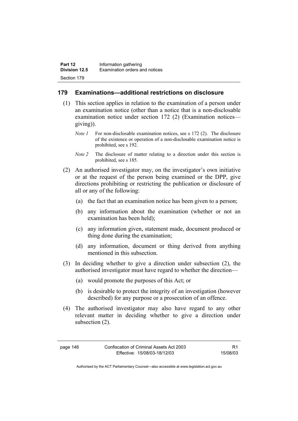### **179 Examinations—additional restrictions on disclosure**

- (1) This section applies in relation to the examination of a person under an examination notice (other than a notice that is a non-disclosable examination notice under section 172 (2) (Examination notices giving)).
	- *Note 1* For non-disclosable examination notices, see s 172 (2). The disclosure of the existence or operation of a non-disclosable examination notice is prohibited, see s 192.
	- *Note 2* The disclosure of matter relating to a direction under this section is prohibited, see s 185.
- (2) An authorised investigator may, on the investigator's own initiative or at the request of the person being examined or the DPP, give directions prohibiting or restricting the publication or disclosure of all or any of the following:
	- (a) the fact that an examination notice has been given to a person;
	- (b) any information about the examination (whether or not an examination has been held);
	- (c) any information given, statement made, document produced or thing done during the examination;
	- (d) any information, document or thing derived from anything mentioned in this subsection.
- (3) In deciding whether to give a direction under subsection (2), the authorised investigator must have regard to whether the direction—
	- (a) would promote the purposes of this Act; or
	- (b) is desirable to protect the integrity of an investigation (however described) for any purpose or a prosecution of an offence.
- (4) The authorised investigator may also have regard to any other relevant matter in deciding whether to give a direction under subsection (2).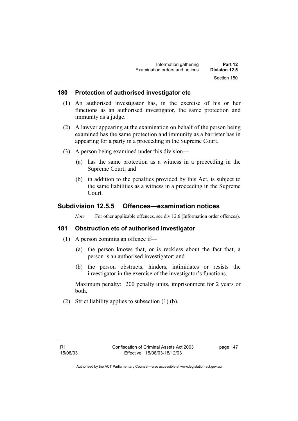#### **180 Protection of authorised investigator etc**

- (1) An authorised investigator has, in the exercise of his or her functions as an authorised investigator, the same protection and immunity as a judge.
- (2) A lawyer appearing at the examination on behalf of the person being examined has the same protection and immunity as a barrister has in appearing for a party in a proceeding in the Supreme Court.
- (3) A person being examined under this division—
	- (a) has the same protection as a witness in a proceeding in the Supreme Court; and
	- (b) in addition to the penalties provided by this Act, is subject to the same liabilities as a witness in a proceeding in the Supreme Court.

## **Subdivision 12.5.5 Offences—examination notices**

*Note* For other applicable offences, see div 12.6 (Information order offences).

#### **181 Obstruction etc of authorised investigator**

- (1) A person commits an offence if—
	- (a) the person knows that, or is reckless about the fact that, a person is an authorised investigator; and
	- (b) the person obstructs, hinders, intimidates or resists the investigator in the exercise of the investigator's functions.

Maximum penalty: 200 penalty units, imprisonment for 2 years or both.

(2) Strict liability applies to subsection (1) (b).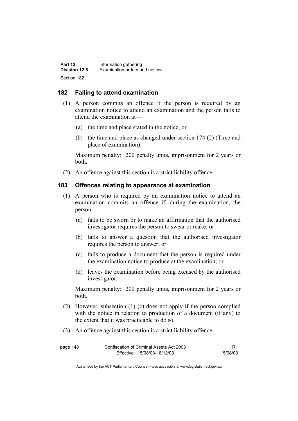#### **182 Failing to attend examination**

- (1) A person commits an offence if the person is required by an examination notice to attend an examination and the person fails to attend the examination at—
	- (a) the time and place stated in the notice; or
	- (b) the time and place as changed under section 174 (2) (Time and place of examination).

Maximum penalty: 200 penalty units, imprisonment for 2 years or both.

(2) An offence against this section is a strict liability offence.

#### **183 Offences relating to appearance at examination**

- (1) A person who is required by an examination notice to attend an examination commits an offence if, during the examination, the person—
	- (a) fails to be sworn or to make an affirmation that the authorised investigator requires the person to swear or make; or
	- (b) fails to answer a question that the authorised investigator requires the person to answer; or
	- (c) fails to produce a document that the person is required under the examination notice to produce at the examination; or
	- (d) leaves the examination before being excused by the authorised investigator.

Maximum penalty: 200 penalty units, imprisonment for 2 years or both.

- (2) However, subsection (1) (c) does not apply if the person complied with the notice in relation to production of a document (if any) to the extent that it was practicable to do so.
- (3) An offence against this section is a strict liability offence.

| page 148 | Confiscation of Criminal Assets Act 2003 |          |
|----------|------------------------------------------|----------|
|          | Effective: 15/08/03-18/12/03             | 15/08/03 |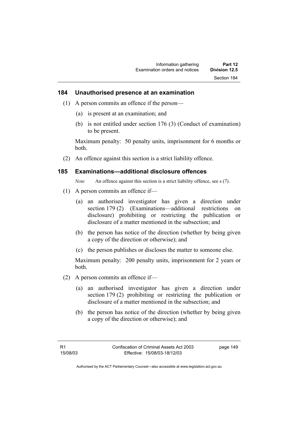#### **184 Unauthorised presence at an examination**

- (1) A person commits an offence if the person—
	- (a) is present at an examination; and
	- (b) is not entitled under section 176 (3) (Conduct of examination) to be present.

Maximum penalty: 50 penalty units, imprisonment for 6 months or both.

(2) An offence against this section is a strict liability offence.

#### **185 Examinations—additional disclosure offences**

*Note* An offence against this section is a strict liability offence, see s (7).

- (1) A person commits an offence if—
	- (a) an authorised investigator has given a direction under section 179 (2) (Examinations—additional restrictions on disclosure) prohibiting or restricting the publication or disclosure of a matter mentioned in the subsection; and
	- (b) the person has notice of the direction (whether by being given a copy of the direction or otherwise); and
	- (c) the person publishes or discloses the matter to someone else.

Maximum penalty: 200 penalty units, imprisonment for 2 years or both.

- (2) A person commits an offence if—
	- (a) an authorised investigator has given a direction under section 179 (2) prohibiting or restricting the publication or disclosure of a matter mentioned in the subsection; and
	- (b) the person has notice of the direction (whether by being given a copy of the direction or otherwise); and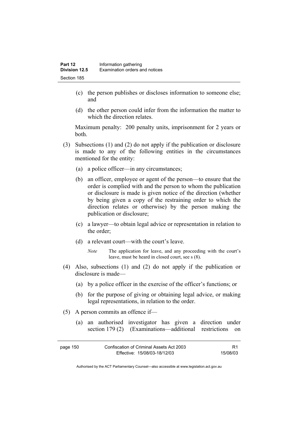- (c) the person publishes or discloses information to someone else; and
- (d) the other person could infer from the information the matter to which the direction relates.

Maximum penalty: 200 penalty units, imprisonment for 2 years or both.

- (3) Subsections (1) and (2) do not apply if the publication or disclosure is made to any of the following entities in the circumstances mentioned for the entity:
	- (a) a police officer—in any circumstances;
	- (b) an officer, employee or agent of the person—to ensure that the order is complied with and the person to whom the publication or disclosure is made is given notice of the direction (whether by being given a copy of the restraining order to which the direction relates or otherwise) by the person making the publication or disclosure;
	- (c) a lawyer—to obtain legal advice or representation in relation to the order;
	- (d) a relevant court—with the court's leave.
		- *Note* The application for leave, and any proceeding with the court's leave, must be heard in closed court, see s (8).
- (4) Also, subsections (1) and (2) do not apply if the publication or disclosure is made—
	- (a) by a police officer in the exercise of the officer's functions; or
	- (b) for the purpose of giving or obtaining legal advice, or making legal representations, in relation to the order.
- (5) A person commits an offence if—
	- (a) an authorised investigator has given a direction under section 179 (2) (Examinations—additional restrictions on

| page 150 | Confiscation of Criminal Assets Act 2003 |          |
|----------|------------------------------------------|----------|
|          | Effective: 15/08/03-18/12/03             | 15/08/03 |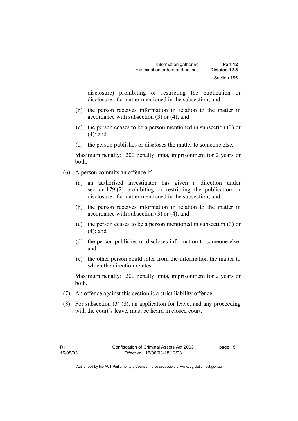disclosure) prohibiting or restricting the publication or disclosure of a matter mentioned in the subsection; and

- (b) the person receives information in relation to the matter in accordance with subsection (3) or (4); and
- (c) the person ceases to be a person mentioned in subsection (3) or (4); and
- (d) the person publishes or discloses the matter to someone else.

Maximum penalty: 200 penalty units, imprisonment for 2 years or both.

- (6) A person commits an offence if—
	- (a) an authorised investigator has given a direction under section 179 (2) prohibiting or restricting the publication or disclosure of a matter mentioned in the subsection; and
	- (b) the person receives information in relation to the matter in accordance with subsection (3) or (4); and
	- (c) the person ceases to be a person mentioned in subsection (3) or (4); and
	- (d) the person publishes or discloses information to someone else; and
	- (e) the other person could infer from the information the matter to which the direction relates.

Maximum penalty: 200 penalty units, imprisonment for 2 years or both.

- (7) An offence against this section is a strict liability offence.
- (8) For subsection (3) (d), an application for leave, and any proceeding with the court's leave, must be heard in closed court.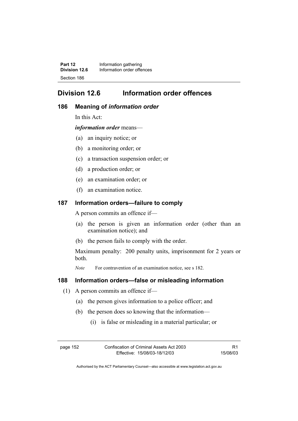**Part 12** Information gathering<br>**Division 12.6** Information order offer **Division 12.6** Information order offences Section 186

# **Division 12.6 Information order offences**

#### **186 Meaning of** *information order*

In this Act:

*information order* means—

- (a) an inquiry notice; or
- (b) a monitoring order; or
- (c) a transaction suspension order; or
- (d) a production order; or
- (e) an examination order; or
- (f) an examination notice.

#### **187 Information orders—failure to comply**

A person commits an offence if—

- (a) the person is given an information order (other than an examination notice); and
- (b) the person fails to comply with the order.

Maximum penalty: 200 penalty units, imprisonment for 2 years or both.

*Note* For contravention of an examination notice, see s 182.

#### **188 Information orders—false or misleading information**

- (1) A person commits an offence if—
	- (a) the person gives information to a police officer; and
	- (b) the person does so knowing that the information—
		- (i) is false or misleading in a material particular; or

| page 152 | Confiscation of Criminal Assets Act 2003 | R1       |
|----------|------------------------------------------|----------|
|          | Effective: 15/08/03-18/12/03             | 15/08/03 |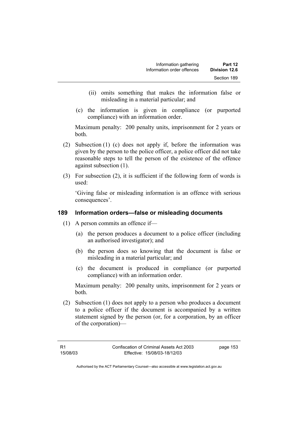- (ii) omits something that makes the information false or misleading in a material particular; and
- (c) the information is given in compliance (or purported compliance) with an information order.

Maximum penalty: 200 penalty units, imprisonment for 2 years or both.

- (2) Subsection (1) (c) does not apply if, before the information was given by the person to the police officer, a police officer did not take reasonable steps to tell the person of the existence of the offence against subsection (1).
- (3) For subsection (2), it is sufficient if the following form of words is used:

'Giving false or misleading information is an offence with serious consequences'.

## **189 Information orders—false or misleading documents**

- (1) A person commits an offence if—
	- (a) the person produces a document to a police officer (including an authorised investigator); and
	- (b) the person does so knowing that the document is false or misleading in a material particular; and
	- (c) the document is produced in compliance (or purported compliance) with an information order.

Maximum penalty: 200 penalty units, imprisonment for 2 years or both.

 (2) Subsection (1) does not apply to a person who produces a document to a police officer if the document is accompanied by a written statement signed by the person (or, for a corporation, by an officer of the corporation)—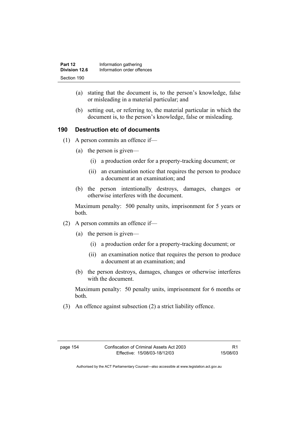- (a) stating that the document is, to the person's knowledge, false or misleading in a material particular; and
- (b) setting out, or referring to, the material particular in which the document is, to the person's knowledge, false or misleading.

## **190 Destruction etc of documents**

- (1) A person commits an offence if—
	- (a) the person is given—
		- (i) a production order for a property-tracking document; or
		- (ii) an examination notice that requires the person to produce a document at an examination; and
	- (b) the person intentionally destroys, damages, changes or otherwise interferes with the document.

Maximum penalty: 500 penalty units, imprisonment for 5 years or both.

- (2) A person commits an offence if—
	- (a) the person is given—
		- (i) a production order for a property-tracking document; or
		- (ii) an examination notice that requires the person to produce a document at an examination; and
	- (b) the person destroys, damages, changes or otherwise interferes with the document.

Maximum penalty: 50 penalty units, imprisonment for 6 months or both.

(3) An offence against subsection (2) a strict liability offence.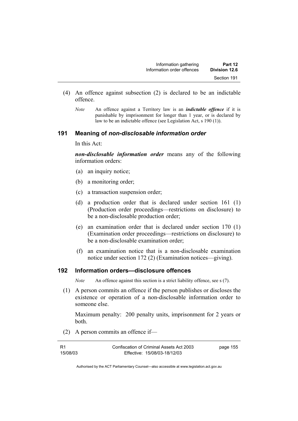| Information gathering      | Part 12       |  |
|----------------------------|---------------|--|
| Information order offences | Division 12.6 |  |
|                            | Section 191   |  |

- (4) An offence against subsection (2) is declared to be an indictable offence.
	- *Note* An offence against a Territory law is an *indictable offence* if it is punishable by imprisonment for longer than 1 year, or is declared by law to be an indictable offence (see Legislation Act, s 190 (1)).

#### **191 Meaning of** *non-disclosable information order*

In this Act:

*non-disclosable information order* means any of the following information orders:

- (a) an inquiry notice;
- (b) a monitoring order;
- (c) a transaction suspension order;
- (d) a production order that is declared under section 161 (1) (Production order proceedings—restrictions on disclosure) to be a non-disclosable production order;
- (e) an examination order that is declared under section 170 (1) (Examination order proceedings—restrictions on disclosure) to be a non-disclosable examination order;
- (f) an examination notice that is a non-disclosable examination notice under section 172 (2) (Examination notices—giving).

#### **192 Information orders—disclosure offences**

*Note* An offence against this section is a strict liability offence, see s (7).

 (1) A person commits an offence if the person publishes or discloses the existence or operation of a non-disclosable information order to someone else.

Maximum penalty: 200 penalty units, imprisonment for 2 years or both.

(2) A person commits an offence if—

| <b>R1</b> | Confiscation of Criminal Assets Act 2003 | page 155 |
|-----------|------------------------------------------|----------|
| 15/08/03  | Effective: 15/08/03-18/12/03             |          |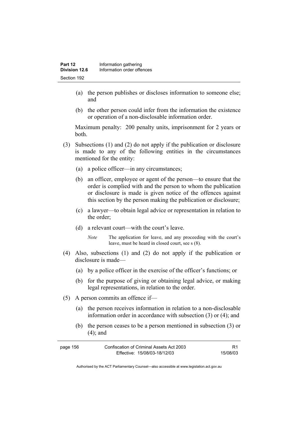- (a) the person publishes or discloses information to someone else; and
- (b) the other person could infer from the information the existence or operation of a non-disclosable information order.

Maximum penalty: 200 penalty units, imprisonment for 2 years or both.

- (3) Subsections (1) and (2) do not apply if the publication or disclosure is made to any of the following entities in the circumstances mentioned for the entity:
	- (a) a police officer—in any circumstances;
	- (b) an officer, employee or agent of the person—to ensure that the order is complied with and the person to whom the publication or disclosure is made is given notice of the offences against this section by the person making the publication or disclosure;
	- (c) a lawyer—to obtain legal advice or representation in relation to the order;
	- (d) a relevant court—with the court's leave.
		- *Note* The application for leave, and any proceeding with the court's leave, must be heard in closed court, see s (8).
- (4) Also, subsections (1) and (2) do not apply if the publication or disclosure is made—
	- (a) by a police officer in the exercise of the officer's functions; or
	- (b) for the purpose of giving or obtaining legal advice, or making legal representations, in relation to the order.
- (5) A person commits an offence if—
	- (a) the person receives information in relation to a non-disclosable information order in accordance with subsection (3) or (4); and
	- (b) the person ceases to be a person mentioned in subsection (3) or (4); and

| page 156 | Confiscation of Criminal Assets Act 2003 |          |
|----------|------------------------------------------|----------|
|          | Effective: 15/08/03-18/12/03             | 15/08/03 |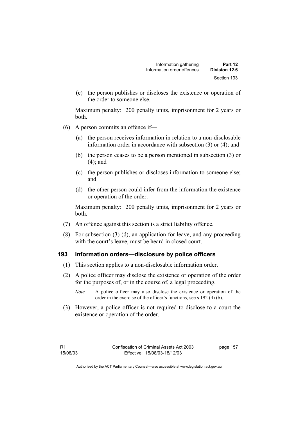(c) the person publishes or discloses the existence or operation of the order to someone else.

Maximum penalty: 200 penalty units, imprisonment for 2 years or both.

- (6) A person commits an offence if—
	- (a) the person receives information in relation to a non-disclosable information order in accordance with subsection (3) or (4); and
	- (b) the person ceases to be a person mentioned in subsection (3) or (4); and
	- (c) the person publishes or discloses information to someone else; and
	- (d) the other person could infer from the information the existence or operation of the order.

Maximum penalty: 200 penalty units, imprisonment for 2 years or both.

- (7) An offence against this section is a strict liability offence.
- (8) For subsection (3) (d), an application for leave, and any proceeding with the court's leave, must be heard in closed court.

#### **193 Information orders—disclosure by police officers**

- (1) This section applies to a non-disclosable information order.
- (2) A police officer may disclose the existence or operation of the order for the purposes of, or in the course of, a legal proceeding.
	- *Note* A police officer may also disclose the existence or operation of the order in the exercise of the officer's functions, see s 192 (4) (b).
- (3) However, a police officer is not required to disclose to a court the existence or operation of the order.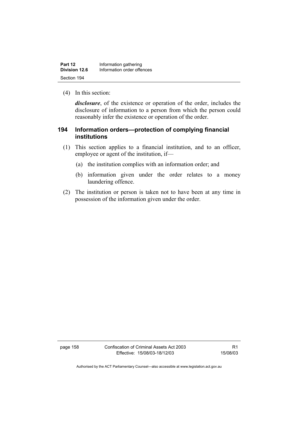| Part 12       | Information gathering      |
|---------------|----------------------------|
| Division 12.6 | Information order offences |
| Section 194   |                            |

(4) In this section:

*disclosure*, of the existence or operation of the order, includes the disclosure of information to a person from which the person could reasonably infer the existence or operation of the order.

## **194 Information orders—protection of complying financial institutions**

- (1) This section applies to a financial institution, and to an officer, employee or agent of the institution, if—
	- (a) the institution complies with an information order; and
	- (b) information given under the order relates to a money laundering offence.
- (2) The institution or person is taken not to have been at any time in possession of the information given under the order.

page 158 Confiscation of Criminal Assets Act 2003 Effective: 15/08/03-18/12/03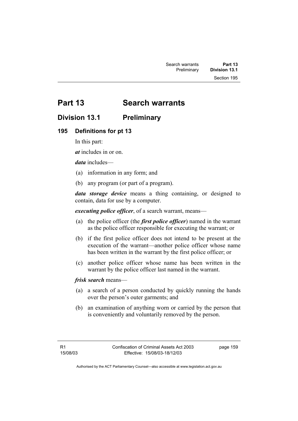# **Part 13 Search warrants**

# **Division 13.1 Preliminary**

### **195 Definitions for pt 13**

In this part:

*at* includes in or on.

*data* includes—

- (a) information in any form; and
- (b) any program (or part of a program).

*data storage device* means a thing containing, or designed to contain, data for use by a computer.

*executing police officer*, of a search warrant, means—

- (a) the police officer (the *first police officer*) named in the warrant as the police officer responsible for executing the warrant; or
- (b) if the first police officer does not intend to be present at the execution of the warrant—another police officer whose name has been written in the warrant by the first police officer; or
- (c) another police officer whose name has been written in the warrant by the police officer last named in the warrant.

*frisk search* means—

- (a) a search of a person conducted by quickly running the hands over the person's outer garments; and
- (b) an examination of anything worn or carried by the person that is conveniently and voluntarily removed by the person.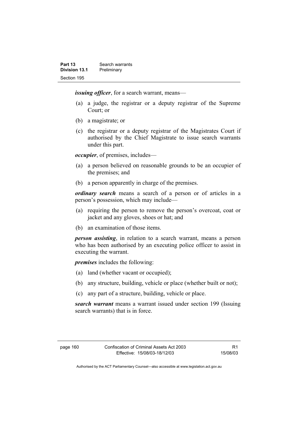*issuing officer*, for a search warrant, means—

- (a) a judge, the registrar or a deputy registrar of the Supreme Court; or
- (b) a magistrate; or
- (c) the registrar or a deputy registrar of the Magistrates Court if authorised by the Chief Magistrate to issue search warrants under this part.

*occupier*, of premises, includes—

- (a) a person believed on reasonable grounds to be an occupier of the premises; and
- (b) a person apparently in charge of the premises.

*ordinary search* means a search of a person or of articles in a person's possession, which may include—

- (a) requiring the person to remove the person's overcoat, coat or jacket and any gloves, shoes or hat; and
- (b) an examination of those items.

*person assisting*, in relation to a search warrant, means a person who has been authorised by an executing police officer to assist in executing the warrant.

*premises* includes the following:

- (a) land (whether vacant or occupied);
- (b) any structure, building, vehicle or place (whether built or not);
- (c) any part of a structure, building, vehicle or place.

*search warrant* means a warrant issued under section 199 (Issuing search warrants) that is in force.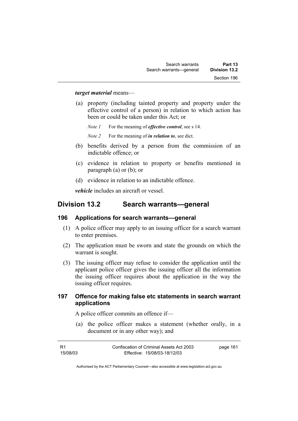#### *target material* means—

 (a) property (including tainted property and property under the effective control of a person) in relation to which action has been or could be taken under this Act; or

*Note 1* For the meaning of *effective control*, see s 14.

*Note 2* For the meaning of *in relation to*, see dict.

- (b) benefits derived by a person from the commission of an indictable offence; or
- (c) evidence in relation to property or benefits mentioned in paragraph (a) or (b); or
- (d) evidence in relation to an indictable offence.

*vehicle* includes an aircraft or vessel.

## **Division 13.2 Search warrants—general**

#### **196 Applications for search warrants—general**

- (1) A police officer may apply to an issuing officer for a search warrant to enter premises.
- (2) The application must be sworn and state the grounds on which the warrant is sought.
- (3) The issuing officer may refuse to consider the application until the applicant police officer gives the issuing officer all the information the issuing officer requires about the application in the way the issuing officer requires.

#### **197 Offence for making false etc statements in search warrant applications**

A police officer commits an offence if—

 (a) the police officer makes a statement (whether orally, in a document or in any other way); and

| - R1     | Confiscation of Criminal Assets Act 2003 | page 161 |
|----------|------------------------------------------|----------|
| 15/08/03 | Effective: 15/08/03-18/12/03             |          |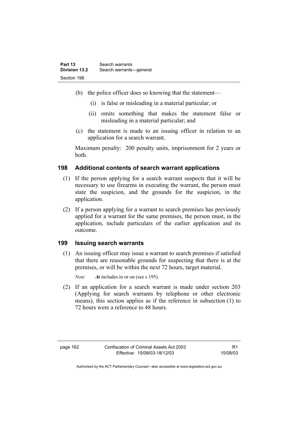- (b) the police officer does so knowing that the statement—
	- (i) is false or misleading in a material particular; or
	- (ii) omits something that makes the statement false or misleading in a material particular; and
- (c) the statement is made to an issuing officer in relation to an application for a search warrant.

Maximum penalty: 200 penalty units, imprisonment for 2 years or both.

#### **198 Additional contents of search warrant applications**

- (1) If the person applying for a search warrant suspects that it will be necessary to use firearms in executing the warrant, the person must state the suspicion, and the grounds for the suspicion, in the application.
- (2) If a person applying for a warrant to search premises has previously applied for a warrant for the same premises, the person must, in the application, include particulars of the earlier application and its outcome.

#### **199 Issuing search warrants**

 (1) An issuing officer may issue a warrant to search premises if satisfied that there are reasonable grounds for suspecting that there is at the premises, or will be within the next 72 hours, target material.

*Note At* includes in or on (see s 195).

 (2) If an application for a search warrant is made under section 203 (Applying for search warrants by telephone or other electronic means), this section applies as if the reference in subsection (1) to 72 hours were a reference to 48 hours.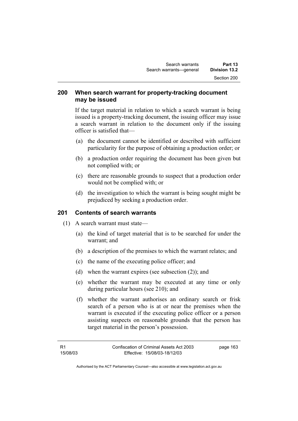### **200 When search warrant for property-tracking document may be issued**

If the target material in relation to which a search warrant is being issued is a property-tracking document, the issuing officer may issue a search warrant in relation to the document only if the issuing officer is satisfied that—

- (a) the document cannot be identified or described with sufficient particularity for the purpose of obtaining a production order; or
- (b) a production order requiring the document has been given but not complied with; or
- (c) there are reasonable grounds to suspect that a production order would not be complied with; or
- (d) the investigation to which the warrant is being sought might be prejudiced by seeking a production order.

## **201 Contents of search warrants**

- (1) A search warrant must state—
	- (a) the kind of target material that is to be searched for under the warrant; and
	- (b) a description of the premises to which the warrant relates; and
	- (c) the name of the executing police officer; and
	- (d) when the warrant expires (see subsection (2)); and
	- (e) whether the warrant may be executed at any time or only during particular hours (see 210); and
	- (f) whether the warrant authorises an ordinary search or frisk search of a person who is at or near the premises when the warrant is executed if the executing police officer or a person assisting suspects on reasonable grounds that the person has target material in the person's possession.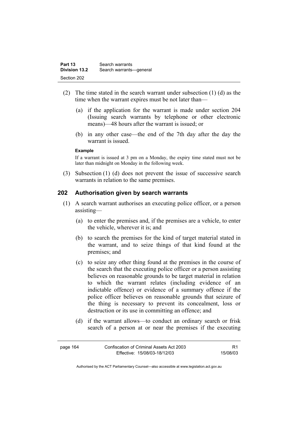| Part 13              | Search warrants         |
|----------------------|-------------------------|
| <b>Division 13.2</b> | Search warrants-general |
| Section 202          |                         |

- (2) The time stated in the search warrant under subsection (1) (d) as the time when the warrant expires must be not later than—
	- (a) if the application for the warrant is made under section 204 (Issuing search warrants by telephone or other electronic means)—48 hours after the warrant is issued; or
	- (b) in any other case—the end of the 7th day after the day the warrant is issued.

#### **Example**

If a warrant is issued at 3 pm on a Monday, the expiry time stated must not be later than midnight on Monday in the following week.

 (3) Subsection (1) (d) does not prevent the issue of successive search warrants in relation to the same premises.

#### **202 Authorisation given by search warrants**

- (1) A search warrant authorises an executing police officer, or a person assisting—
	- (a) to enter the premises and, if the premises are a vehicle, to enter the vehicle, wherever it is; and
	- (b) to search the premises for the kind of target material stated in the warrant, and to seize things of that kind found at the premises; and
	- (c) to seize any other thing found at the premises in the course of the search that the executing police officer or a person assisting believes on reasonable grounds to be target material in relation to which the warrant relates (including evidence of an indictable offence) or evidence of a summary offence if the police officer believes on reasonable grounds that seizure of the thing is necessary to prevent its concealment, loss or destruction or its use in committing an offence; and
	- (d) if the warrant allows—to conduct an ordinary search or frisk search of a person at or near the premises if the executing

| page 164 | Confiscation of Criminal Assets Act 2003 |          |
|----------|------------------------------------------|----------|
|          | Effective: 15/08/03-18/12/03             | 15/08/03 |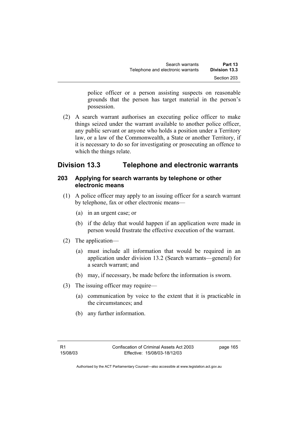police officer or a person assisting suspects on reasonable grounds that the person has target material in the person's possession.

 (2) A search warrant authorises an executing police officer to make things seized under the warrant available to another police officer, any public servant or anyone who holds a position under a Territory law, or a law of the Commonwealth, a State or another Territory, if it is necessary to do so for investigating or prosecuting an offence to which the things relate.

# **Division 13.3 Telephone and electronic warrants**

### **203 Applying for search warrants by telephone or other electronic means**

- (1) A police officer may apply to an issuing officer for a search warrant by telephone, fax or other electronic means—
	- (a) in an urgent case; or
	- (b) if the delay that would happen if an application were made in person would frustrate the effective execution of the warrant.
- (2) The application—
	- (a) must include all information that would be required in an application under division 13.2 (Search warrants—general) for a search warrant; and
	- (b) may, if necessary, be made before the information is sworn.
- (3) The issuing officer may require—
	- (a) communication by voice to the extent that it is practicable in the circumstances; and
	- (b) any further information.

page 165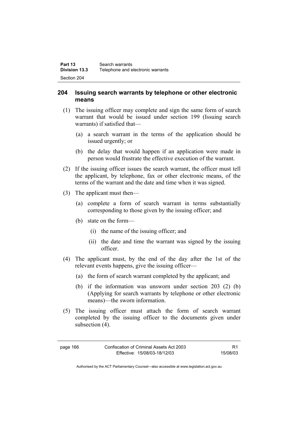### **204 Issuing search warrants by telephone or other electronic means**

- (1) The issuing officer may complete and sign the same form of search warrant that would be issued under section 199 (Issuing search warrants) if satisfied that—
	- (a) a search warrant in the terms of the application should be issued urgently; or
	- (b) the delay that would happen if an application were made in person would frustrate the effective execution of the warrant.
- (2) If the issuing officer issues the search warrant, the officer must tell the applicant, by telephone, fax or other electronic means, of the terms of the warrant and the date and time when it was signed.
- (3) The applicant must then—
	- (a) complete a form of search warrant in terms substantially corresponding to those given by the issuing officer; and
	- (b) state on the form—
		- (i) the name of the issuing officer; and
		- (ii) the date and time the warrant was signed by the issuing officer.
- (4) The applicant must, by the end of the day after the 1st of the relevant events happens, give the issuing officer—
	- (a) the form of search warrant completed by the applicant; and
	- (b) if the information was unsworn under section 203 (2) (b) (Applying for search warrants by telephone or other electronic means)—the sworn information.

R1

- (5) The issuing officer must attach the form of search warrant completed by the issuing officer to the documents given under subsection  $(4)$ .
- page 166 Confiscation of Criminal Assets Act 2003 Effective: 15/08/03-18/12/03 15/08/03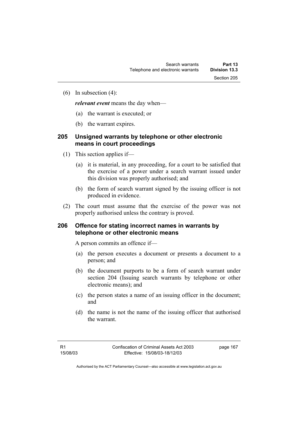(6) In subsection (4):

*relevant event* means the day when—

- (a) the warrant is executed; or
- (b) the warrant expires.

### **205 Unsigned warrants by telephone or other electronic means in court proceedings**

- (1) This section applies if—
	- (a) it is material, in any proceeding, for a court to be satisfied that the exercise of a power under a search warrant issued under this division was properly authorised; and
	- (b) the form of search warrant signed by the issuing officer is not produced in evidence.
- (2) The court must assume that the exercise of the power was not properly authorised unless the contrary is proved.

### **206 Offence for stating incorrect names in warrants by telephone or other electronic means**

A person commits an offence if—

- (a) the person executes a document or presents a document to a person; and
- (b) the document purports to be a form of search warrant under section 204 (Issuing search warrants by telephone or other electronic means); and
- (c) the person states a name of an issuing officer in the document; and
- (d) the name is not the name of the issuing officer that authorised the warrant.

page 167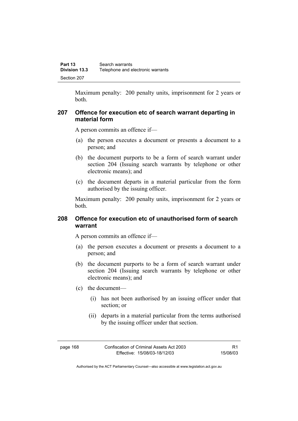Maximum penalty: 200 penalty units, imprisonment for 2 years or both.

### **207 Offence for execution etc of search warrant departing in material form**

A person commits an offence if—

- (a) the person executes a document or presents a document to a person; and
- (b) the document purports to be a form of search warrant under section 204 (Issuing search warrants by telephone or other electronic means); and
- (c) the document departs in a material particular from the form authorised by the issuing officer.

Maximum penalty: 200 penalty units, imprisonment for 2 years or both.

### **208 Offence for execution etc of unauthorised form of search warrant**

A person commits an offence if—

- (a) the person executes a document or presents a document to a person; and
- (b) the document purports to be a form of search warrant under section 204 (Issuing search warrants by telephone or other electronic means); and
- (c) the document—
	- (i) has not been authorised by an issuing officer under that section; or
	- (ii) departs in a material particular from the terms authorised by the issuing officer under that section.

| page | 168 |
|------|-----|
|------|-----|

R1 15/08/03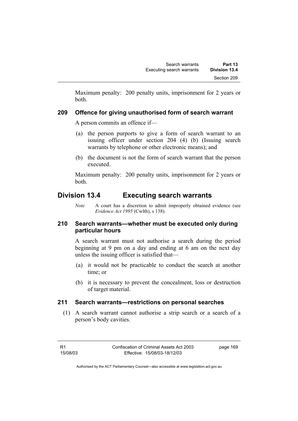Maximum penalty: 200 penalty units, imprisonment for 2 years or both.

### **209 Offence for giving unauthorised form of search warrant**

A person commits an offence if—

- (a) the person purports to give a form of search warrant to an issuing officer under section 204 (4) (b) (Issuing search warrants by telephone or other electronic means); and
- (b) the document is not the form of search warrant that the person executed.

Maximum penalty: 200 penalty units, imprisonment for 2 years or both.

# **Division 13.4 Executing search warrants**

*Note* A court has a discretion to admit improperly obtained evidence (see *Evidence Act 1995* (Cwlth), s 138).

# **210 Search warrants—whether must be executed only during particular hours**

A search warrant must not authorise a search during the period beginning at 9 pm on a day and ending at 6 am on the next day unless the issuing officer is satisfied that—

- (a) it would not be practicable to conduct the search at another time; or
- (b) it is necessary to prevent the concealment, loss or destruction of target material.

# **211 Search warrants—restrictions on personal searches**

 (1) A search warrant cannot authorise a strip search or a search of a person's body cavities.

page 169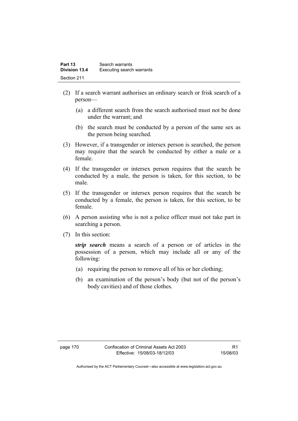| Part 13              | Search warrants           |  |
|----------------------|---------------------------|--|
| <b>Division 13.4</b> | Executing search warrants |  |
| Section 211          |                           |  |

- (2) If a search warrant authorises an ordinary search or frisk search of a person—
	- (a) a different search from the search authorised must not be done under the warrant; and
	- (b) the search must be conducted by a person of the same sex as the person being searched.
- (3) However, if a transgender or intersex person is searched, the person may require that the search be conducted by either a male or a female.
- (4) If the transgender or intersex person requires that the search be conducted by a male, the person is taken, for this section, to be male.
- (5) If the transgender or intersex person requires that the search be conducted by a female, the person is taken, for this section, to be female.
- (6) A person assisting who is not a police officer must not take part in searching a person.
- (7) In this section:

*strip search* means a search of a person or of articles in the possession of a person, which may include all or any of the following:

- (a) requiring the person to remove all of his or her clothing;
- (b) an examination of the person's body (but not of the person's body cavities) and of those clothes.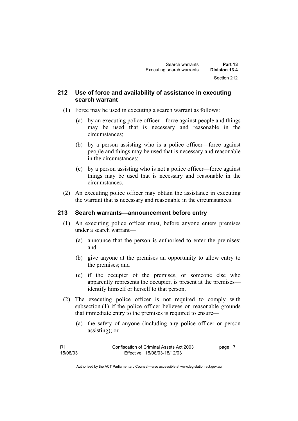### **212 Use of force and availability of assistance in executing search warrant**

- (1) Force may be used in executing a search warrant as follows:
	- (a) by an executing police officer—force against people and things may be used that is necessary and reasonable in the circumstances;
	- (b) by a person assisting who is a police officer—force against people and things may be used that is necessary and reasonable in the circumstances;
	- (c) by a person assisting who is not a police officer—force against things may be used that is necessary and reasonable in the circumstances.
- (2) An executing police officer may obtain the assistance in executing the warrant that is necessary and reasonable in the circumstances.

# **213 Search warrants—announcement before entry**

- (1) An executing police officer must, before anyone enters premises under a search warrant—
	- (a) announce that the person is authorised to enter the premises; and
	- (b) give anyone at the premises an opportunity to allow entry to the premises; and
	- (c) if the occupier of the premises, or someone else who apparently represents the occupier, is present at the premises identify himself or herself to that person.
- (2) The executing police officer is not required to comply with subsection (1) if the police officer believes on reasonable grounds that immediate entry to the premises is required to ensure—
	- (a) the safety of anyone (including any police officer or person assisting); or

| - R1     | Confiscation of Criminal Assets Act 2003 | page 171 |
|----------|------------------------------------------|----------|
| 15/08/03 | Effective: 15/08/03-18/12/03             |          |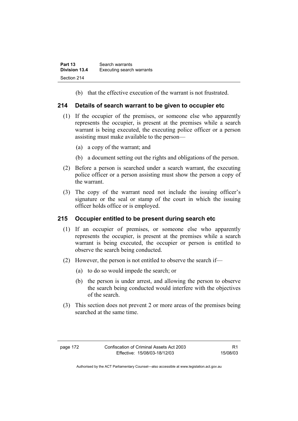(b) that the effective execution of the warrant is not frustrated.

### **214 Details of search warrant to be given to occupier etc**

- (1) If the occupier of the premises, or someone else who apparently represents the occupier, is present at the premises while a search warrant is being executed, the executing police officer or a person assisting must make available to the person—
	- (a) a copy of the warrant; and
	- (b) a document setting out the rights and obligations of the person.
- (2) Before a person is searched under a search warrant, the executing police officer or a person assisting must show the person a copy of the warrant.
- (3) The copy of the warrant need not include the issuing officer's signature or the seal or stamp of the court in which the issuing officer holds office or is employed.

# **215 Occupier entitled to be present during search etc**

- (1) If an occupier of premises, or someone else who apparently represents the occupier, is present at the premises while a search warrant is being executed, the occupier or person is entitled to observe the search being conducted.
- (2) However, the person is not entitled to observe the search if—
	- (a) to do so would impede the search; or
	- (b) the person is under arrest, and allowing the person to observe the search being conducted would interfere with the objectives of the search.
- (3) This section does not prevent 2 or more areas of the premises being searched at the same time.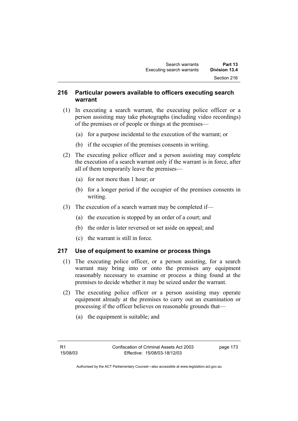### **216 Particular powers available to officers executing search warrant**

- (1) In executing a search warrant, the executing police officer or a person assisting may take photographs (including video recordings) of the premises or of people or things at the premises—
	- (a) for a purpose incidental to the execution of the warrant; or
	- (b) if the occupier of the premises consents in writing.
- (2) The executing police officer and a person assisting may complete the execution of a search warrant only if the warrant is in force, after all of them temporarily leave the premises—
	- (a) for not more than 1 hour; or
	- (b) for a longer period if the occupier of the premises consents in writing.
- (3) The execution of a search warrant may be completed if—
	- (a) the execution is stopped by an order of a court; and
	- (b) the order is later reversed or set aside on appeal; and
	- (c) the warrant is still in force.

### **217 Use of equipment to examine or process things**

- (1) The executing police officer, or a person assisting, for a search warrant may bring into or onto the premises any equipment reasonably necessary to examine or process a thing found at the premises to decide whether it may be seized under the warrant.
- (2) The executing police officer or a person assisting may operate equipment already at the premises to carry out an examination or processing if the officer believes on reasonable grounds that—
	- (a) the equipment is suitable; and

page 173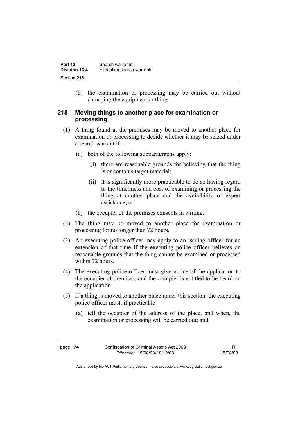| Part 13       | Search warrants           |  |
|---------------|---------------------------|--|
| Division 13.4 | Executing search warrants |  |
| Section 218   |                           |  |

 (b) the examination or processing may be carried out without damaging the equipment or thing.

### **218 Moving things to another place for examination or processing**

- (1) A thing found at the premises may be moved to another place for examination or processing to decide whether it may be seized under a search warrant if—
	- (a) both of the following subparagraphs apply:
		- (i) there are reasonable grounds for believing that the thing is or contains target material;
		- (ii) it is significantly more practicable to do so having regard to the timeliness and cost of examining or processing the thing at another place and the availability of expert assistance; or
	- (b) the occupier of the premises consents in writing.
- (2) The thing may be moved to another place for examination or processing for no longer than 72 hours.
- (3) An executing police officer may apply to an issuing officer for an extension of that time if the executing police officer believes on reasonable grounds that the thing cannot be examined or processed within 72 hours.
- (4) The executing police officer must give notice of the application to the occupier of premises, and the occupier is entitled to be heard on the application.
- (5) If a thing is moved to another place under this section, the executing police officer must, if practicable—
	- (a) tell the occupier of the address of the place, and when, the examination or processing will be carried out; and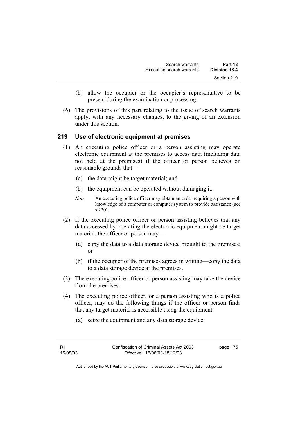- (b) allow the occupier or the occupier's representative to be present during the examination or processing.
- (6) The provisions of this part relating to the issue of search warrants apply, with any necessary changes, to the giving of an extension under this section.

### **219 Use of electronic equipment at premises**

- (1) An executing police officer or a person assisting may operate electronic equipment at the premises to access data (including data not held at the premises) if the officer or person believes on reasonable grounds that—
	- (a) the data might be target material; and
	- (b) the equipment can be operated without damaging it.
	- *Note* An executing police officer may obtain an order requiring a person with knowledge of a computer or computer system to provide assistance (see s 220).
- (2) If the executing police officer or person assisting believes that any data accessed by operating the electronic equipment might be target material, the officer or person may—
	- (a) copy the data to a data storage device brought to the premises; or
	- (b) if the occupier of the premises agrees in writing—copy the data to a data storage device at the premises.
- (3) The executing police officer or person assisting may take the device from the premises.
- (4) The executing police officer, or a person assisting who is a police officer, may do the following things if the officer or person finds that any target material is accessible using the equipment:
	- (a) seize the equipment and any data storage device;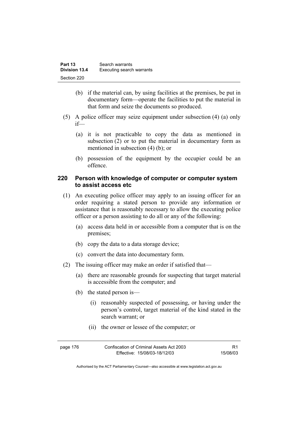| Part 13       | Search warrants           |  |
|---------------|---------------------------|--|
| Division 13.4 | Executing search warrants |  |
| Section 220   |                           |  |

- (b) if the material can, by using facilities at the premises, be put in documentary form—operate the facilities to put the material in that form and seize the documents so produced.
- (5) A police officer may seize equipment under subsection (4) (a) only if—
	- (a) it is not practicable to copy the data as mentioned in subsection (2) or to put the material in documentary form as mentioned in subsection (4) (b); or
	- (b) possession of the equipment by the occupier could be an offence.

### **220 Person with knowledge of computer or computer system to assist access etc**

- (1) An executing police officer may apply to an issuing officer for an order requiring a stated person to provide any information or assistance that is reasonably necessary to allow the executing police officer or a person assisting to do all or any of the following:
	- (a) access data held in or accessible from a computer that is on the premises;
	- (b) copy the data to a data storage device;
	- (c) convert the data into documentary form.
- (2) The issuing officer may make an order if satisfied that—
	- (a) there are reasonable grounds for suspecting that target material is accessible from the computer; and
	- (b) the stated person is—
		- (i) reasonably suspected of possessing, or having under the person's control, target material of the kind stated in the search warrant; or
		- (ii) the owner or lessee of the computer; or

| page 176 | Confiscation of Criminal Assets Act 2003 | R1       |
|----------|------------------------------------------|----------|
|          | Effective: 15/08/03-18/12/03             | 15/08/03 |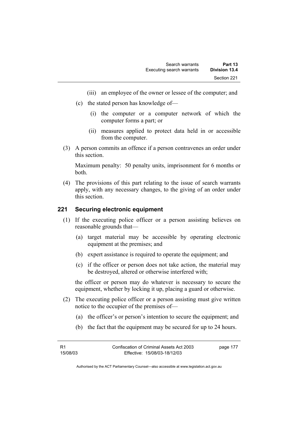- (iii) an employee of the owner or lessee of the computer; and
- (c) the stated person has knowledge of—
	- (i) the computer or a computer network of which the computer forms a part; or
	- (ii) measures applied to protect data held in or accessible from the computer.
- (3) A person commits an offence if a person contravenes an order under this section.

Maximum penalty: 50 penalty units, imprisonment for 6 months or both.

 (4) The provisions of this part relating to the issue of search warrants apply, with any necessary changes, to the giving of an order under this section.

### **221 Securing electronic equipment**

- (1) If the executing police officer or a person assisting believes on reasonable grounds that—
	- (a) target material may be accessible by operating electronic equipment at the premises; and
	- (b) expert assistance is required to operate the equipment; and
	- (c) if the officer or person does not take action, the material may be destroyed, altered or otherwise interfered with;

the officer or person may do whatever is necessary to secure the equipment, whether by locking it up, placing a guard or otherwise.

- (2) The executing police officer or a person assisting must give written notice to the occupier of the premises of—
	- (a) the officer's or person's intention to secure the equipment; and
	- (b) the fact that the equipment may be secured for up to 24 hours.

R1 15/08/03 page 177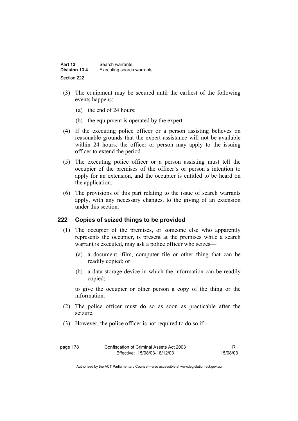| Part 13              | Search warrants           |  |
|----------------------|---------------------------|--|
| <b>Division 13.4</b> | Executing search warrants |  |
| Section 222          |                           |  |

- (3) The equipment may be secured until the earliest of the following events happens:
	- (a) the end of 24 hours;
	- (b) the equipment is operated by the expert.
- (4) If the executing police officer or a person assisting believes on reasonable grounds that the expert assistance will not be available within 24 hours, the officer or person may apply to the issuing officer to extend the period.
- (5) The executing police officer or a person assisting must tell the occupier of the premises of the officer's or person's intention to apply for an extension, and the occupier is entitled to be heard on the application.
- (6) The provisions of this part relating to the issue of search warrants apply, with any necessary changes, to the giving of an extension under this section.

### **222 Copies of seized things to be provided**

- (1) The occupier of the premises, or someone else who apparently represents the occupier, is present at the premises while a search warrant is executed, may ask a police officer who seizes—
	- (a) a document, film, computer file or other thing that can be readily copied; or
	- (b) a data storage device in which the information can be readily copied;

to give the occupier or other person a copy of the thing or the information.

- (2) The police officer must do so as soon as practicable after the seizure.
- (3) However, the police officer is not required to do so if—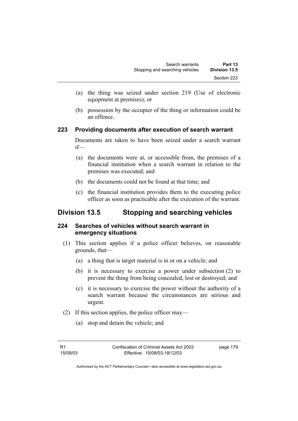- (a) the thing was seized under section 219 (Use of electronic equipment at premises); or
- (b) possession by the occupier of the thing or information could be an offence.

### **223 Providing documents after execution of search warrant**

Documents are taken to have been seized under a search warrant if—

- (a) the documents were at, or accessible from, the premises of a financial institution when a search warrant in relation to the premises was executed; and
- (b) the documents could not be found at that time; and
- (c) the financial institution provides them to the executing police officer as soon as practicable after the execution of the warrant.

# **Division 13.5 Stopping and searching vehicles**

# **224 Searches of vehicles without search warrant in emergency situations**

- (1) This section applies if a police officer believes, on reasonable grounds, that—
	- (a) a thing that is target material is in or on a vehicle; and
	- (b) it is necessary to exercise a power under subsection (2) to prevent the thing from being concealed, lost or destroyed; and
	- (c) it is necessary to exercise the power without the authority of a search warrant because the circumstances are serious and urgent.
- (2) If this section applies, the police officer may—
	- (a) stop and detain the vehicle; and

page 179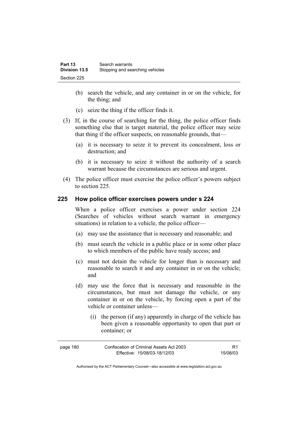- (b) search the vehicle, and any container in or on the vehicle, for the thing; and
- (c) seize the thing if the officer finds it.
- (3) If, in the course of searching for the thing, the police officer finds something else that is target material, the police officer may seize that thing if the officer suspects, on reasonable grounds, that—
	- (a) it is necessary to seize it to prevent its concealment, loss or destruction; and
	- (b) it is necessary to seize it without the authority of a search warrant because the circumstances are serious and urgent.
- (4) The police officer must exercise the police officer's powers subject to section 225.

### **225 How police officer exercises powers under s 224**

When a police officer exercises a power under section 224 (Searches of vehicles without search warrant in emergency situations) in relation to a vehicle, the police officer—

- (a) may use the assistance that is necessary and reasonable; and
- (b) must search the vehicle in a public place or in some other place to which members of the public have ready access; and
- (c) must not detain the vehicle for longer than is necessary and reasonable to search it and any container in or on the vehicle; and
- (d) may use the force that is necessary and reasonable in the circumstances, but must not damage the vehicle, or any container in or on the vehicle, by forcing open a part of the vehicle or container unless—
	- (i) the person (if any) apparently in charge of the vehicle has been given a reasonable opportunity to open that part or container; or

| page 180 | Confiscation of Criminal Assets Act 2003 |          |
|----------|------------------------------------------|----------|
|          | Effective: 15/08/03-18/12/03             | 15/08/03 |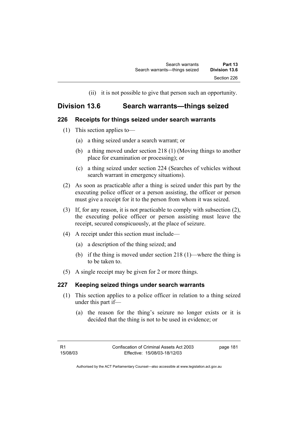(ii) it is not possible to give that person such an opportunity.

# **Division 13.6 Search warrants—things seized**

# **226 Receipts for things seized under search warrants**

- (1) This section applies to—
	- (a) a thing seized under a search warrant; or
	- (b) a thing moved under section 218 (1) (Moving things to another place for examination or processing); or
	- (c) a thing seized under section 224 (Searches of vehicles without search warrant in emergency situations).
- (2) As soon as practicable after a thing is seized under this part by the executing police officer or a person assisting, the officer or person must give a receipt for it to the person from whom it was seized.
- (3) If, for any reason, it is not practicable to comply with subsection (2), the executing police officer or person assisting must leave the receipt, secured conspicuously, at the place of seizure.
- (4) A receipt under this section must include—
	- (a) a description of the thing seized; and
	- (b) if the thing is moved under section 218 (1)—where the thing is to be taken to.
- (5) A single receipt may be given for 2 or more things.

# **227 Keeping seized things under search warrants**

- (1) This section applies to a police officer in relation to a thing seized under this part if—
	- (a) the reason for the thing's seizure no longer exists or it is decided that the thing is not to be used in evidence; or

page 181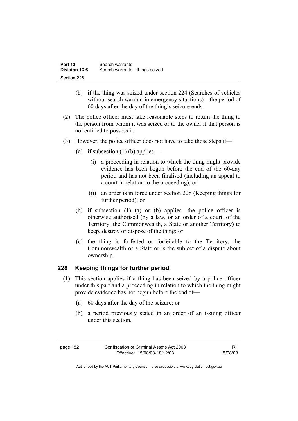| Part 13       | Search warrants               |
|---------------|-------------------------------|
| Division 13.6 | Search warrants—things seized |
| Section 228   |                               |

- (b) if the thing was seized under section 224 (Searches of vehicles without search warrant in emergency situations)—the period of 60 days after the day of the thing's seizure ends.
- (2) The police officer must take reasonable steps to return the thing to the person from whom it was seized or to the owner if that person is not entitled to possess it.
- (3) However, the police officer does not have to take those steps if—
	- (a) if subsection  $(1)$  (b) applies—
		- (i) a proceeding in relation to which the thing might provide evidence has been begun before the end of the 60-day period and has not been finalised (including an appeal to a court in relation to the proceeding); or
		- (ii) an order is in force under section 228 (Keeping things for further period); or
	- (b) if subsection (1) (a) or (b) applies—the police officer is otherwise authorised (by a law, or an order of a court, of the Territory, the Commonwealth, a State or another Territory) to keep, destroy or dispose of the thing; or
	- (c) the thing is forfeited or forfeitable to the Territory, the Commonwealth or a State or is the subject of a dispute about ownership.

### **228 Keeping things for further period**

- (1) This section applies if a thing has been seized by a police officer under this part and a proceeding in relation to which the thing might provide evidence has not begun before the end of—
	- (a) 60 days after the day of the seizure; or
	- (b) a period previously stated in an order of an issuing officer under this section.

R1 15/08/03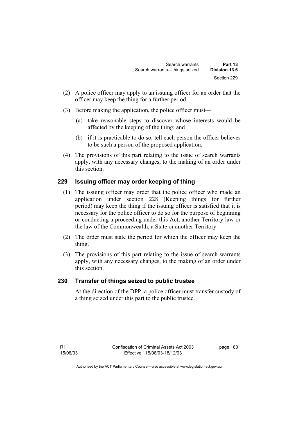- (2) A police officer may apply to an issuing officer for an order that the officer may keep the thing for a further period.
- (3) Before making the application, the police officer must—
	- (a) take reasonable steps to discover whose interests would be affected by the keeping of the thing; and
	- (b) if it is practicable to do so, tell each person the officer believes to be such a person of the proposed application.
- (4) The provisions of this part relating to the issue of search warrants apply, with any necessary changes, to the making of an order under this section.

# **229 Issuing officer may order keeping of thing**

- (1) The issuing officer may order that the police officer who made an application under section 228 (Keeping things for further period) may keep the thing if the issuing officer is satisfied that it is necessary for the police officer to do so for the purpose of beginning or conducting a proceeding under this Act, another Territory law or the law of the Commonwealth, a State or another Territory.
- (2) The order must state the period for which the officer may keep the thing.
- (3) The provisions of this part relating to the issue of search warrants apply, with any necessary changes, to the making of an order under this section.

# **230 Transfer of things seized to public trustee**

At the direction of the DPP, a police officer must transfer custody of a thing seized under this part to the public trustee.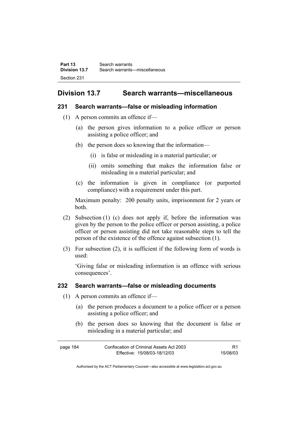# **Division 13.7 Search warrants—miscellaneous**

### **231 Search warrants—false or misleading information**

- (1) A person commits an offence if—
	- (a) the person gives information to a police officer or person assisting a police officer; and
	- (b) the person does so knowing that the information—
		- (i) is false or misleading in a material particular; or
		- (ii) omits something that makes the information false or misleading in a material particular; and
	- (c) the information is given in compliance (or purported compliance) with a requirement under this part.

Maximum penalty: 200 penalty units, imprisonment for 2 years or both.

- (2) Subsection (1) (c) does not apply if, before the information was given by the person to the police officer or person assisting, a police officer or person assisting did not take reasonable steps to tell the person of the existence of the offence against subsection (1).
- (3) For subsection (2), it is sufficient if the following form of words is used:

'Giving false or misleading information is an offence with serious consequences'.

### **232 Search warrants—false or misleading documents**

- (1) A person commits an offence if—
	- (a) the person produces a document to a police officer or a person assisting a police officer; and
	- (b) the person does so knowing that the document is false or misleading in a material particular; and

| page 184 | Confiscation of Criminal Assets Act 2003 |          |
|----------|------------------------------------------|----------|
|          | Effective: 15/08/03-18/12/03             | 15/08/03 |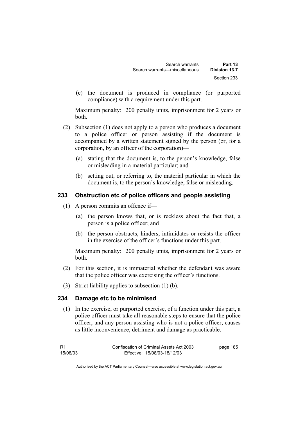(c) the document is produced in compliance (or purported compliance) with a requirement under this part.

Maximum penalty: 200 penalty units, imprisonment for 2 years or both.

- (2) Subsection (1) does not apply to a person who produces a document to a police officer or person assisting if the document is accompanied by a written statement signed by the person (or, for a corporation, by an officer of the corporation)—
	- (a) stating that the document is, to the person's knowledge, false or misleading in a material particular; and
	- (b) setting out, or referring to, the material particular in which the document is, to the person's knowledge, false or misleading.

# **233 Obstruction etc of police officers and people assisting**

- (1) A person commits an offence if—
	- (a) the person knows that, or is reckless about the fact that, a person is a police officer; and
	- (b) the person obstructs, hinders, intimidates or resists the officer in the exercise of the officer's functions under this part.

Maximum penalty: 200 penalty units, imprisonment for 2 years or both.

- (2) For this section, it is immaterial whether the defendant was aware that the police officer was exercising the officer's functions.
- (3) Strict liability applies to subsection (1) (b).

# **234 Damage etc to be minimised**

 (1) In the exercise, or purported exercise, of a function under this part, a police officer must take all reasonable steps to ensure that the police officer, and any person assisting who is not a police officer, causes as little inconvenience, detriment and damage as practicable.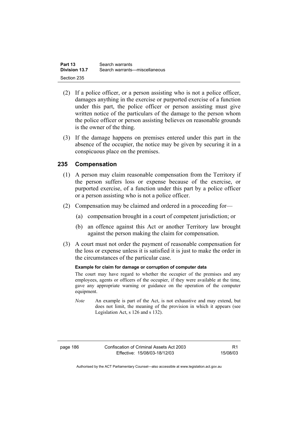| Part 13       | Search warrants               |
|---------------|-------------------------------|
| Division 13.7 | Search warrants—miscellaneous |
| Section 235   |                               |

- (2) If a police officer, or a person assisting who is not a police officer, damages anything in the exercise or purported exercise of a function under this part, the police officer or person assisting must give written notice of the particulars of the damage to the person whom the police officer or person assisting believes on reasonable grounds is the owner of the thing.
- (3) If the damage happens on premises entered under this part in the absence of the occupier, the notice may be given by securing it in a conspicuous place on the premises.

### **235 Compensation**

- (1) A person may claim reasonable compensation from the Territory if the person suffers loss or expense because of the exercise, or purported exercise, of a function under this part by a police officer or a person assisting who is not a police officer.
- (2) Compensation may be claimed and ordered in a proceeding for—
	- (a) compensation brought in a court of competent jurisdiction; or
	- (b) an offence against this Act or another Territory law brought against the person making the claim for compensation.
- (3) A court must not order the payment of reasonable compensation for the loss or expense unless it is satisfied it is just to make the order in the circumstances of the particular case.

### **Example for claim for damage or corruption of computer data**

The court may have regard to whether the occupier of the premises and any employees, agents or officers of the occupier, if they were available at the time, gave any appropriate warning or guidance on the operation of the computer equipment.

*Note* An example is part of the Act, is not exhaustive and may extend, but does not limit, the meaning of the provision in which it appears (see Legislation Act, s 126 and s 132).

R1 15/08/03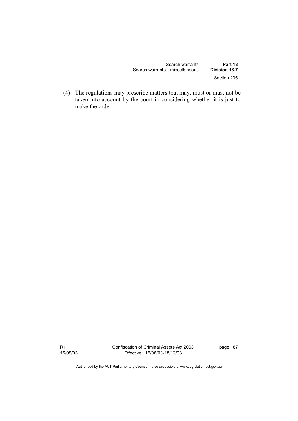| Search warrants               | Part 13              |
|-------------------------------|----------------------|
| Search warrants—miscellaneous | <b>Division 13.7</b> |
|                               | Section 235          |

 (4) The regulations may prescribe matters that may, must or must not be taken into account by the court in considering whether it is just to make the order.

R1 15/08/03 Confiscation of Criminal Assets Act 2003 Effective: 15/08/03-18/12/03

page 187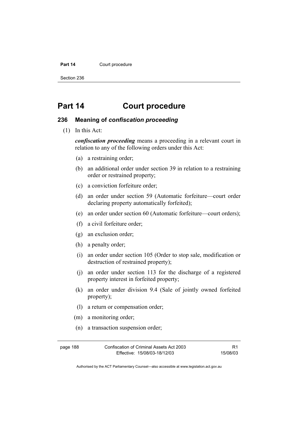### Part 14 **Court procedure**

Section 236

# **Part 14 Court procedure**

### **236 Meaning of** *confiscation proceeding*

(1) In this Act:

*confiscation proceeding* means a proceeding in a relevant court in relation to any of the following orders under this Act:

- (a) a restraining order;
- (b) an additional order under section 39 in relation to a restraining order or restrained property;
- (c) a conviction forfeiture order;
- (d) an order under section 59 (Automatic forfeiture—court order declaring property automatically forfeited);
- (e) an order under section 60 (Automatic forfeiture—court orders);
- (f) a civil forfeiture order;
- (g) an exclusion order;
- (h) a penalty order;
- (i) an order under section 105 (Order to stop sale, modification or destruction of restrained property);
- (j) an order under section 113 for the discharge of a registered property interest in forfeited property;
- (k) an order under division 9.4 (Sale of jointly owned forfeited property);
- (l) a return or compensation order;
- (m) a monitoring order;
- (n) a transaction suspension order;

page 188 Confiscation of Criminal Assets Act 2003 Effective: 15/08/03-18/12/03 R1 15/08/03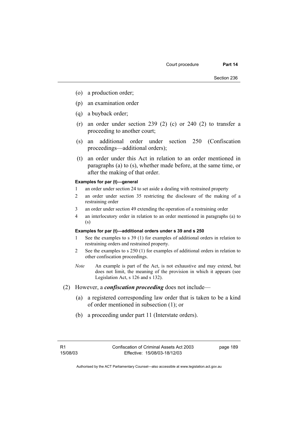- (o) a production order;
- (p) an examination order
- (q) a buyback order;
- $(r)$  an order under section 239 (2) (c) or 240 (2) to transfer a proceeding to another court;
- (s) an additional order under section 250 (Confiscation proceedings—additional orders);
- (t) an order under this Act in relation to an order mentioned in paragraphs (a) to (s), whether made before, at the same time, or after the making of that order.

#### **Examples for par (t)—general**

- 1 an order under section 24 to set aside a dealing with restrained property
- 2 an order under section 35 restricting the disclosure of the making of a restraining order
- 3 an order under section 49 extending the operation of a restraining order
- 4 an interlocutory order in relation to an order mentioned in paragraphs (a) to (s)

#### **Examples for par (t)—additional orders under s 39 and s 250**

- 1 See the examples to s 39 (1) for examples of additional orders in relation to restraining orders and restrained property.
- 2 See the examples to s 250 (1) for examples of additional orders in relation to other confiscation proceedings.
- *Note* An example is part of the Act, is not exhaustive and may extend, but does not limit, the meaning of the provision in which it appears (see Legislation Act, s 126 and s 132).
- (2) However, a *confiscation proceeding* does not include—
	- (a) a registered corresponding law order that is taken to be a kind of order mentioned in subsection (1); or
	- (b) a proceeding under part 11 (Interstate orders).

page 189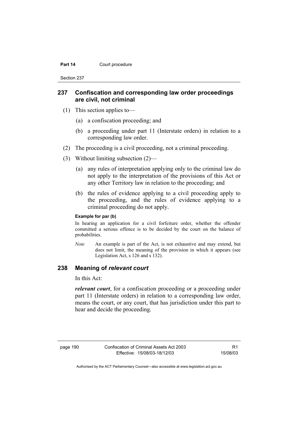#### Part 14 **Court procedure**

Section 237

### **237 Confiscation and corresponding law order proceedings are civil, not criminal**

- (1) This section applies to—
	- (a) a confiscation proceeding; and
	- (b) a proceeding under part 11 (Interstate orders) in relation to a corresponding law order.
- (2) The proceeding is a civil proceeding, not a criminal proceeding.
- (3) Without limiting subsection (2)—
	- (a) any rules of interpretation applying only to the criminal law do not apply to the interpretation of the provisions of this Act or any other Territory law in relation to the proceeding; and
	- (b) the rules of evidence applying to a civil proceeding apply to the proceeding, and the rules of evidence applying to a criminal proceeding do not apply.

### **Example for par (b)**

In hearing an application for a civil forfeiture order, whether the offender committed a serious offence is to be decided by the court on the balance of probabilities.

*Note* An example is part of the Act, is not exhaustive and may extend, but does not limit, the meaning of the provision in which it appears (see Legislation Act, s 126 and s 132).

### **238 Meaning of** *relevant court*

In this Act:

*relevant court*, for a confiscation proceeding or a proceeding under part 11 (Interstate orders) in relation to a corresponding law order, means the court, or any court, that has jurisdiction under this part to hear and decide the proceeding.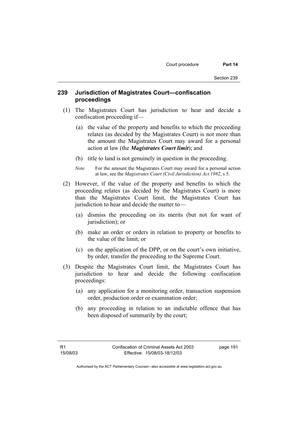### **239 Jurisdiction of Magistrates Court—confiscation proceedings**

- (1) The Magistrates Court has jurisdiction to hear and decide a confiscation proceeding if—
	- (a) the value of the property and benefits to which the proceeding relates (as decided by the Magistrates Court) is not more than the amount the Magistrates Court may award for a personal action at law (the *Magistrates Court limit*); and
	- (b) title to land is not genuinely in question in the proceeding.
	- *Note* For the amount the Magistrates Court may award for a personal action at law, see the *Magistrates Court (Civil Jurisdiction) Act 1982*, s 5.
- (2) However, if the value of the property and benefits to which the proceeding relates (as decided by the Magistrates Court) is more than the Magistrates Court limit, the Magistrates Court has jurisdiction to hear and decide the matter to—
	- (a) dismiss the proceeding on its merits (but not for want of jurisdiction); or
	- (b) make an order or orders in relation to property or benefits to the value of the limit; or
	- (c) on the application of the DPP, or on the court's own initiative, by order, transfer the proceeding to the Supreme Court.
- (3) Despite the Magistrates Court limit, the Magistrates Court has jurisdiction to hear and decide the following confiscation proceedings:
	- (a) any application for a monitoring order, transaction suspension order, production order or examination order;
	- (b) any proceeding in relation to an indictable offence that has been disposed of summarily by the court;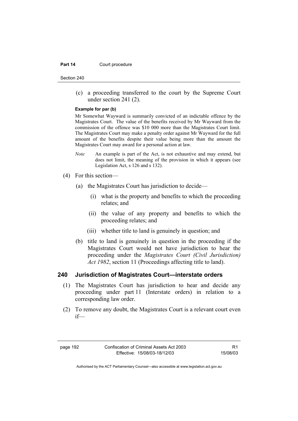#### **Part 14 Court procedure**

Section 240

 (c) a proceeding transferred to the court by the Supreme Court under section 241 (2).

#### **Example for par (b)**

Mr Somewhat Wayward is summarily convicted of an indictable offence by the Magistrates Court. The value of the benefits received by Mr Wayward from the commission of the offence was \$10 000 more than the Magistrates Court limit. The Magistrates Court may make a penalty order against Mr Wayward for the full amount of the benefits despite their value being more than the amount the Magistrates Court may award for a personal action at law.

- *Note* An example is part of the Act, is not exhaustive and may extend, but does not limit, the meaning of the provision in which it appears (see Legislation Act, s 126 and s 132).
- (4) For this section—
	- (a) the Magistrates Court has jurisdiction to decide—
		- (i) what is the property and benefits to which the proceeding relates; and
		- (ii) the value of any property and benefits to which the proceeding relates; and
		- (iii) whether title to land is genuinely in question; and
	- (b) title to land is genuinely in question in the proceeding if the Magistrates Court would not have jurisdiction to hear the proceeding under the *Magistrates Court (Civil Jurisdiction) Act 1982*, section 11 (Proceedings affecting title to land).

### **240 Jurisdiction of Magistrates Court—interstate orders**

- (1) The Magistrates Court has jurisdiction to hear and decide any proceeding under part 11 (Interstate orders) in relation to a corresponding law order.
- (2) To remove any doubt, the Magistrates Court is a relevant court even if—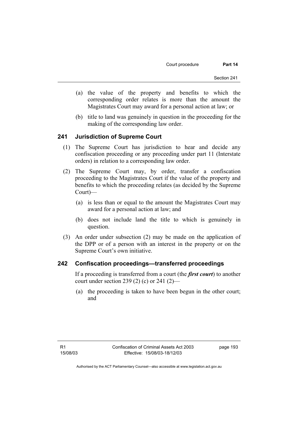- (a) the value of the property and benefits to which the corresponding order relates is more than the amount the Magistrates Court may award for a personal action at law; or
- (b) title to land was genuinely in question in the proceeding for the making of the corresponding law order.

### **241 Jurisdiction of Supreme Court**

- (1) The Supreme Court has jurisdiction to hear and decide any confiscation proceeding or any proceeding under part 11 (Interstate orders) in relation to a corresponding law order.
- (2) The Supreme Court may, by order, transfer a confiscation proceeding to the Magistrates Court if the value of the property and benefits to which the proceeding relates (as decided by the Supreme Court)—
	- (a) is less than or equal to the amount the Magistrates Court may award for a personal action at law; and
	- (b) does not include land the title to which is genuinely in question.
- (3) An order under subsection (2) may be made on the application of the DPP or of a person with an interest in the property or on the Supreme Court's own initiative.

### **242 Confiscation proceedings—transferred proceedings**

If a proceeding is transferred from a court (the *first court*) to another court under section 239 (2) (c) or 241 (2)—

 (a) the proceeding is taken to have been begun in the other court; and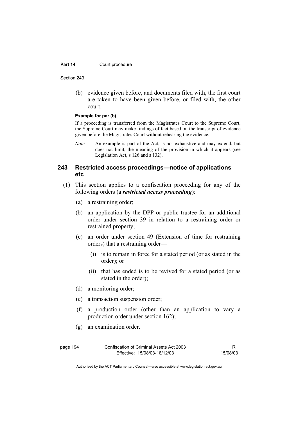#### Part 14 **Court procedure**

Section 243

 (b) evidence given before, and documents filed with, the first court are taken to have been given before, or filed with, the other court.

#### **Example for par (b)**

If a proceeding is transferred from the Magistrates Court to the Supreme Court, the Supreme Court may make findings of fact based on the transcript of evidence given before the Magistrates Court without rehearing the evidence.

*Note* An example is part of the Act, is not exhaustive and may extend, but does not limit, the meaning of the provision in which it appears (see Legislation Act, s 126 and s 132).

### **243 Restricted access proceedings—notice of applications etc**

- (1) This section applies to a confiscation proceeding for any of the following orders (a *restricted access proceeding*):
	- (a) a restraining order;
	- (b) an application by the DPP or public trustee for an additional order under section 39 in relation to a restraining order or restrained property;
	- (c) an order under section 49 (Extension of time for restraining orders) that a restraining order—
		- (i) is to remain in force for a stated period (or as stated in the order); or
		- (ii) that has ended is to be revived for a stated period (or as stated in the order);
	- (d) a monitoring order;
	- (e) a transaction suspension order;
	- (f) a production order (other than an application to vary a production order under section 162);
	- (g) an examination order.

page 194 Confiscation of Criminal Assets Act 2003 Effective: 15/08/03-18/12/03

R1 15/08/03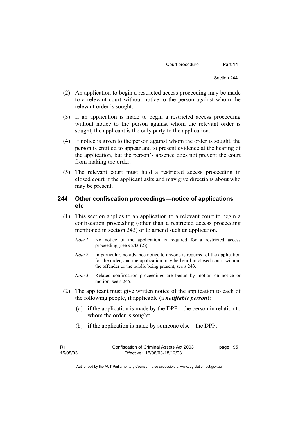- (2) An application to begin a restricted access proceeding may be made to a relevant court without notice to the person against whom the relevant order is sought.
- (3) If an application is made to begin a restricted access proceeding without notice to the person against whom the relevant order is sought, the applicant is the only party to the application.
- (4) If notice is given to the person against whom the order is sought, the person is entitled to appear and to present evidence at the hearing of the application, but the person's absence does not prevent the court from making the order.
- (5) The relevant court must hold a restricted access proceeding in closed court if the applicant asks and may give directions about who may be present.

### **244 Other confiscation proceedings—notice of applications etc**

- (1) This section applies to an application to a relevant court to begin a confiscation proceeding (other than a restricted access proceeding mentioned in section 243) or to amend such an application.
	- *Note 1* No notice of the application is required for a restricted access proceeding (see s 243 (2)).
	- *Note 2* In particular, no advance notice to anyone is required of the application for the order, and the application may be heard in closed court, without the offender or the public being present, see s 243.
	- *Note 3* Related confiscation proceedings are begun by motion on notice or motion, see s 245.
- (2) The applicant must give written notice of the application to each of the following people, if applicable (a *notifiable person*):
	- (a) if the application is made by the DPP—the person in relation to whom the order is sought;
	- (b) if the application is made by someone else—the DPP;

page 195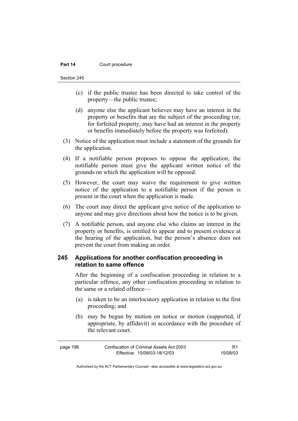### **Part 14 Court procedure**

Section 245

- (c) if the public trustee has been directed to take control of the property—the public trustee;
- (d) anyone else the applicant believes may have an interest in the property or benefits that are the subject of the proceeding (or, for forfeited property, may have had an interest in the property or benefits immediately before the property was forfeited).
- (3) Notice of the application must include a statement of the grounds for the application.
- (4) If a notifiable person proposes to oppose the application, the notifiable person must give the applicant written notice of the grounds on which the application will be opposed.
- (5) However, the court may waive the requirement to give written notice of the application to a notifiable person if the person is present in the court when the application is made.
- (6) The court may direct the applicant give notice of the application to anyone and may give directions about how the notice is to be given.
- (7) A notifiable person, and anyone else who claims an interest in the property or benefits, is entitled to appear and to present evidence at the hearing of the application, but the person's absence does not prevent the court from making an order.

# **245 Applications for another confiscation proceeding in relation to same offence**

After the beginning of a confiscation proceeding in relation to a particular offence, any other confiscation proceeding in relation to the same or a related offence—

- (a) is taken to be an interlocutory application in relation to the first proceeding; and
- (b) may be begun by motion on notice or motion (supported, if appropriate, by affidavit) in accordance with the procedure of the relevant court.

| page 196 | Confiscation of Criminal Assets Act 2003 |          |
|----------|------------------------------------------|----------|
|          | Effective: 15/08/03-18/12/03             | 15/08/03 |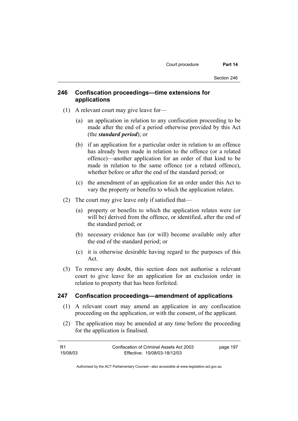### **246 Confiscation proceedings—time extensions for applications**

- (1) A relevant court may give leave for—
	- (a) an application in relation to any confiscation proceeding to be made after the end of a period otherwise provided by this Act (the *standard period*); or
	- (b) if an application for a particular order in relation to an offence has already been made in relation to the offence (or a related offence)—another application for an order of that kind to be made in relation to the same offence (or a related offence), whether before or after the end of the standard period; or
	- (c) the amendment of an application for an order under this Act to vary the property or benefits to which the application relates.
- (2) The court may give leave only if satisfied that—
	- (a) property or benefits to which the application relates were (or will be) derived from the offence, or identified, after the end of the standard period; or
	- (b) necessary evidence has (or will) become available only after the end of the standard period; or
	- (c) it is otherwise desirable having regard to the purposes of this Act.
- (3) To remove any doubt, this section does not authorise a relevant court to give leave for an application for an exclusion order in relation to property that has been forfeited.

### **247 Confiscation proceedings—amendment of applications**

- (1) A relevant court may amend an application in any confiscation proceeding on the application, or with the consent, of the applicant.
- (2) The application may be amended at any time before the proceeding for the application is finalised.

| - R1     | Confiscation of Criminal Assets Act 2003 | page 197 |
|----------|------------------------------------------|----------|
| 15/08/03 | Effective: 15/08/03-18/12/03             |          |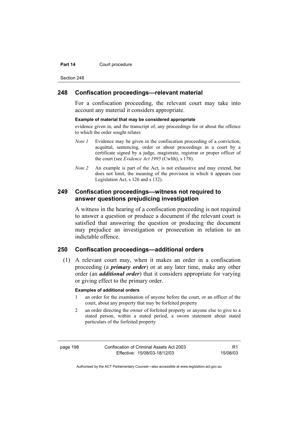#### **Part 14 Court procedure**

Section 248

### **248 Confiscation proceedings—relevant material**

For a confiscation proceeding, the relevant court may take into account any material it considers appropriate.

### **Example of material that may be considered appropriate**

evidence given in, and the transcript of, any proceedings for or about the offence to which the order sought relates

- *Note 1* Evidence may be given in the confiscation proceeding of a conviction, acquittal, sentencing, order or about proceedings in a court by a certificate signed by a judge, magistrate, registrar or proper officer of the court (see *Evidence Act 1995* (Cwlth), s 178).
- *Note* 2 An example is part of the Act, is not exhaustive and may extend, but does not limit, the meaning of the provision in which it appears (see Legislation Act, s 126 and s 132).

### **249 Confiscation proceedings—witness not required to answer questions prejudicing investigation**

A witness in the hearing of a confiscation proceeding is not required to answer a question or produce a document if the relevant court is satisfied that answering the question or producing the document may prejudice an investigation or prosecution in relation to an indictable offence.

### **250 Confiscation proceedings—additional orders**

 (1) A relevant court may, when it makes an order in a confiscation proceeding (a *primary order*) or at any later time, make any other order (an *additional order*) that it considers appropriate for varying or giving effect to the primary order.

#### **Examples of additional orders**

- 1 an order for the examination of anyone before the court, or an officer of the court, about any property that may be forfeited property
- 2 an order directing the owner of forfeited property or anyone else to give to a stated person, within a stated period, a sworn statement about stated particulars of the forfeited property

page 198 Confiscation of Criminal Assets Act 2003 Effective: 15/08/03-18/12/03

R1 15/08/03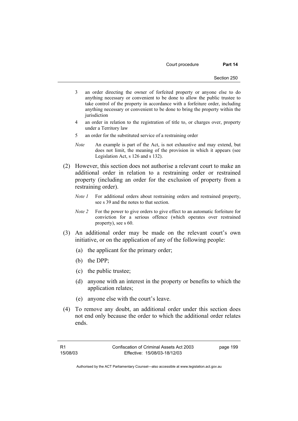Court procedure **Part 14** 

- 3 an order directing the owner of forfeited property or anyone else to do anything necessary or convenient to be done to allow the public trustee to take control of the property in accordance with a forfeiture order, including anything necessary or convenient to be done to bring the property within the iurisdiction
- 4 an order in relation to the registration of title to, or charges over, property under a Territory law
- 5 an order for the substituted service of a restraining order
- *Note* An example is part of the Act, is not exhaustive and may extend, but does not limit, the meaning of the provision in which it appears (see Legislation Act, s 126 and s 132).
- (2) However, this section does not authorise a relevant court to make an additional order in relation to a restraining order or restrained property (including an order for the exclusion of property from a restraining order).
	- *Note 1* For additional orders about restraining orders and restrained property, see s 39 and the notes to that section.
	- *Note 2* For the power to give orders to give effect to an automatic forfeiture for conviction for a serious offence (which operates over restrained property), see s 60.
- (3) An additional order may be made on the relevant court's own initiative, or on the application of any of the following people:
	- (a) the applicant for the primary order;
	- (b) the DPP;
	- (c) the public trustee;
	- (d) anyone with an interest in the property or benefits to which the application relates;
	- (e) anyone else with the court's leave.
- (4) To remove any doubt, an additional order under this section does not end only because the order to which the additional order relates ends.

page 199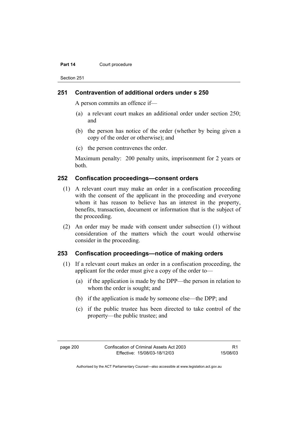### **Part 14 Court procedure**

Section 251

### **251 Contravention of additional orders under s 250**

A person commits an offence if—

- (a) a relevant court makes an additional order under section 250; and
- (b) the person has notice of the order (whether by being given a copy of the order or otherwise); and
- (c) the person contravenes the order.

Maximum penalty: 200 penalty units, imprisonment for 2 years or both.

### **252 Confiscation proceedings—consent orders**

- (1) A relevant court may make an order in a confiscation proceeding with the consent of the applicant in the proceeding and everyone whom it has reason to believe has an interest in the property, benefits, transaction, document or information that is the subject of the proceeding.
- (2) An order may be made with consent under subsection (1) without consideration of the matters which the court would otherwise consider in the proceeding.

### **253 Confiscation proceedings—notice of making orders**

- (1) If a relevant court makes an order in a confiscation proceeding, the applicant for the order must give a copy of the order to—
	- (a) if the application is made by the DPP—the person in relation to whom the order is sought; and
	- (b) if the application is made by someone else—the DPP; and
	- (c) if the public trustee has been directed to take control of the property—the public trustee; and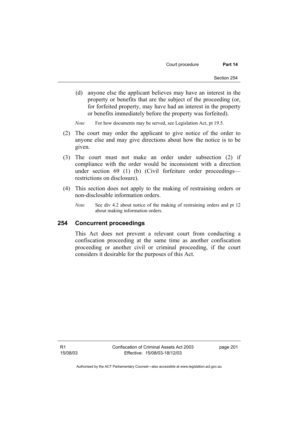Court procedure **Part 14** 

- (d) anyone else the applicant believes may have an interest in the property or benefits that are the subject of the proceeding (or, for forfeited property, may have had an interest in the property or benefits immediately before the property was forfeited).
- *Note* For how documents may be served, see Legislation Act, pt 19.5.
- (2) The court may order the applicant to give notice of the order to anyone else and may give directions about how the notice is to be given.
- (3) The court must not make an order under subsection (2) if compliance with the order would be inconsistent with a direction under section 69 (1) (b) (Civil forfeiture order proceedings restrictions on disclosure).
- (4) This section does not apply to the making of restraining orders or non-disclosable information orders.
	- *Note* See div 4.2 about notice of the making of restraining orders and pt 12 about making information orders.

# **254 Concurrent proceedings**

This Act does not prevent a relevant court from conducting a confiscation proceeding at the same time as another confiscation proceeding or another civil or criminal proceeding, if the court considers it desirable for the purposes of this Act.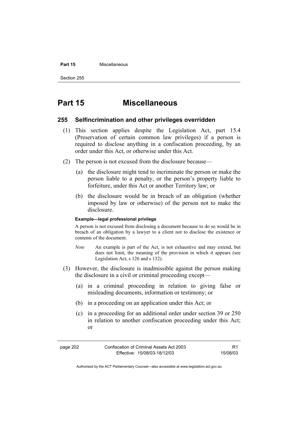#### **Part 15** Miscellaneous

Section 255

# **Part 15 Miscellaneous**

### **255 Selfincrimination and other privileges overridden**

- (1) This section applies despite the Legislation Act, part 15.4 (Preservation of certain common law privileges) if a person is required to disclose anything in a confiscation proceeding, by an order under this Act, or otherwise under this Act.
- (2) The person is not excused from the disclosure because—
	- (a) the disclosure might tend to incriminate the person or make the person liable to a penalty, or the person's property liable to forfeiture, under this Act or another Territory law; or
	- (b) the disclosure would be in breach of an obligation (whether imposed by law or otherwise) of the person not to make the disclosure.

### **Example—legal professional privilege**

A person is not excused from disclosing a document because to do so would be in breach of an obligation by a lawyer to a client not to disclose the existence or contents of the document.

- *Note* An example is part of the Act, is not exhaustive and may extend, but does not limit, the meaning of the provision in which it appears (see Legislation Act, s 126 and s 132).
- (3) However, the disclosure is inadmissible against the person making the disclosure in a civil or criminal proceeding except—
	- (a) in a criminal proceeding in relation to giving false or misleading documents, information or testimony; or
	- (b) in a proceeding on an application under this Act; or
	- (c) in a proceeding for an additional order under section 39 or 250 in relation to another confiscation proceeding under this Act; or

R1 15/08/03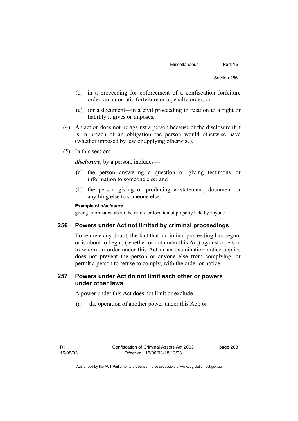- (d) in a proceeding for enforcement of a confiscation forfeiture order, an automatic forfeiture or a penalty order; or
- (e) for a document—in a civil proceeding in relation to a right or liability it gives or imposes.
- (4) An action does not lie against a person because of the disclosure if it is in breach of an obligation the person would otherwise have (whether imposed by law or applying otherwise).
- (5) In this section:

*disclosure*, by a person, includes—

- (a) the person answering a question or giving testimony or information to someone else; and
- (b) the person giving or producing a statement, document or anything else to someone else.

#### **Example of** *disclosure*

giving information about the nature or location of property held by anyone

## **256 Powers under Act not limited by criminal proceedings**

To remove any doubt, the fact that a criminal proceeding has begun, or is about to begin, (whether or not under this Act) against a person to whom an order under this Act or an examination notice applies does not prevent the person or anyone else from complying, or permit a person to refuse to comply, with the order or notice.

# **257 Powers under Act do not limit each other or powers under other laws**

A power under this Act does not limit or exclude—

(a) the operation of another power under this Act; or

page 203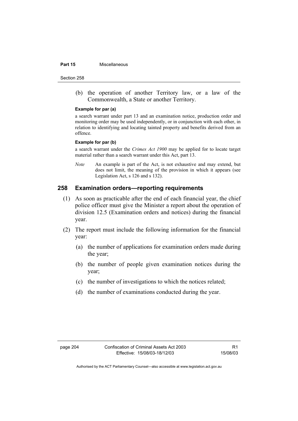#### **Part 15 Miscellaneous**

Section 258

 (b) the operation of another Territory law, or a law of the Commonwealth, a State or another Territory.

#### **Example for par (a)**

a search warrant under part 13 and an examination notice, production order and monitoring order may be used independently, or in conjunction with each other, in relation to identifying and locating tainted property and benefits derived from an offence.

#### **Example for par (b)**

a search warrant under the *Crimes Act 1900* may be applied for to locate target material rather than a search warrant under this Act, part 13.

*Note* An example is part of the Act, is not exhaustive and may extend, but does not limit, the meaning of the provision in which it appears (see Legislation Act, s 126 and s 132).

## **258 Examination orders—reporting requirements**

- (1) As soon as practicable after the end of each financial year, the chief police officer must give the Minister a report about the operation of division 12.5 (Examination orders and notices) during the financial year.
- (2) The report must include the following information for the financial year:
	- (a) the number of applications for examination orders made during the year;
	- (b) the number of people given examination notices during the year;
	- (c) the number of investigations to which the notices related;
	- (d) the number of examinations conducted during the year.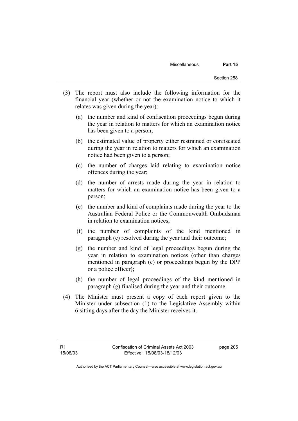- (3) The report must also include the following information for the financial year (whether or not the examination notice to which it relates was given during the year):
	- (a) the number and kind of confiscation proceedings begun during the year in relation to matters for which an examination notice has been given to a person;
	- (b) the estimated value of property either restrained or confiscated during the year in relation to matters for which an examination notice had been given to a person;
	- (c) the number of charges laid relating to examination notice offences during the year;
	- (d) the number of arrests made during the year in relation to matters for which an examination notice has been given to a person;
	- (e) the number and kind of complaints made during the year to the Australian Federal Police or the Commonwealth Ombudsman in relation to examination notices;
	- (f) the number of complaints of the kind mentioned in paragraph (e) resolved during the year and their outcome;
	- (g) the number and kind of legal proceedings begun during the year in relation to examination notices (other than charges mentioned in paragraph (c) or proceedings begun by the DPP or a police officer);
	- (h) the number of legal proceedings of the kind mentioned in paragraph (g) finalised during the year and their outcome.
- (4) The Minister must present a copy of each report given to the Minister under subsection (1) to the Legislative Assembly within 6 sitting days after the day the Minister receives it.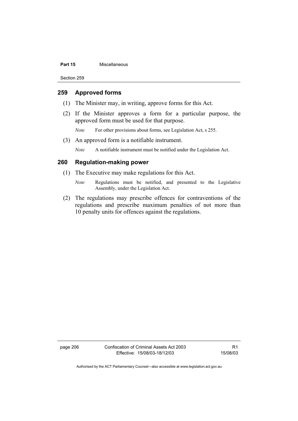#### **Part 15** Miscellaneous

Section 259

## **259 Approved forms**

- (1) The Minister may, in writing, approve forms for this Act.
- (2) If the Minister approves a form for a particular purpose, the approved form must be used for that purpose.

*Note* For other provisions about forms, see Legislation Act, s 255.

(3) An approved form is a notifiable instrument.

*Note* A notifiable instrument must be notified under the Legislation Act.

# **260 Regulation-making power**

- (1) The Executive may make regulations for this Act.
	- *Note* Regulations must be notified, and presented to the Legislative Assembly, under the Legislation Act.
- (2) The regulations may prescribe offences for contraventions of the regulations and prescribe maximum penalties of not more than 10 penalty units for offences against the regulations.

page 206 Confiscation of Criminal Assets Act 2003 Effective: 15/08/03-18/12/03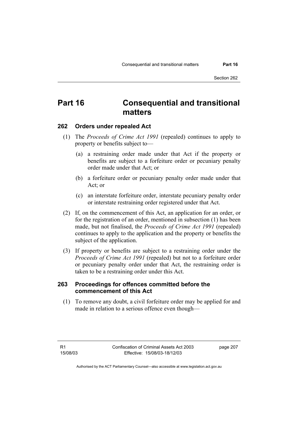Section 262

# **Part 16 Consequential and transitional matters**

# **262 Orders under repealed Act**

- (1) The *Proceeds of Crime Act 1991* (repealed) continues to apply to property or benefits subject to—
	- (a) a restraining order made under that Act if the property or benefits are subject to a forfeiture order or pecuniary penalty order made under that Act; or
	- (b) a forfeiture order or pecuniary penalty order made under that Act; or
	- (c) an interstate forfeiture order, interstate pecuniary penalty order or interstate restraining order registered under that Act.
- (2) If, on the commencement of this Act, an application for an order, or for the registration of an order, mentioned in subsection (1) has been made, but not finalised, the *Proceeds of Crime Act 1991* (repealed) continues to apply to the application and the property or benefits the subject of the application.
- (3) If property or benefits are subject to a restraining order under the *Proceeds of Crime Act 1991* (repealed) but not to a forfeiture order or pecuniary penalty order under that Act, the restraining order is taken to be a restraining order under this Act.

# **263 Proceedings for offences committed before the commencement of this Act**

 (1) To remove any doubt, a civil forfeiture order may be applied for and made in relation to a serious offence even though—

page 207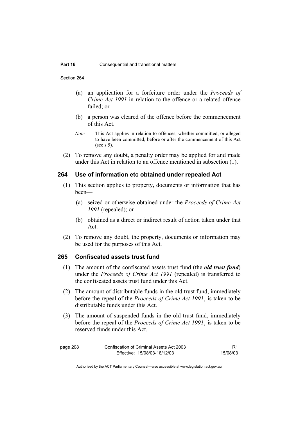Section 264

- (a) an application for a forfeiture order under the *Proceeds of Crime Act 1991* in relation to the offence or a related offence failed; or
- (b) a person was cleared of the offence before the commencement of this Act.
- *Note* This Act applies in relation to offences, whether committed, or alleged to have been committed, before or after the commencement of this Act (see s 5).
- (2) To remove any doubt, a penalty order may be applied for and made under this Act in relation to an offence mentioned in subsection (1).

# **264 Use of information etc obtained under repealed Act**

- (1) This section applies to property, documents or information that has been—
	- (a) seized or otherwise obtained under the *Proceeds of Crime Act 1991* (repealed); or
	- (b) obtained as a direct or indirect result of action taken under that Act.
- (2) To remove any doubt, the property, documents or information may be used for the purposes of this Act.

## **265 Confiscated assets trust fund**

- (1) The amount of the confiscated assets trust fund (the *old trust fund*) under the *Proceeds of Crime Act 1991* (repealed) is transferred to the confiscated assets trust fund under this Act.
- (2) The amount of distributable funds in the old trust fund, immediately before the repeal of the *Proceeds of Crime Act 1991*¸ is taken to be distributable funds under this Act.
- (3) The amount of suspended funds in the old trust fund, immediately before the repeal of the *Proceeds of Crime Act 1991*¸ is taken to be reserved funds under this Act.

| page 208 | Confiscation of Criminal Assets Act 2003 |          |
|----------|------------------------------------------|----------|
|          | Effective: 15/08/03-18/12/03             | 15/08/03 |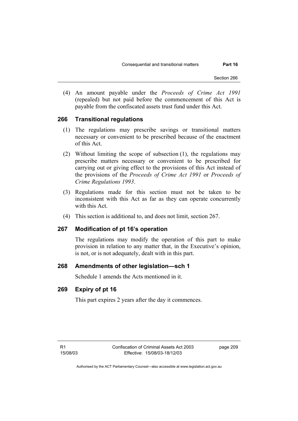Section 266

 (4) An amount payable under the *Proceeds of Crime Act 1991* (repealed) but not paid before the commencement of this Act is payable from the confiscated assets trust fund under this Act.

## **266 Transitional regulations**

- (1) The regulations may prescribe savings or transitional matters necessary or convenient to be prescribed because of the enactment of this Act.
- (2) Without limiting the scope of subsection (1), the regulations may prescribe matters necessary or convenient to be prescribed for carrying out or giving effect to the provisions of this Act instead of the provisions of the *Proceeds of Crime Act 1991* or *Proceeds of Crime Regulations 1993*.
- (3) Regulations made for this section must not be taken to be inconsistent with this Act as far as they can operate concurrently with this Act.
- (4) This section is additional to, and does not limit, section 267.

## **267 Modification of pt 16's operation**

The regulations may modify the operation of this part to make provision in relation to any matter that, in the Executive's opinion, is not, or is not adequately, dealt with in this part.

## **268 Amendments of other legislation—sch 1**

Schedule 1 amends the Acts mentioned in it.

# **269 Expiry of pt 16**

This part expires 2 years after the day it commences.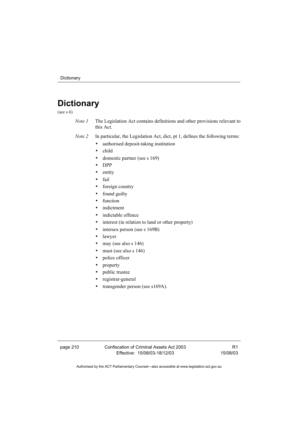# **Dictionary**

(see s 6)

- *Note 1* The Legislation Act contains definitions and other provisions relevant to this Act.
- *Note 2* In particular, the Legislation Act, dict, pt 1, defines the following terms:
	- authorised deposit-taking institution
	- child
	- domestic partner (see s 169)
	- DPP
	- entity
	- fail
	- foreign country
	- found guilty
	- function
	- indictment
	- indictable offence
	- interest (in relation to land or other property)
	- intersex person (see s 169B)
	- lawyer
	- may (see also s  $146$ )
	- must (see also s  $146$ )
	- police officer
	- property
	- public trustee
	- registrar-general
	- transgender person (see s169A).

page 210 Confiscation of Criminal Assets Act 2003 Effective: 15/08/03-18/12/03

R1 15/08/03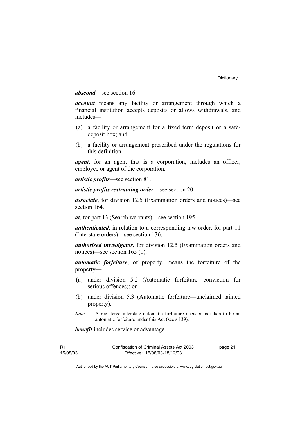### *abscond*—see section 16.

*account* means any facility or arrangement through which a financial institution accepts deposits or allows withdrawals, and includes—

- (a) a facility or arrangement for a fixed term deposit or a safedeposit box; and
- (b) a facility or arrangement prescribed under the regulations for this definition.

*agent*, for an agent that is a corporation, includes an officer, employee or agent of the corporation.

*artistic profits*—see section 81.

*artistic profits restraining order*—see section 20.

*associate*, for division 12.5 (Examination orders and notices)—see section 164.

*at*, for part 13 (Search warrants)—see section 195.

*authenticated*, in relation to a corresponding law order, for part 11 (Interstate orders)—see section 136.

*authorised investigator*, for division 12.5 (Examination orders and notices)—see section 165 (1).

*automatic forfeiture*, of property, means the forfeiture of the property—

- (a) under division 5.2 (Automatic forfeiture—conviction for serious offences); or
- (b) under division 5.3 (Automatic forfeiture—unclaimed tainted property).
- *Note* A registered interstate automatic forfeiture decision is taken to be an automatic forfeiture under this Act (see s 139).

*benefit* includes service or advantage.

| R1       | Confiscation of Criminal Assets Act 2003 | page 211 |
|----------|------------------------------------------|----------|
| 15/08/03 | Effective: 15/08/03-18/12/03             |          |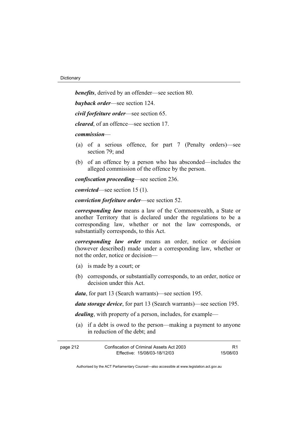*benefits*, derived by an offender—see section 80.

*buyback order*—see section 124.

*civil forfeiture order*—see section 65.

*cleared*, of an offence—see section 17.

### *commission*—

- (a) of a serious offence, for part 7 (Penalty orders)—see section 79; and
- (b) of an offence by a person who has absconded—includes the alleged commission of the offence by the person.

*confiscation proceeding*—see section 236.

*convicted*—see section 15 (1).

*conviction forfeiture order*—see section 52.

*corresponding law* means a law of the Commonwealth, a State or another Territory that is declared under the regulations to be a corresponding law, whether or not the law corresponds, or substantially corresponds, to this Act.

*corresponding law order* means an order, notice or decision (however described) made under a corresponding law, whether or not the order, notice or decision—

- (a) is made by a court; or
- (b) corresponds, or substantially corresponds, to an order, notice or decision under this Act.

*data*, for part 13 (Search warrants)—see section 195.

*data storage device*, for part 13 (Search warrants)—see section 195.

*dealing*, with property of a person, includes, for example—

 (a) if a debt is owed to the person—making a payment to anyone in reduction of the debt; and

| page 212 | Confiscation of Criminal Assets Act 2003 |          |
|----------|------------------------------------------|----------|
|          | Effective: 15/08/03-18/12/03             | 15/08/03 |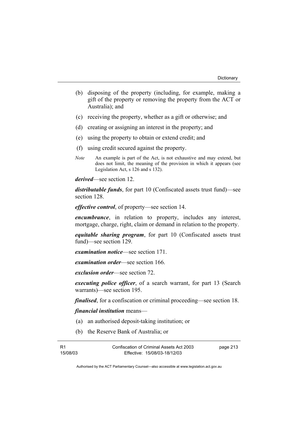- (b) disposing of the property (including, for example, making a gift of the property or removing the property from the ACT or Australia); and
- (c) receiving the property, whether as a gift or otherwise; and
- (d) creating or assigning an interest in the property; and
- (e) using the property to obtain or extend credit; and
- (f) using credit secured against the property.
- *Note* An example is part of the Act, is not exhaustive and may extend, but does not limit, the meaning of the provision in which it appears (see Legislation Act, s 126 and s 132).

*derived*—see section 12.

*distributable funds*, for part 10 (Confiscated assets trust fund)—see section 128.

*effective control*, of property—see section 14.

*encumbrance*, in relation to property, includes any interest, mortgage, charge, right, claim or demand in relation to the property.

*equitable sharing program*, for part 10 (Confiscated assets trust fund)—see section 129.

*examination notice*—see section 171.

*examination order*—see section 166.

*exclusion order*—see section 72.

*executing police officer*, of a search warrant, for part 13 (Search warrants)—see section 195.

*finalised*, for a confiscation or criminal proceeding—see section 18.

*financial institution* means—

- (a) an authorised deposit-taking institution; or
- (b) the Reserve Bank of Australia; or

page 213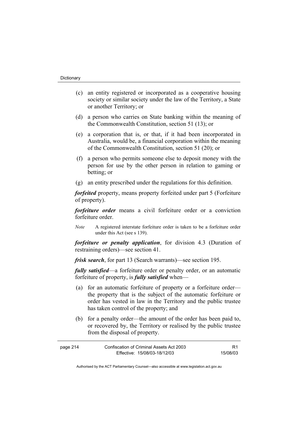- (c) an entity registered or incorporated as a cooperative housing society or similar society under the law of the Territory, a State or another Territory; or
- (d) a person who carries on State banking within the meaning of the Commonwealth Constitution, section 51 (13); or
- (e) a corporation that is, or that, if it had been incorporated in Australia, would be, a financial corporation within the meaning of the Commonwealth Constitution, section 51 (20); or
- (f) a person who permits someone else to deposit money with the person for use by the other person in relation to gaming or betting; or
- (g) an entity prescribed under the regulations for this definition.

*forfeited* property, means property forfeited under part 5 (Forfeiture of property).

*forfeiture order* means a civil forfeiture order or a conviction forfeiture order.

*Note* A registered interstate forfeiture order is taken to be a forfeiture order under this Act (see s 139).

*forfeiture or penalty application*, for division 4.3 (Duration of restraining orders)—see section 41.

*frisk search*, for part 13 (Search warrants)—see section 195.

*fully satisfied*—a forfeiture order or penalty order, or an automatic forfeiture of property, is *fully satisfied* when—

- (a) for an automatic forfeiture of property or a forfeiture order the property that is the subject of the automatic forfeiture or order has vested in law in the Territory and the public trustee has taken control of the property; and
- (b) for a penalty order—the amount of the order has been paid to, or recovered by, the Territory or realised by the public trustee from the disposal of property.

| page 214 | Confiscation of Criminal Assets Act 2003 |          |
|----------|------------------------------------------|----------|
|          | Effective: 15/08/03-18/12/03             | 15/08/03 |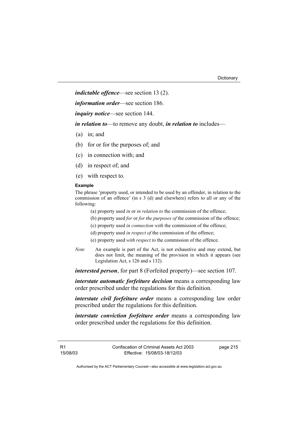*indictable offence*—see section 13 (2).

*information order*—see section 186.

*inquiry notice*—see section 144.

*in relation to*—to remove any doubt, *in relation to* includes—

- (a) in; and
- (b) for or for the purposes of; and
- (c) in connection with; and
- (d) in respect of; and
- (e) with respect to.

### **Example**

The phrase 'property used, or intended to be used by an offender, in relation to the commission of an offence' (in s 3 (d) and elsewhere) refers to all or any of the following:

(a) property used *in* or *in relation to* the commission of the offence;

- (b) property used *for* or *for the purposes of* the commission of the offence;
- (c) property used *in connection with* the commission of the offence;
- (d) property used *in respect of* the commission of the offence;
- (e) property used *with respect to* the commission of the offence.
- *Note* An example is part of the Act, is not exhaustive and may extend, but does not limit, the meaning of the provision in which it appears (see Legislation Act, s 126 and s 132).

*interested person*, for part 8 (Forfeited property)—see section 107.

*interstate automatic forfeiture decision* means a corresponding law order prescribed under the regulations for this definition.

*interstate civil forfeiture order* means a corresponding law order prescribed under the regulations for this definition.

*interstate conviction forfeiture order* means a corresponding law order prescribed under the regulations for this definition.

R1 15/08/03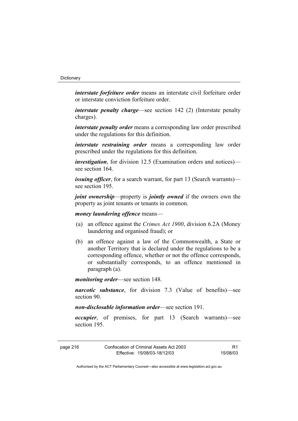*interstate forfeiture order* means an interstate civil forfeiture order or interstate conviction forfeiture order.

*interstate penalty charge*—see section 142 (2) (Interstate penalty charges).

*interstate penalty order* means a corresponding law order prescribed under the regulations for this definition.

*interstate restraining order* means a corresponding law order prescribed under the regulations for this definition.

*investigation*, for division 12.5 (Examination orders and notices) see section 164

*issuing officer*, for a search warrant, for part 13 (Search warrants) see section 195.

*joint ownership*—property is *jointly owned* if the owners own the property as joint tenants or tenants in common.

*money laundering offence* means—

- (a) an offence against the *Crimes Act 1900*, division 6.2A (Money laundering and organised fraud); or
- (b) an offence against a law of the Commonwealth, a State or another Territory that is declared under the regulations to be a corresponding offence, whether or not the offence corresponds, or substantially corresponds, to an offence mentioned in paragraph (a).

*monitoring order*—see section 148.

*narcotic substance*, for division 7.3 (Value of benefits)—see section 90.

*non-disclosable information order*—see section 191.

*occupier*, of premises, for part 13 (Search warrants)—see section 195.

| Confiscation of Criminal Assets Act 2003<br>page 216 |                              |          |
|------------------------------------------------------|------------------------------|----------|
|                                                      | Effective: 15/08/03-18/12/03 | 15/08/03 |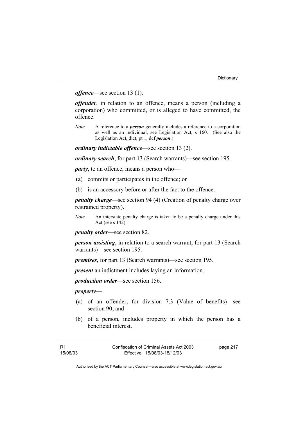*offence*—see section 13 (1).

*offender*, in relation to an offence, means a person (including a corporation) who committed, or is alleged to have committed, the offence.

*Note* A reference to a *person* generally includes a reference to a corporation as well as an individual, see Legislation Act, s 160. (See also the Legislation Act, dict, pt 1, def *person*.)

*ordinary indictable offence*—see section 13 (2).

*ordinary search*, for part 13 (Search warrants)—see section 195.

*party*, to an offence, means a person who—

- (a) commits or participates in the offence; or
- (b) is an accessory before or after the fact to the offence.

*penalty charge*—see section 94 (4) (Creation of penalty charge over restrained property).

*Note* An interstate penalty charge is taken to be a penalty charge under this Act (see s 142).

*penalty order*—see section 82.

*person assisting*, in relation to a search warrant, for part 13 (Search warrants)—see section 195.

*premises*, for part 13 (Search warrants)—see section 195.

*present* an indictment includes laying an information.

*production order*—see section 156.

#### *property*—

- (a) of an offender, for division 7.3 (Value of benefits)—see section 90; and
- (b) of a person, includes property in which the person has a beneficial interest.

page 217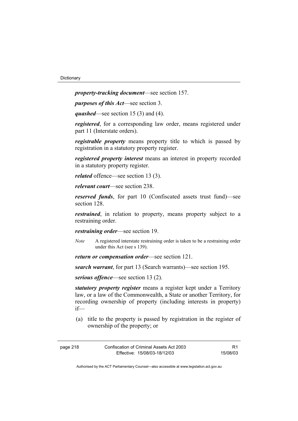*property-tracking document*—see section 157.

*purposes of this Act*—see section 3.

*quashed*—see section 15 (3) and (4).

*registered*, for a corresponding law order, means registered under part 11 (Interstate orders).

*registrable property* means property title to which is passed by registration in a statutory property register.

*registered property interest* means an interest in property recorded in a statutory property register.

*related* offence—see section 13 (3).

*relevant court*—see section 238.

*reserved funds*, for part 10 (Confiscated assets trust fund)—see section 128.

*restrained*, in relation to property, means property subject to a restraining order.

*restraining order*—see section 19.

- *Note* A registered interstate restraining order is taken to be a restraining order under this Act (see s 139).
- *return or compensation order*—see section 121.

*search warrant*, for part 13 (Search warrants)—see section 195.

*serious offence*—see section 13 (2).

*statutory property register* means a register kept under a Territory law, or a law of the Commonwealth, a State or another Territory, for recording ownership of property (including interests in property) if—

 (a) title to the property is passed by registration in the register of ownership of the property; or

| page 218 | Confiscation of Criminal Assets Act 2003 | R1       |
|----------|------------------------------------------|----------|
|          | Effective: 15/08/03-18/12/03             | 15/08/03 |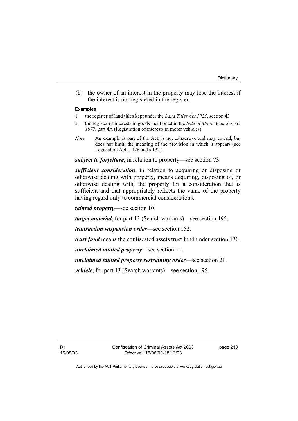(b) the owner of an interest in the property may lose the interest if the interest is not registered in the register.

#### **Examples**

- 1 the register of land titles kept under the *Land Titles Act 1925*, section 43
- 2 the register of interests in goods mentioned in the *Sale of Motor Vehicles Act 1977*, part 4A (Registration of interests in motor vehicles)
- *Note* An example is part of the Act, is not exhaustive and may extend, but does not limit, the meaning of the provision in which it appears (see Legislation Act, s 126 and s 132).

*subject to forfeiture*, in relation to property—see section 73.

*sufficient consideration*, in relation to acquiring or disposing or otherwise dealing with property, means acquiring, disposing of, or otherwise dealing with, the property for a consideration that is sufficient and that appropriately reflects the value of the property having regard only to commercial considerations.

*tainted property*—see section 10.

*target material*, for part 13 (Search warrants)—see section 195.

*transaction suspension order*—see section 152.

*trust fund* means the confiscated assets trust fund under section 130.

*unclaimed tainted property*—see section 11.

*unclaimed tainted property restraining order*—see section 21.

*vehicle*, for part 13 (Search warrants)—see section 195.

page 219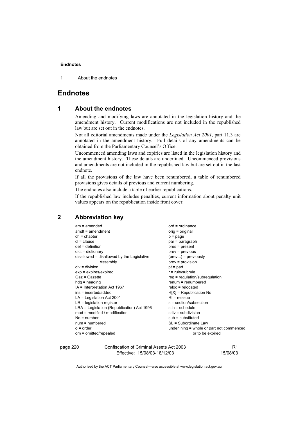#### **Endnotes**

1 About the endnotes

# **Endnotes**

## **1 About the endnotes**

Amending and modifying laws are annotated in the legislation history and the amendment history. Current modifications are not included in the republished law but are set out in the endnotes.

Not all editorial amendments made under the *Legislation Act 2001*, part 11.3 are annotated in the amendment history. Full details of any amendments can be obtained from the Parliamentary Counsel's Office.

Uncommenced amending laws and expiries are listed in the legislation history and the amendment history. These details are underlined. Uncommenced provisions and amendments are not included in the republished law but are set out in the last endnote.

If all the provisions of the law have been renumbered, a table of renumbered provisions gives details of previous and current numbering.

The endnotes also include a table of earlier republications.

If the republished law includes penalties, current information about penalty unit values appears on the republication inside front cover.

# **2 Abbreviation key**

| $am = amended$                             | $ord = ordinance$                           |
|--------------------------------------------|---------------------------------------------|
| $amdt = amendment$                         | orig = original                             |
| $ch = chapter$                             | $p = page$                                  |
| $cl = clause$                              | par = paragraph                             |
| $def = definition$                         | pres = present                              |
| $dict = dictionary$                        | $prev = previous$                           |
| disallowed = disallowed by the Legislative | $(\text{prev})$ = previously                |
| Assembly                                   | $prov = provision$                          |
| $div =$ division                           | $pt = part$                                 |
| $exp = expires/expired$                    | $r = rule/subrule$                          |
| Gaz = Gazette                              | $reg = regulation/subregulation$            |
| $hdg =$ heading                            | $renum = renumbered$                        |
| IA = Interpretation Act 1967               | $reloc = relocated$                         |
| ins = inserted/added                       | $R[X]$ = Republication No                   |
| $LA =$ Legislation Act 2001                | $RI =$ reissue                              |
| $LR =$ legislation register                | s = section/subsection                      |
| LRA = Legislation (Republication) Act 1996 | $sch = schedule$                            |
| $mod = modified / modified$                | $sdiv = subdivision$                        |
| $No = number$                              | $sub =$ substituted                         |
| $num = numbered$                           | SL = Subordinate Law                        |
| $o$ = order                                | underlining $=$ whole or part not commenced |
| om = omitted/repealed                      | or to be expired                            |
|                                            |                                             |

page 220 Confiscation of Criminal Assets Act 2003 Effective: 15/08/03-18/12/03

R1 15/08/03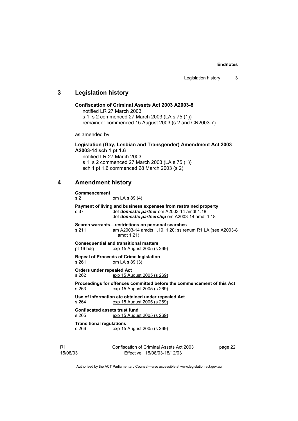#### **Endnotes**

# **3 Legislation history**

## **Confiscation of Criminal Assets Act 2003 A2003-8**

notified LR 27 March 2003 s 1, s 2 commenced 27 March 2003 (LA s 75 (1)) remainder commenced 15 August 2003 (s 2 and CN2003-7)

as amended by

### **Legislation (Gay, Lesbian and Transgender) Amendment Act 2003 A2003-14 sch 1 pt 1.6**

notified LR 27 March 2003 s 1, s 2 commenced 27 March 2003 (LA s 75 (1)) sch 1 pt 1.6 commenced 28 March 2003 (s 2)

## **4 Amendment history**

# **Commencement**  s 2 om LA s 89 (4) **Payment of living and business expenses from restrained property**  s 37 def *domestic partner* om A2003-14 amdt 1.18 def *domestic partnership* om A2003-14 amdt 1.18 **Search warrants—restrictions on personal searches**  s 211 am A2003-14 amdts 1.19, 1.20; ss renum R1 LA (see A2003-8 amdt 1.21) **Consequential and transitional matters**  pt 16 hdg exp 15 August 2005 (s 269) **Repeal of Proceeds of Crime legislation**  s 261 om LA s 89 (3) **Orders under repealed Act**  s 262 exp 15 August 2005 (s 269) **Proceedings for offences committed before the commencement of this Act**  s 263 exp 15 August 2005 (s 269) **Use of information etc obtained under repealed Act**  s 264 exp 15 August 2005 (s 269) **Confiscated assets trust fund**  s 265 exp 15 August 2005 (s 269) **Transitional regulations**  s 266 exp 15 August 2005 (s 269)

R1 15/08/03 Confiscation of Criminal Assets Act 2003 Effective: 15/08/03-18/12/03

page 221